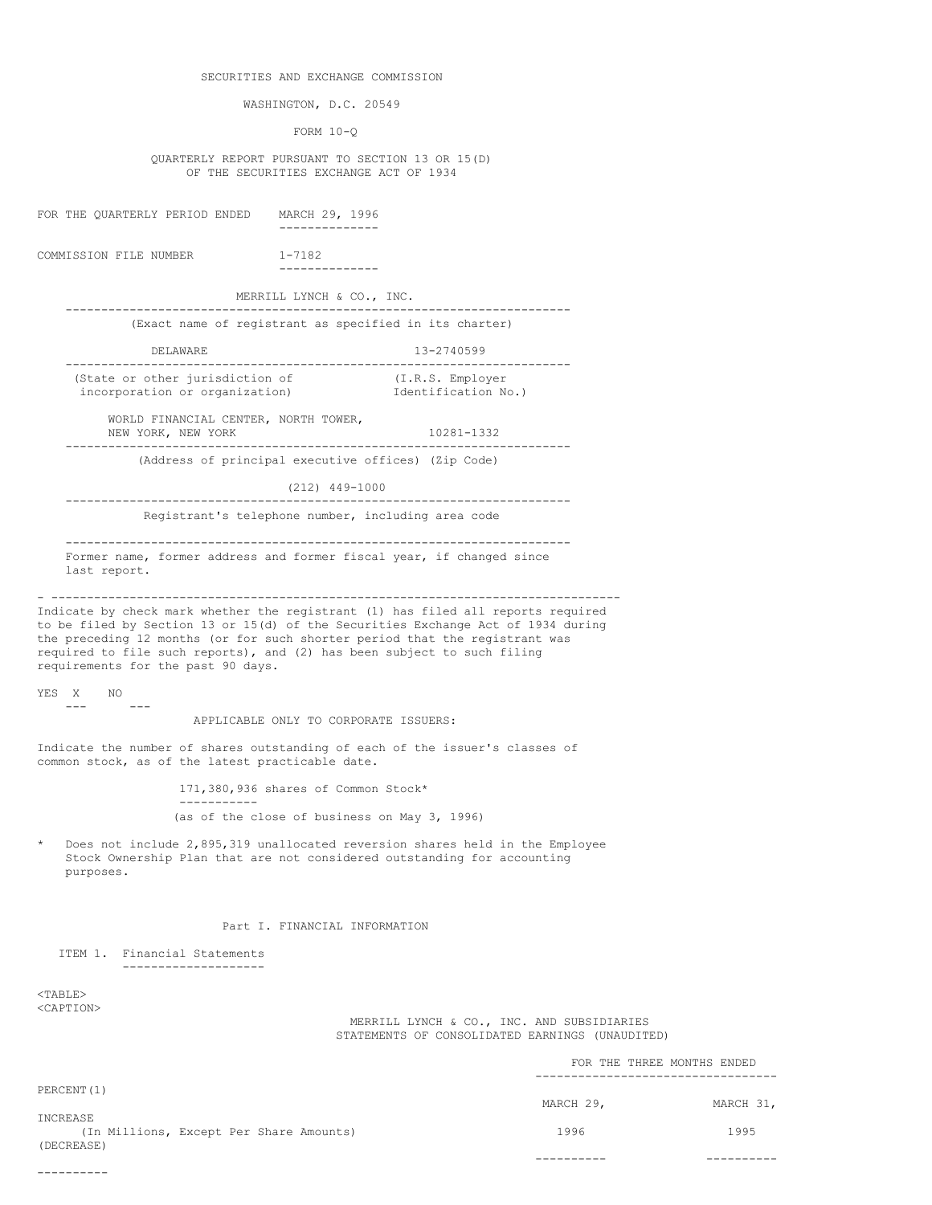## SECURITIES AND EXCHANGE COMMISSION

WASHINGTON, D.C. 20549

FORM 10-Q

QUARTERLY REPORT PURSUANT TO SECTION 13 OR 15(D) OF THE SECURITIES EXCHANGE ACT OF 1934

FOR THE QUARTERLY PERIOD ENDED MARCH 29, 1996 -------------- COMMISSION FILE NUMBER 1-7182 -------------- MERRILL LYNCH & CO., INC. ----------------------------------------------------------------------- (Exact name of registrant as specified in its charter) DELAWARE 13-2740599 ----------------------------------------------------------------------- (State or other jurisdiction of  $(1.R.S.$  Employer<br>incorporation or organization) Identification No.) incorporation or organization) WORLD FINANCIAL CENTER, NORTH TOWER, NEW YORK, NEW YORK 10281-1332 ----------------------------------------------------------------------- (Address of principal executive offices) (Zip Code) (212) 449-1000 ----------------------------------------------------------------------- Registrant's telephone number, including area code ----------------------------------------------------------------------- Former name, former address and former fiscal year, if changed since last report. - -------------------------------------------------------------------------------- Indicate by check mark whether the registrant (1) has filed all reports required to be filed by Section 13 or 15(d) of the Securities Exchange Act of 1934 during the preceding 12 months (or for such shorter period that the registrant was required to file such reports), and (2) has been subject to such filing requirements for the past 90 days. YES X NO --- --- APPLICABLE ONLY TO CORPORATE ISSUERS: Indicate the number of shares outstanding of each of the issuer's classes of common stock, as of the latest practicable date. 171,380,936 shares of Common Stock\* ----------- (as of the close of business on May 3, 1996) Does not include 2,895,319 unallocated reversion shares held in the Employee Stock Ownership Plan that are not considered outstanding for accounting purposes. Part I. FINANCIAL INFORMATION ITEM 1. Financial Statements -------------------- <TABLE> <CAPTION> MERRILL LYNCH & CO., INC. AND SUBSIDIARIES STATEMENTS OF CONSOLIDATED EARNINGS (UNAUDITED) FOR THE THREE MONTHS ENDED ---------------------------------- PERCENT(1)

MARCH 29, MARCH 31, INCREASE (In Millions, Except Per Share Amounts) 1996 1996 1995 1995 (DECREASE) ---------- ---------- ----------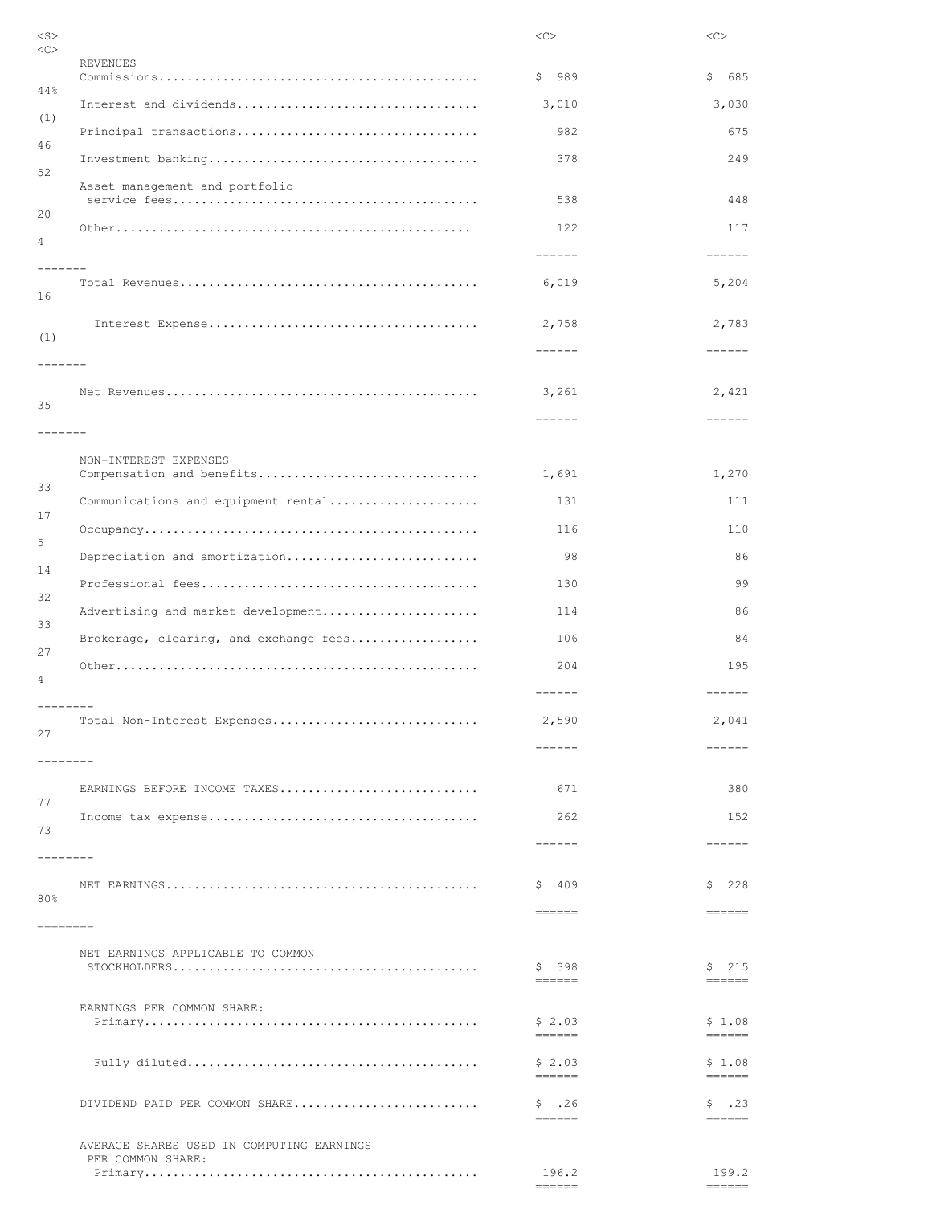|                                                    | $<\infty$                          | <<                               |
|----------------------------------------------------|------------------------------------|----------------------------------|
| <b>REVENUES</b>                                    | \$989                              | \$<br>685                        |
|                                                    | 3,010                              | 3,030                            |
| Principal transactions                             | 982                                | 675                              |
|                                                    | 378                                | 249                              |
| Asset management and portfolio                     | 538                                | 448                              |
|                                                    | 122                                | 117                              |
|                                                    | $- - - - - -$                      | $- - - - - -$                    |
| -------                                            | 6,019                              | 5,204                            |
|                                                    | 2,758                              | 2,783                            |
| -------                                            | $- - - - - -$                      | $- - - - - -$                    |
|                                                    | 3,261                              | 2,421                            |
|                                                    | $- - - - - -$                      | $- - - - - -$                    |
| -------                                            |                                    |                                  |
| NON-INTEREST EXPENSES<br>Compensation and benefits | 1,691                              | 1,270                            |
| Communications and equipment rental                | 131                                | 111                              |
|                                                    | 116                                | 110                              |
| Depreciation and amortization                      | 98                                 | 86                               |
|                                                    | 130                                | 99                               |
| Advertising and market development                 | 114                                | 86                               |
| Brokerage, clearing, and exchange fees             | 106                                | 84                               |
|                                                    | 204                                | 195                              |
| Total Non-Interest Expenses                        | $- - - - - -$<br>2,590<br>------   | $- - - - - -$<br>2,041<br>------ |
| --------<br>EARNINGS BEFORE INCOME TAXES           | 671                                | 380                              |
|                                                    | 262                                | 152                              |
|                                                    | ------                             | $- - - - - -$                    |
|                                                    | - 409<br>\$<br>$=$ $=$ $=$ $=$ $=$ | 228<br>\$<br>$=$ $=$ $=$ $=$ $=$ |
| ========<br>NET EARNINGS APPLICABLE TO COMMON      | \$398                              | \$215                            |
|                                                    | $= = = = = = =$                    | $= = = = = = =$                  |
| EARNINGS PER COMMON SHARE:                         | \$2.03<br>$=$ $=$ $=$ $=$ $=$      | \$1.08<br>$= = = = = = =$        |
|                                                    | \$2.03                             | \$1.08                           |
| DIVIDEND PAID PER COMMON SHARE                     | $= = = = = = =$<br>$$-.26$         | $= = = = = = =$<br>\$.23         |
| AVERAGE SHARES USED IN COMPUTING EARNINGS          | $= = = = = = =$                    |                                  |
| PER COMMON SHARE:                                  | 196.2                              | 199.2                            |
|                                                    | $= = = = = = =$                    | $= = = = = = =$                  |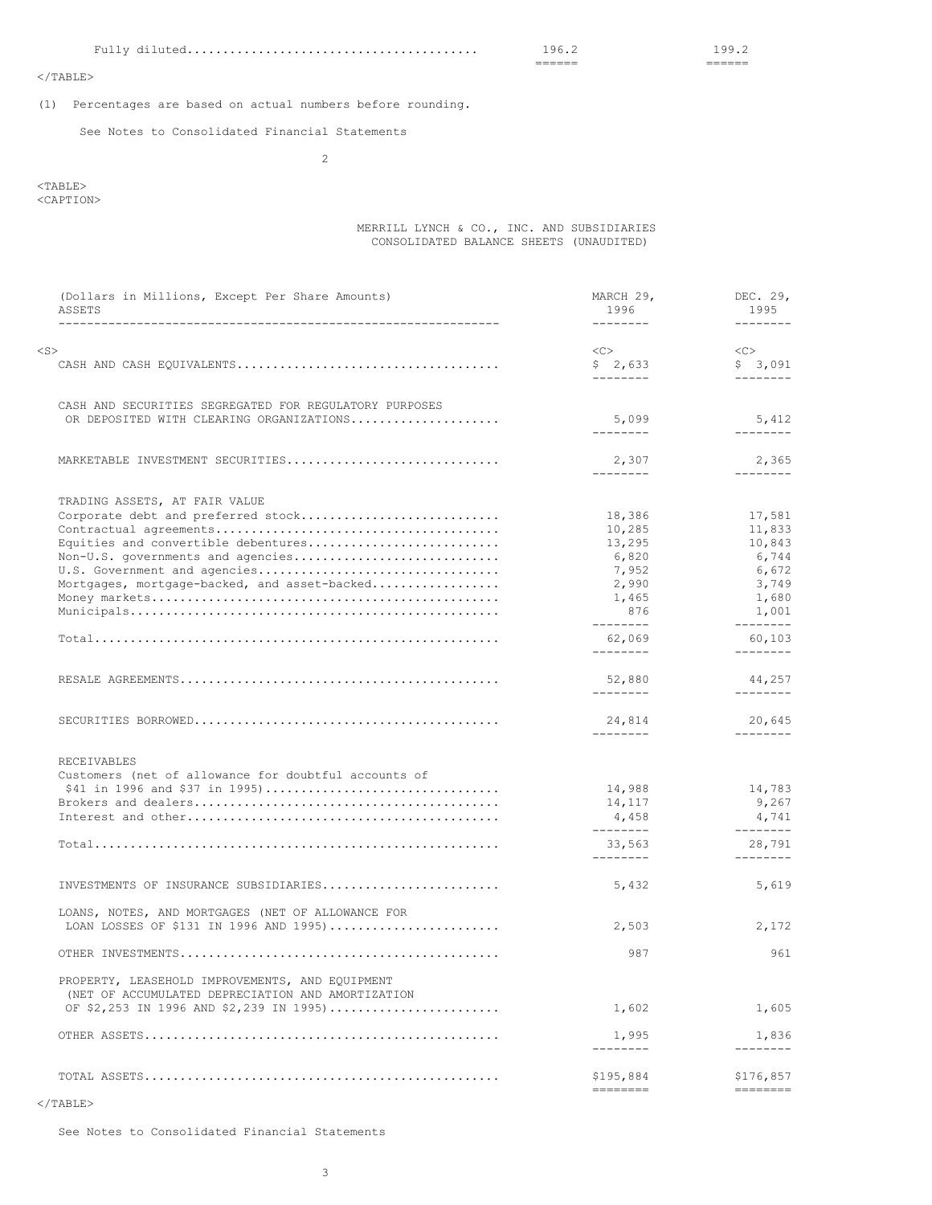Fully diluted......................................... 196.2 199.2

====== ======

 $<$ /TABLE>

(1) Percentages are based on actual numbers before rounding.

See Notes to Consolidated Financial Statements

2

# <TABLE>

<CAPTION>

# MERRILL LYNCH & CO., INC. AND SUBSIDIARIES CONSOLIDATED BALANCE SHEETS (UNAUDITED)

| (Dollars in Millions, Except Per Share Amounts)<br>ASSETS                                    | MARCH 29,<br>1996          | DEC. 29,<br>1995      |
|----------------------------------------------------------------------------------------------|----------------------------|-----------------------|
|                                                                                              | $- - - - - - - -$          | ---------             |
| $<$ S $>$                                                                                    | <<                         | <<>                   |
|                                                                                              | \$2,633                    | \$3,091               |
|                                                                                              | --------                   | --------              |
| CASH AND SECURITIES SEGREGATED FOR REGULATORY PURPOSES                                       |                            |                       |
| OR DEPOSITED WITH CLEARING ORGANIZATIONS                                                     | 5,099                      | 5,412                 |
|                                                                                              | $- - - - - - - -$          | --------              |
| MARKETABLE INVESTMENT SECURITIES                                                             | 2,307                      | 2,365                 |
|                                                                                              | $- - - - - - - -$          | --------              |
| TRADING ASSETS, AT FAIR VALUE                                                                |                            |                       |
| Corporate debt and preferred stock                                                           | 18,386                     | 17,581                |
|                                                                                              | 10,285                     | 11,833                |
| Equities and convertible debentures                                                          | 13,295                     | 10,843                |
| Non-U.S. governments and agencies                                                            | 6,820                      | 6,744                 |
| U.S. Government and agencies                                                                 | 7,952                      | 6,672                 |
| Mortgages, mortgage-backed, and asset-backed                                                 | 2,990                      | 3,749                 |
|                                                                                              | 1,465                      | 1,680                 |
|                                                                                              | 876<br>$- - - - - - - -$   | 1,001<br>--------     |
|                                                                                              | 62,069                     | 60,103                |
|                                                                                              | $- - - - - - - -$          | --------              |
|                                                                                              | 52,880                     | 44,257                |
|                                                                                              | $- - - - - - - -$          | ---------             |
|                                                                                              | 24,814                     | 20,645                |
|                                                                                              | $- - - - - - - -$          | ---------             |
| RECEIVABLES                                                                                  |                            |                       |
| Customers (net of allowance for doubtful accounts of                                         |                            |                       |
|                                                                                              | 14,988                     | 14,783                |
|                                                                                              | 14,117                     | 9,267                 |
|                                                                                              | 4,458<br>$- - - - - - - -$ | 4,741<br>---------    |
|                                                                                              | 33,563                     | 28,791                |
|                                                                                              | $- - - - - - - -$          | ---------             |
| INVESTMENTS OF INSURANCE SUBSIDIARIES                                                        | 5,432                      | 5,619                 |
| LOANS, NOTES, AND MORTGAGES (NET OF ALLOWANCE FOR                                            |                            |                       |
| LOAN LOSSES OF \$131 IN 1996 AND 1995)                                                       | 2,503                      | 2,172                 |
|                                                                                              | 987                        | 961                   |
|                                                                                              |                            |                       |
| PROPERTY, LEASEHOLD IMPROVEMENTS, AND EQUIPMENT                                              |                            |                       |
| (NET OF ACCUMULATED DEPRECIATION AND AMORTIZATION<br>OF \$2,253 IN 1996 AND \$2,239 IN 1995) | 1,602                      | 1,605                 |
|                                                                                              |                            |                       |
|                                                                                              | 1,995<br>--------          | 1,836<br>--------     |
|                                                                                              |                            |                       |
|                                                                                              | \$195,884<br>========      | \$176,857<br>======== |
|                                                                                              |                            |                       |

 $<$ /TABLE>

See Notes to Consolidated Financial Statements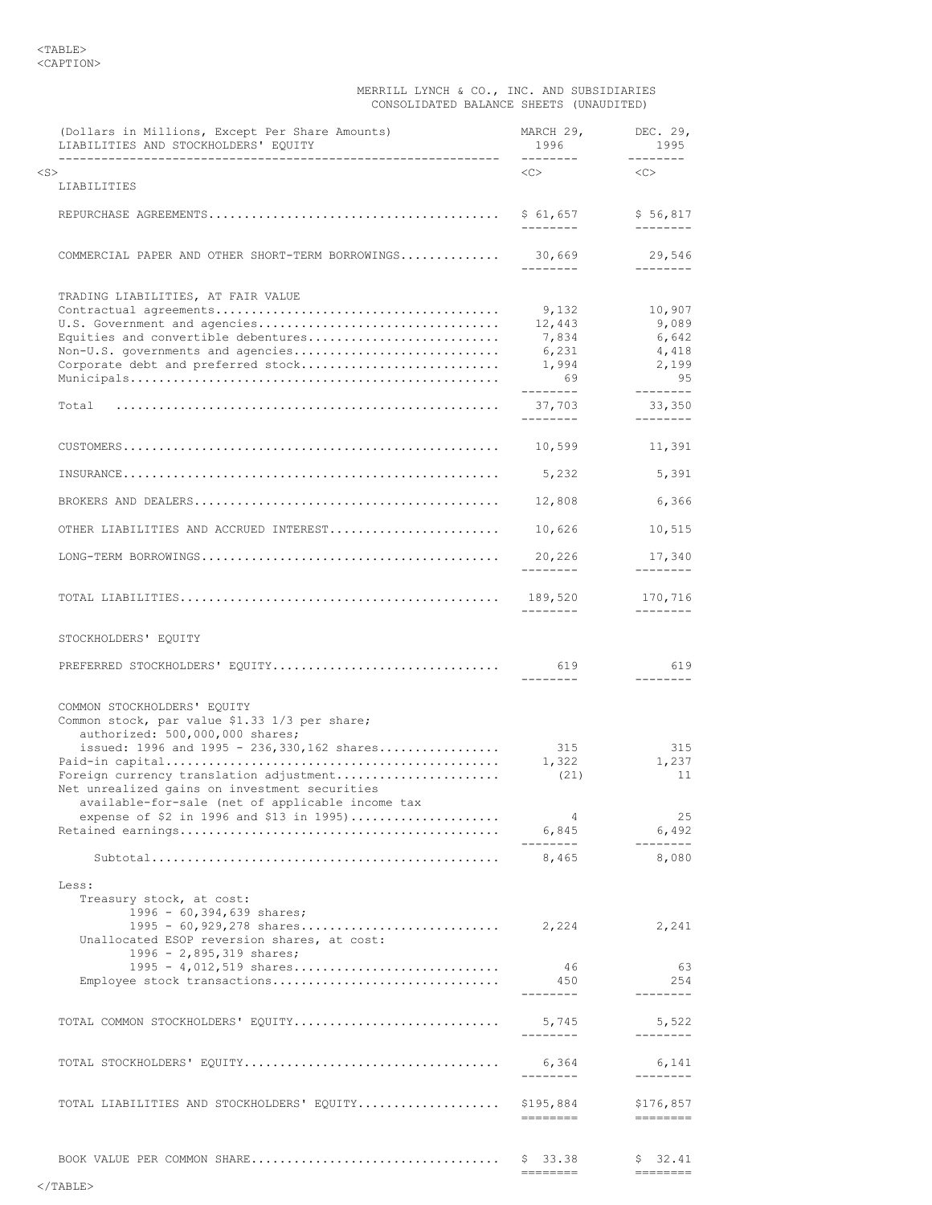### MERRILL LYNCH & CO., INC. AND SUBSIDIARIES CONSOLIDATED BALANCE SHEETS (UNAUDITED)

| (Dollars in Millions, Except Per Share Amounts)<br>LIABILITIES AND STOCKHOLDERS' EQUITY                                                                                              | MARCH 29,<br>1996<br>---------                                | DEC. 29,<br>1995<br>$- - - - - - - -$                                                                                                                                                                                                                                                                                                                                                                                                                                                                                                                                                                                                                                                                                                                 |
|--------------------------------------------------------------------------------------------------------------------------------------------------------------------------------------|---------------------------------------------------------------|-------------------------------------------------------------------------------------------------------------------------------------------------------------------------------------------------------------------------------------------------------------------------------------------------------------------------------------------------------------------------------------------------------------------------------------------------------------------------------------------------------------------------------------------------------------------------------------------------------------------------------------------------------------------------------------------------------------------------------------------------------|
| $<$ S $>$<br>LIABILITIES                                                                                                                                                             | $<<$ $>$                                                      | <<                                                                                                                                                                                                                                                                                                                                                                                                                                                                                                                                                                                                                                                                                                                                                    |
|                                                                                                                                                                                      | \$ 61,657<br>---------                                        | \$56,817<br>$- - - - - - - -$                                                                                                                                                                                                                                                                                                                                                                                                                                                                                                                                                                                                                                                                                                                         |
| COMMERCIAL PAPER AND OTHER SHORT-TERM BORROWINGS                                                                                                                                     | 30,669<br>--------                                            | 29,546<br>$- - - - - - - -$                                                                                                                                                                                                                                                                                                                                                                                                                                                                                                                                                                                                                                                                                                                           |
|                                                                                                                                                                                      |                                                               |                                                                                                                                                                                                                                                                                                                                                                                                                                                                                                                                                                                                                                                                                                                                                       |
| TRADING LIABILITIES, AT FAIR VALUE<br>U.S. Government and agencies<br>Equities and convertible debentures<br>Non-U.S. governments and agencies<br>Corporate debt and preferred stock | 9,132<br>12,443<br>7,834<br>6,231<br>1,994<br>69<br>--------- | 10,907<br>9,089<br>6,642<br>4,418<br>2,199<br>95<br>--------                                                                                                                                                                                                                                                                                                                                                                                                                                                                                                                                                                                                                                                                                          |
| Total                                                                                                                                                                                | 37,703<br>---------                                           | 33,350<br>$- - - - - - - -$                                                                                                                                                                                                                                                                                                                                                                                                                                                                                                                                                                                                                                                                                                                           |
|                                                                                                                                                                                      | 10,599                                                        | 11,391                                                                                                                                                                                                                                                                                                                                                                                                                                                                                                                                                                                                                                                                                                                                                |
|                                                                                                                                                                                      | 5,232                                                         | 5,391                                                                                                                                                                                                                                                                                                                                                                                                                                                                                                                                                                                                                                                                                                                                                 |
|                                                                                                                                                                                      | 12,808                                                        | 6,366                                                                                                                                                                                                                                                                                                                                                                                                                                                                                                                                                                                                                                                                                                                                                 |
| OTHER LIABILITIES AND ACCRUED INTEREST                                                                                                                                               | 10,626                                                        | 10,515                                                                                                                                                                                                                                                                                                                                                                                                                                                                                                                                                                                                                                                                                                                                                |
|                                                                                                                                                                                      | 20,226<br>--------                                            | 17,340<br>$- - - - - - - -$                                                                                                                                                                                                                                                                                                                                                                                                                                                                                                                                                                                                                                                                                                                           |
|                                                                                                                                                                                      | 189,520<br>---------                                          | 170,716<br>$- - - - - - - -$                                                                                                                                                                                                                                                                                                                                                                                                                                                                                                                                                                                                                                                                                                                          |
| STOCKHOLDERS' EQUITY                                                                                                                                                                 |                                                               |                                                                                                                                                                                                                                                                                                                                                                                                                                                                                                                                                                                                                                                                                                                                                       |
| PREFERRED STOCKHOLDERS' EQUITY                                                                                                                                                       | 619<br>--------                                               | 619<br>--------                                                                                                                                                                                                                                                                                                                                                                                                                                                                                                                                                                                                                                                                                                                                       |
| COMMON STOCKHOLDERS' EQUITY<br>Common stock, par value \$1.33 1/3 per share;<br>authorized: 500,000,000 shares;<br>issued: $1996$ and $1995 - 236,330,162$ shares                    | 315                                                           | 315                                                                                                                                                                                                                                                                                                                                                                                                                                                                                                                                                                                                                                                                                                                                                   |
| Foreign currency translation adjustment<br>Net unrealized gains on investment securities<br>available-for-sale (net of applicable income tax                                         | 1,322<br>(21)                                                 | 1,237<br>11                                                                                                                                                                                                                                                                                                                                                                                                                                                                                                                                                                                                                                                                                                                                           |
| expense of \$2 in 1996 and \$13 in 1995)                                                                                                                                             | 4<br>6,845<br>---------                                       | 25<br>6,492<br>$- - - - - - - -$                                                                                                                                                                                                                                                                                                                                                                                                                                                                                                                                                                                                                                                                                                                      |
|                                                                                                                                                                                      |                                                               | 8,080                                                                                                                                                                                                                                                                                                                                                                                                                                                                                                                                                                                                                                                                                                                                                 |
| Less:<br>Treasury stock, at cost:<br>1996 - 60,394,639 shares;                                                                                                                       |                                                               |                                                                                                                                                                                                                                                                                                                                                                                                                                                                                                                                                                                                                                                                                                                                                       |
| Unallocated ESOP reversion shares, at cost:<br>1996 - 2,895,319 shares;                                                                                                              |                                                               | 2,241                                                                                                                                                                                                                                                                                                                                                                                                                                                                                                                                                                                                                                                                                                                                                 |
| $1995 - 4,012,519$ shares<br>Employee stock transactions                                                                                                                             | 46<br>450<br>---------                                        | 63<br>254<br>--------                                                                                                                                                                                                                                                                                                                                                                                                                                                                                                                                                                                                                                                                                                                                 |
| TOTAL COMMON STOCKHOLDERS' EQUITY                                                                                                                                                    | 5,745<br>---------                                            | 5,522<br>--------                                                                                                                                                                                                                                                                                                                                                                                                                                                                                                                                                                                                                                                                                                                                     |
|                                                                                                                                                                                      | 6,364<br>----------                                           | 6,141<br>---------                                                                                                                                                                                                                                                                                                                                                                                                                                                                                                                                                                                                                                                                                                                                    |
| TOTAL LIABILITIES AND STOCKHOLDERS' EQUITY \$195,884                                                                                                                                 |                                                               | \$176,857<br>$\qquad \qquad \Rightarrow \qquad \qquad \Rightarrow \qquad \qquad \Rightarrow \qquad \qquad \Rightarrow \qquad \qquad \Rightarrow \qquad \qquad \Rightarrow \qquad \qquad \Rightarrow \qquad \qquad \Rightarrow \qquad \qquad \Rightarrow \qquad \qquad \Rightarrow \qquad \qquad \Rightarrow \qquad \qquad \Rightarrow \qquad \qquad \Rightarrow \qquad \qquad \Rightarrow \qquad \qquad \Rightarrow \qquad \qquad \Rightarrow \qquad \qquad \Rightarrow \qquad \qquad \Rightarrow \qquad \qquad \Rightarrow \qquad \qquad \Rightarrow \qquad \qquad \Rightarrow \qquad \qquad \Rightarrow \qquad \qquad \Rightarrow \qquad \qquad \Rightarrow \qquad \qquad \Rightarrow \qquad \qquad \Rightarrow \qquad \qquad \Rightarrow \qquad \$ |
|                                                                                                                                                                                      |                                                               | \$32.41<br>---------                                                                                                                                                                                                                                                                                                                                                                                                                                                                                                                                                                                                                                                                                                                                  |
|                                                                                                                                                                                      |                                                               |                                                                                                                                                                                                                                                                                                                                                                                                                                                                                                                                                                                                                                                                                                                                                       |

</TABLE>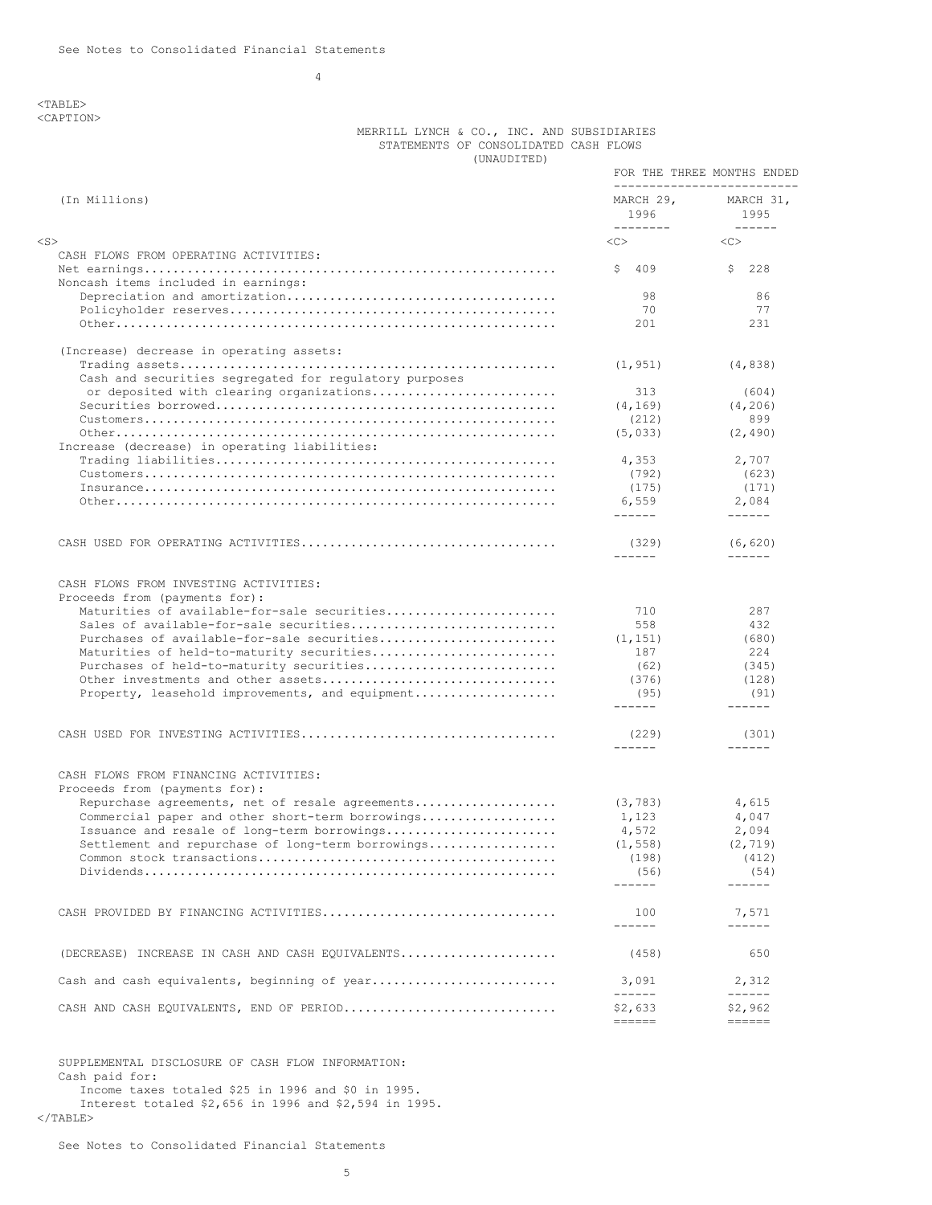4

<TABLE> <CAPTION>

# MERRILL LYNCH & CO., INC. AND SUBSIDIARIES STATEMENTS OF CONSOLIDATED CASH FLOWS (UNAUDITED)

| $\frac{1}{2}$                                                          |                                                                                         | FOR THE THREE MONTHS ENDED                                                              |
|------------------------------------------------------------------------|-----------------------------------------------------------------------------------------|-----------------------------------------------------------------------------------------|
| (In Millions)                                                          | MARCH 29,<br>1996<br>--------                                                           | ---------------------------<br>MARCH 31,<br>1995<br>$- - - - - -$                       |
| <s></s>                                                                | <<                                                                                      | < <sub></sub>                                                                           |
| CASH FLOWS FROM OPERATING ACTIVITIES:                                  |                                                                                         |                                                                                         |
| Noncash items included in earnings:                                    | 409<br>S.                                                                               | 228<br>Ş.                                                                               |
|                                                                        | 98                                                                                      | 86                                                                                      |
|                                                                        | 70                                                                                      | 77                                                                                      |
|                                                                        | 201                                                                                     | 231                                                                                     |
| (Increase) decrease in operating assets:                               |                                                                                         |                                                                                         |
| Cash and securities segregated for regulatory purposes                 | (1, 951)                                                                                | (4, 838)                                                                                |
| or deposited with clearing organizations                               | 313                                                                                     | (604)                                                                                   |
|                                                                        | (4, 169)                                                                                | (4, 206)                                                                                |
|                                                                        | (212)                                                                                   | 899                                                                                     |
| Increase (decrease) in operating liabilities:                          | (5, 033)                                                                                | (2, 490)                                                                                |
|                                                                        | 4,353                                                                                   | 2,707                                                                                   |
|                                                                        | (792)                                                                                   | (623)                                                                                   |
|                                                                        | (175)                                                                                   | (171)                                                                                   |
|                                                                        | 6,559                                                                                   | 2,084                                                                                   |
|                                                                        | $- - - - - -$                                                                           | $- - - - - -$                                                                           |
|                                                                        | (329)<br>------                                                                         | (6, 620)<br>$- - - - - -$                                                               |
| CASH FLOWS FROM INVESTING ACTIVITIES:                                  |                                                                                         |                                                                                         |
| Proceeds from (payments for):                                          |                                                                                         |                                                                                         |
| Maturities of available-for-sale securities                            | 710                                                                                     | 287                                                                                     |
| Sales of available-for-sale securities                                 | 558                                                                                     | 432                                                                                     |
| Purchases of available-for-sale securities                             | (1, 151)                                                                                | (680)                                                                                   |
| Maturities of held-to-maturity securities                              | 187                                                                                     | 224                                                                                     |
| Purchases of held-to-maturity securities                               | (62)                                                                                    | (345)                                                                                   |
|                                                                        | (376)                                                                                   | (128)                                                                                   |
| Property, leasehold improvements, and equipment                        | (95)                                                                                    | (91)                                                                                    |
|                                                                        | ------                                                                                  | $- - - - - -$                                                                           |
|                                                                        | (229)<br>------                                                                         | (301)<br>$- - - - - -$                                                                  |
|                                                                        |                                                                                         |                                                                                         |
| CASH FLOWS FROM FINANCING ACTIVITIES:<br>Proceeds from (payments for): |                                                                                         |                                                                                         |
| Repurchase agreements, net of resale agreements                        | (3, 783)                                                                                | 4,615                                                                                   |
| Commercial paper and other short-term borrowings                       | 1,123                                                                                   | 4,047                                                                                   |
| Issuance and resale of long-term borrowings                            | 4,572                                                                                   | 2,094                                                                                   |
| Settlement and repurchase of long-term borrowings                      | (1, 558)                                                                                | (2, 719)                                                                                |
|                                                                        | (198)                                                                                   | (412)                                                                                   |
| $Dividend s$                                                           | (56)                                                                                    | (54)                                                                                    |
|                                                                        | ------                                                                                  | $- - - - - -$                                                                           |
| CASH PROVIDED BY FINANCING ACTIVITIES                                  | 100                                                                                     | 7,571                                                                                   |
|                                                                        | ------                                                                                  | $- - - - - -$                                                                           |
| (DECREASE) INCREASE IN CASH AND CASH EQUIVALENTS                       | (458)                                                                                   | 650                                                                                     |
| Cash and cash equivalents, beginning of year                           | 3,091                                                                                   | 2,312                                                                                   |
| CASH AND CASH EQUIVALENTS, END OF PERIOD                               | $- - - - - -$<br>\$2,633                                                                | $- - - - - -$<br>\$2,962                                                                |
|                                                                        | $\qquad \qquad \displaystyle =\qquad \qquad \qquad \qquad \displaystyle =\qquad \qquad$ | $\qquad \qquad \displaystyle =\qquad \qquad \qquad \qquad \displaystyle =\qquad \qquad$ |

SUPPLEMENTAL DISCLOSURE OF CASH FLOW INFORMATION: Cash paid for: Income taxes totaled \$25 in 1996 and \$0 in 1995. Interest totaled \$2,656 in 1996 and \$2,594 in 1995.

 $<$ /TABLE $>$ 

See Notes to Consolidated Financial Statements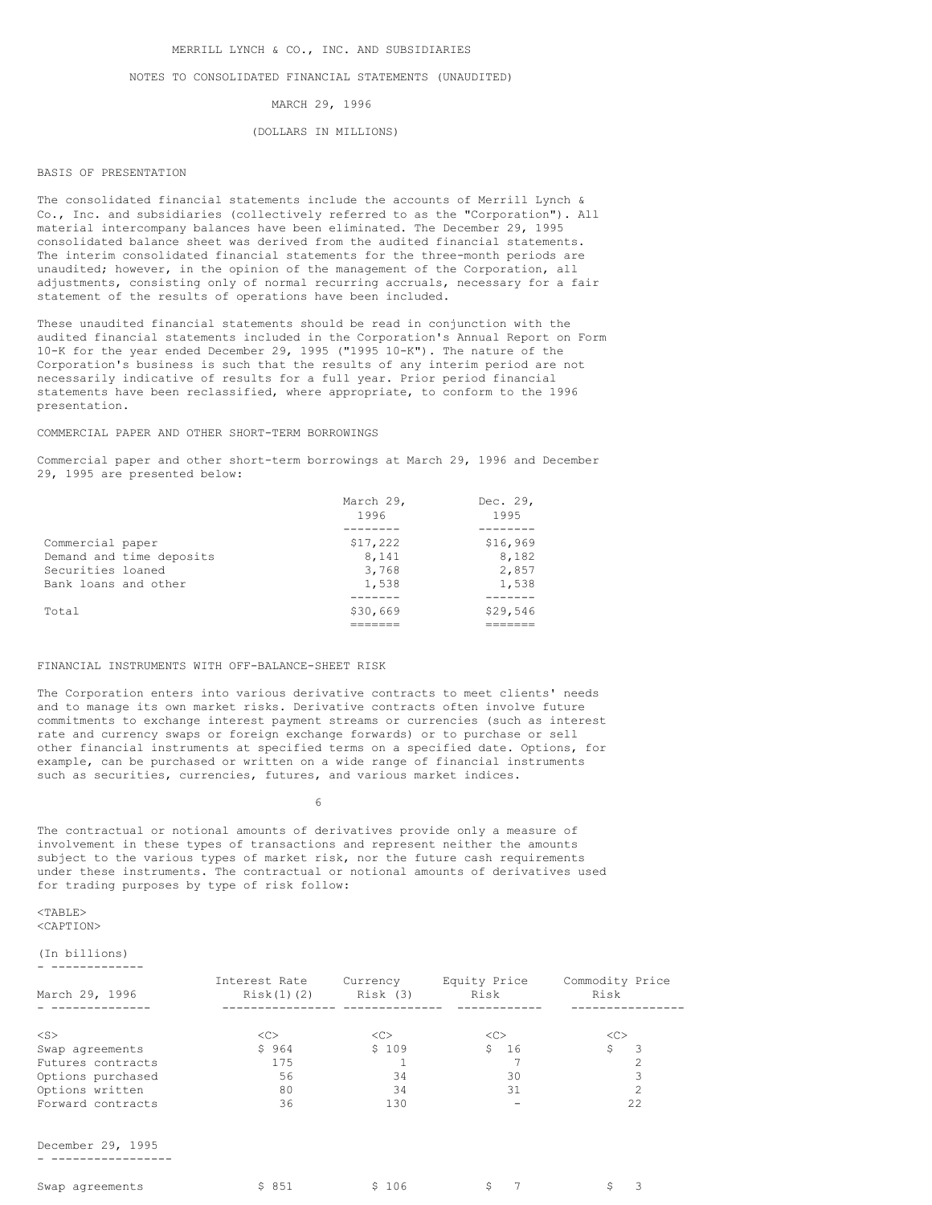## NOTES TO CONSOLIDATED FINANCIAL STATEMENTS (UNAUDITED)

MARCH 29, 1996

#### (DOLLARS IN MILLIONS)

#### BASIS OF PRESENTATION

The consolidated financial statements include the accounts of Merrill Lynch & Co., Inc. and subsidiaries (collectively referred to as the "Corporation"). All material intercompany balances have been eliminated. The December 29, 1995 consolidated balance sheet was derived from the audited financial statements. The interim consolidated financial statements for the three-month periods are unaudited; however, in the opinion of the management of the Corporation, all adjustments, consisting only of normal recurring accruals, necessary for a fair statement of the results of operations have been included.

These unaudited financial statements should be read in conjunction with the audited financial statements included in the Corporation's Annual Report on Form 10-K for the year ended December 29, 1995 ("1995 10-K"). The nature of the Corporation's business is such that the results of any interim period are not necessarily indicative of results for a full year. Prior period financial statements have been reclassified, where appropriate, to conform to the 1996 presentation.

#### COMMERCIAL PAPER AND OTHER SHORT-TERM BORROWINGS

Commercial paper and other short-term borrowings at March 29, 1996 and December 29, 1995 are presented below:

|                          | March 29, | Dec. 29, |
|--------------------------|-----------|----------|
|                          | 1996      | 1995     |
|                          |           |          |
| Commercial paper         | \$17,222  | \$16,969 |
| Demand and time deposits | 8,141     | 8,182    |
| Securities loaned        | 3,768     | 2,857    |
| Bank loans and other     | 1,538     | 1,538    |
|                          |           |          |
| Total                    | \$30,669  | \$29,546 |
|                          |           |          |

#### FINANCIAL INSTRUMENTS WITH OFF-BALANCE-SHEET RISK

The Corporation enters into various derivative contracts to meet clients' needs and to manage its own market risks. Derivative contracts often involve future commitments to exchange interest payment streams or currencies (such as interest rate and currency swaps or foreign exchange forwards) or to purchase or sell other financial instruments at specified terms on a specified date. Options, for example, can be purchased or written on a wide range of financial instruments such as securities, currencies, futures, and various market indices.

6

The contractual or notional amounts of derivatives provide only a measure of involvement in these types of transactions and represent neither the amounts subject to the various types of market risk, nor the future cash requirements under these instruments. The contractual or notional amounts of derivatives used for trading purposes by type of risk follow:

#### $<$ TABLE> <CAPTION>

#### (In billions) - -------------

| March 29, 1996    | Interest Rate<br>Risk(1)(2) | Currency<br>Risk (3) | Equity Price<br>Risk | Commodity Price<br>Risk |
|-------------------|-----------------------------|----------------------|----------------------|-------------------------|
|                   |                             |                      |                      |                         |
| $<$ S $>$         | <<                          | < <sub></sub>        | < <sub></sub>        | <<                      |
| Swap agreements   | \$964                       | \$109                | - 16<br>S.           |                         |
| Futures contracts | 175                         |                      |                      |                         |
| Options purchased | 56                          | 34                   | 30                   |                         |
| Options written   | 80                          | 34                   | 31                   |                         |
| Forward contracts | 36                          | 130                  |                      | 22.2                    |

December 29, 1995 - -----------------

| Swap agreements | \$ 851 | \$106 |  |  |
|-----------------|--------|-------|--|--|
|                 |        |       |  |  |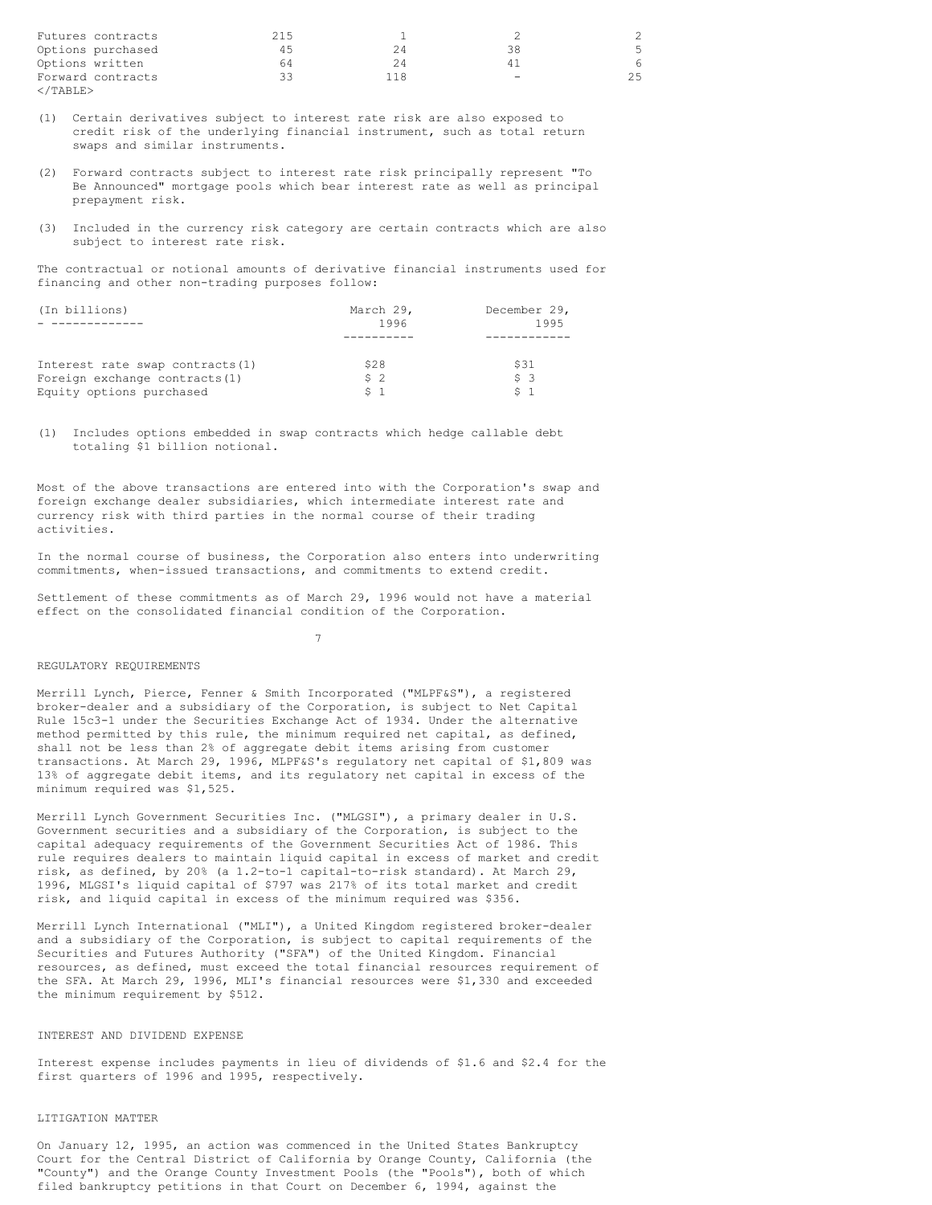| Futures contracts     | 215 |                 |  |
|-----------------------|-----|-----------------|--|
| Options purchased     | 4.5 | 38              |  |
| Options written       | 64  |                 |  |
| Forward contracts     | 33  | $\qquad \qquad$ |  |
| $\epsilon$ /TARLE $>$ |     |                 |  |

- (1) Certain derivatives subject to interest rate risk are also exposed to credit risk of the underlying financial instrument, such as total return swaps and similar instruments.
- (2) Forward contracts subject to interest rate risk principally represent "To Be Announced" mortgage pools which bear interest rate as well as principal prepayment risk.
- (3) Included in the currency risk category are certain contracts which are also subject to interest rate risk.

The contractual or notional amounts of derivative financial instruments used for financing and other non-trading purposes follow:

| (In billions)                    | March 29,      | December 29, |
|----------------------------------|----------------|--------------|
|                                  | 1996           | 1995         |
|                                  |                |              |
| Interest rate swap contracts (1) | \$28           | \$31         |
| Foreign exchange contracts (1)   | S <sub>2</sub> | 53           |
| Equity options purchased         |                |              |

(1) Includes options embedded in swap contracts which hedge callable debt totaling \$1 billion notional.

Most of the above transactions are entered into with the Corporation's swap and foreign exchange dealer subsidiaries, which intermediate interest rate and currency risk with third parties in the normal course of their trading activities.

In the normal course of business, the Corporation also enters into underwriting commitments, when-issued transactions, and commitments to extend credit.

Settlement of these commitments as of March 29, 1996 would not have a material effect on the consolidated financial condition of the Corporation.

# 7

#### REGULATORY REQUIREMENTS

Merrill Lynch, Pierce, Fenner & Smith Incorporated ("MLPF&S"), a registered broker-dealer and a subsidiary of the Corporation, is subject to Net Capital Rule 15c3-1 under the Securities Exchange Act of 1934. Under the alternative method permitted by this rule, the minimum required net capital, as defined, shall not be less than 2% of aggregate debit items arising from customer transactions. At March 29, 1996, MLPF&S's regulatory net capital of \$1,809 was 13% of aggregate debit items, and its regulatory net capital in excess of the minimum required was \$1,525.

Merrill Lynch Government Securities Inc. ("MLGSI"), a primary dealer in U.S. Government securities and a subsidiary of the Corporation, is subject to the capital adequacy requirements of the Government Securities Act of 1986. This rule requires dealers to maintain liquid capital in excess of market and credit risk, as defined, by 20% (a 1.2-to-1 capital-to-risk standard). At March 29, 1996, MLGSI's liquid capital of \$797 was 217% of its total market and credit risk, and liquid capital in excess of the minimum required was \$356.

Merrill Lynch International ("MLI"), a United Kingdom registered broker-dealer and a subsidiary of the Corporation, is subject to capital requirements of the Securities and Futures Authority ("SFA") of the United Kingdom. Financial resources, as defined, must exceed the total financial resources requirement of the SFA. At March 29, 1996, MLI's financial resources were \$1,330 and exceeded the minimum requirement by \$512.

## INTEREST AND DIVIDEND EXPENSE

Interest expense includes payments in lieu of dividends of \$1.6 and \$2.4 for the first quarters of 1996 and 1995, respectively.

## LITIGATION MATTER

On January 12, 1995, an action was commenced in the United States Bankruptcy Court for the Central District of California by Orange County, California (the "County") and the Orange County Investment Pools (the "Pools"), both of which filed bankruptcy petitions in that Court on December 6, 1994, against the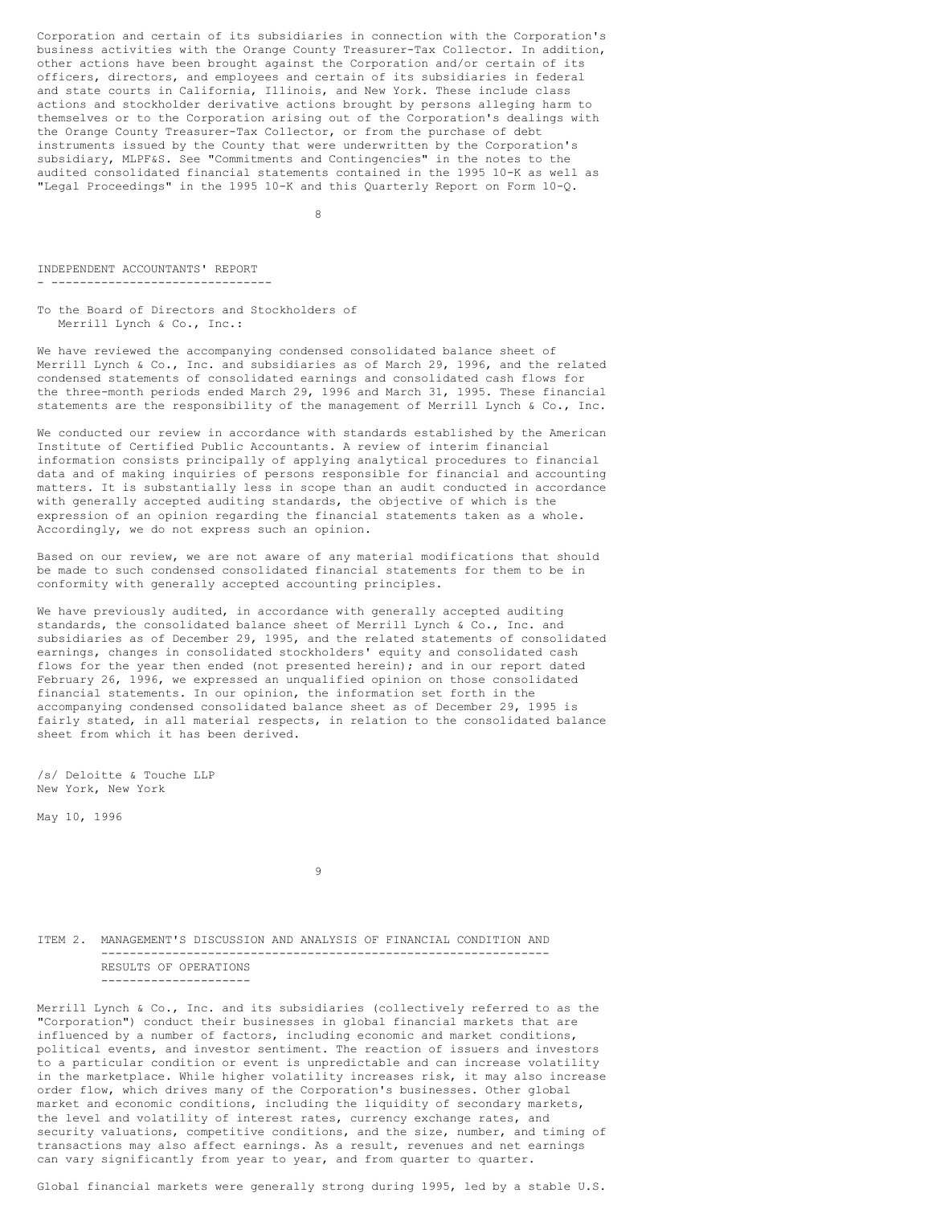Corporation and certain of its subsidiaries in connection with the Corporation's business activities with the Orange County Treasurer-Tax Collector. In addition, other actions have been brought against the Corporation and/or certain of its officers, directors, and employees and certain of its subsidiaries in federal and state courts in California, Illinois, and New York. These include class actions and stockholder derivative actions brought by persons alleging harm to themselves or to the Corporation arising out of the Corporation's dealings with the Orange County Treasurer-Tax Collector, or from the purchase of debt instruments issued by the County that were underwritten by the Corporation's subsidiary, MLPF&S. See "Commitments and Contingencies" in the notes to the audited consolidated financial statements contained in the 1995 10-K as well as "Legal Proceedings" in the 1995 10-K and this Quarterly Report on Form 10-Q.

8

INDEPENDENT ACCOUNTANTS' REPORT - -------------------------------

To the Board of Directors and Stockholders of Merrill Lynch & Co., Inc.:

We have reviewed the accompanying condensed consolidated balance sheet of Merrill Lynch & Co., Inc. and subsidiaries as of March 29, 1996, and the related condensed statements of consolidated earnings and consolidated cash flows for the three-month periods ended March 29, 1996 and March 31, 1995. These financial statements are the responsibility of the management of Merrill Lynch & Co., Inc.

We conducted our review in accordance with standards established by the American Institute of Certified Public Accountants. A review of interim financial information consists principally of applying analytical procedures to financial data and of making inquiries of persons responsible for financial and accounting matters. It is substantially less in scope than an audit conducted in accordance with generally accepted auditing standards, the objective of which is the expression of an opinion regarding the financial statements taken as a whole. Accordingly, we do not express such an opinion.

Based on our review, we are not aware of any material modifications that should be made to such condensed consolidated financial statements for them to be in conformity with generally accepted accounting principles.

We have previously audited, in accordance with generally accepted auditing standards, the consolidated balance sheet of Merrill Lynch & Co., Inc. and subsidiaries as of December 29, 1995, and the related statements of consolidated earnings, changes in consolidated stockholders' equity and consolidated cash flows for the year then ended (not presented herein); and in our report dated February 26, 1996, we expressed an unqualified opinion on those consolidated financial statements. In our opinion, the information set forth in the accompanying condensed consolidated balance sheet as of December 29, 1995 is fairly stated, in all material respects, in relation to the consolidated balance sheet from which it has been derived.

/s/ Deloitte & Touche LLP New York, New York

May 10, 1996

 $\alpha$ 

ITEM 2. MANAGEMENT'S DISCUSSION AND ANALYSIS OF FINANCIAL CONDITION AND --------------------------------------------------------------- RESULTS OF OPERATIONS ---------------------

Merrill Lynch & Co., Inc. and its subsidiaries (collectively referred to as the "Corporation") conduct their businesses in global financial markets that are influenced by a number of factors, including economic and market conditions, political events, and investor sentiment. The reaction of issuers and investors to a particular condition or event is unpredictable and can increase volatility in the marketplace. While higher volatility increases risk, it may also increase order flow, which drives many of the Corporation's businesses. Other global market and economic conditions, including the liquidity of secondary markets, the level and volatility of interest rates, currency exchange rates, and security valuations, competitive conditions, and the size, number, and timing of transactions may also affect earnings. As a result, revenues and net earnings can vary significantly from year to year, and from quarter to quarter.

Global financial markets were generally strong during 1995, led by a stable U.S.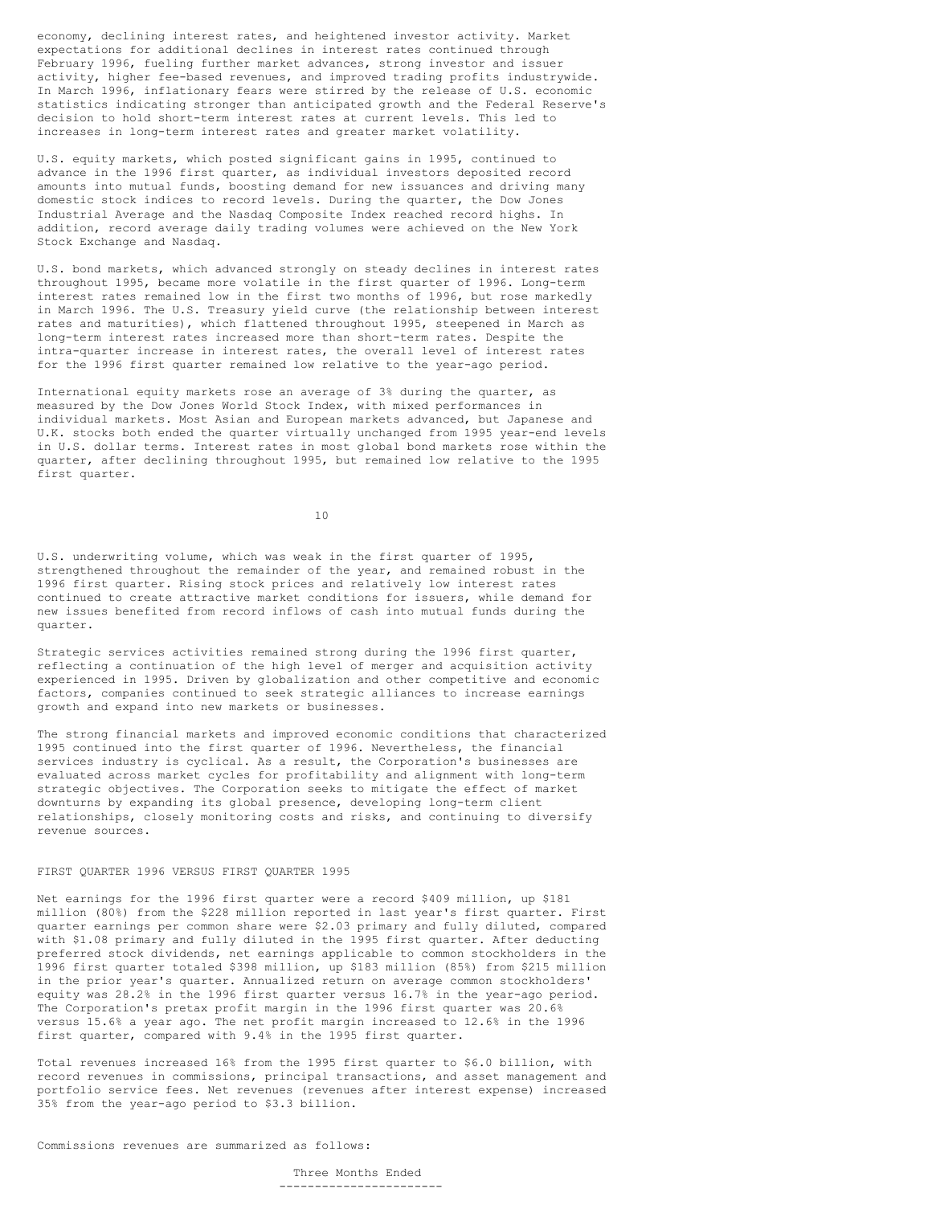economy, declining interest rates, and heightened investor activity. Market expectations for additional declines in interest rates continued through February 1996, fueling further market advances, strong investor and issuer activity, higher fee-based revenues, and improved trading profits industrywide. In March 1996, inflationary fears were stirred by the release of U.S. economic statistics indicating stronger than anticipated growth and the Federal Reserve's decision to hold short-term interest rates at current levels. This led to increases in long-term interest rates and greater market volatility.

U.S. equity markets, which posted significant gains in 1995, continued to advance in the 1996 first quarter, as individual investors deposited record amounts into mutual funds, boosting demand for new issuances and driving many domestic stock indices to record levels. During the quarter, the Dow Jones Industrial Average and the Nasdaq Composite Index reached record highs. In addition, record average daily trading volumes were achieved on the New York Stock Exchange and Nasdaq.

U.S. bond markets, which advanced strongly on steady declines in interest rates throughout 1995, became more volatile in the first quarter of 1996. Long-term interest rates remained low in the first two months of 1996, but rose markedly in March 1996. The U.S. Treasury yield curve (the relationship between interest rates and maturities), which flattened throughout 1995, steepened in March as long-term interest rates increased more than short-term rates. Despite the intra-quarter increase in interest rates, the overall level of interest rates for the 1996 first quarter remained low relative to the year-ago period.

International equity markets rose an average of 3% during the quarter, as measured by the Dow Jones World Stock Index, with mixed performances in individual markets. Most Asian and European markets advanced, but Japanese and U.K. stocks both ended the quarter virtually unchanged from 1995 year-end levels in U.S. dollar terms. Interest rates in most global bond markets rose within the quarter, after declining throughout 1995, but remained low relative to the 1995 first quarter.

10

U.S. underwriting volume, which was weak in the first quarter of 1995, strengthened throughout the remainder of the year, and remained robust in the 1996 first quarter. Rising stock prices and relatively low interest rates continued to create attractive market conditions for issuers, while demand for new issues benefited from record inflows of cash into mutual funds during the quarter.

Strategic services activities remained strong during the 1996 first quarter, reflecting a continuation of the high level of merger and acquisition activity experienced in 1995. Driven by globalization and other competitive and economic factors, companies continued to seek strategic alliances to increase earnings growth and expand into new markets or businesses.

The strong financial markets and improved economic conditions that characterized 1995 continued into the first quarter of 1996. Nevertheless, the financial services industry is cyclical. As a result, the Corporation's businesses are evaluated across market cycles for profitability and alignment with long-term strategic objectives. The Corporation seeks to mitigate the effect of market downturns by expanding its global presence, developing long-term client relationships, closely monitoring costs and risks, and continuing to diversify revenue sources.

# FIRST QUARTER 1996 VERSUS FIRST QUARTER 1995

Net earnings for the 1996 first quarter were a record \$409 million, up \$181 million (80%) from the \$228 million reported in last year's first quarter. First quarter earnings per common share were \$2.03 primary and fully diluted, compared with \$1.08 primary and fully diluted in the 1995 first quarter. After deducting preferred stock dividends, net earnings applicable to common stockholders in the 1996 first quarter totaled \$398 million, up \$183 million (85%) from \$215 million in the prior year's quarter. Annualized return on average common stockholders' equity was 28.2% in the 1996 first quarter versus 16.7% in the year-ago period. The Corporation's pretax profit margin in the 1996 first quarter was 20.6% versus 15.6% a year ago. The net profit margin increased to 12.6% in the 1996 first quarter, compared with 9.4% in the 1995 first quarter.

Total revenues increased 16% from the 1995 first quarter to \$6.0 billion, with record revenues in commissions, principal transactions, and asset management and portfolio service fees. Net revenues (revenues after interest expense) increased 35% from the year-ago period to \$3.3 billion.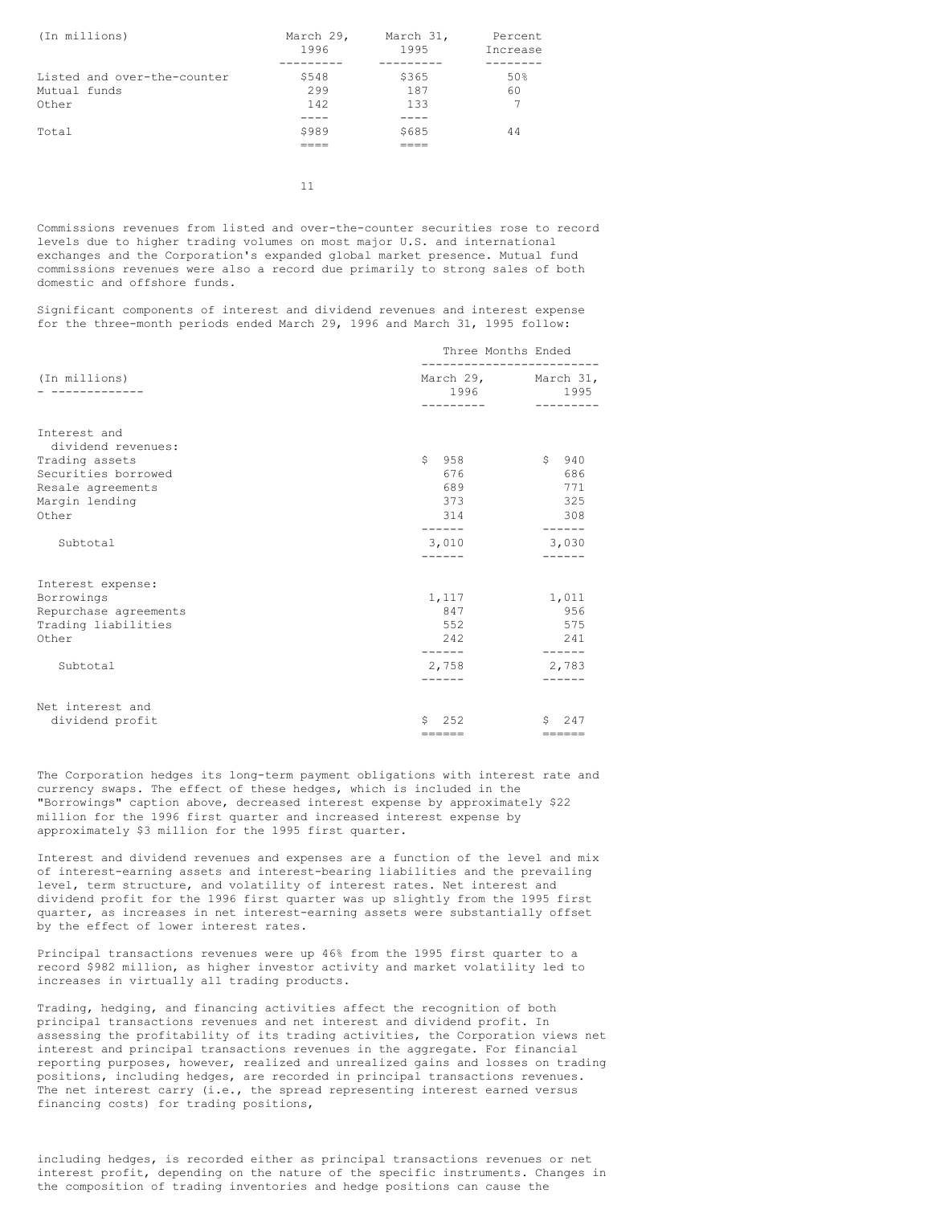| (In millions)               | March 29,<br>1996 | March 31,<br>1995 | Percent<br>Increase |
|-----------------------------|-------------------|-------------------|---------------------|
|                             |                   |                   |                     |
| Listed and over-the-counter | \$548             | \$365             | 50%                 |
| Mutual funds                | 299               | 187               | 60                  |
| Other                       | 142               | 133               |                     |
|                             |                   |                   |                     |
| Total                       | \$989             | \$685             | 44                  |
|                             |                   |                   |                     |

11

Commissions revenues from listed and over-the-counter securities rose to record levels due to higher trading volumes on most major U.S. and international exchanges and the Corporation's expanded global market presence. Mutual fund commissions revenues were also a record due primarily to strong sales of both domestic and offshore funds.

Significant components of interest and dividend revenues and interest expense for the three-month periods ended March 29, 1996 and March 31, 1995 follow:

|                                          | Three Months Ended |                                                |  |
|------------------------------------------|--------------------|------------------------------------------------|--|
| (In millions)                            | ----------         | March 29, March 31,<br>1996 1995<br>---------- |  |
| Interest and                             |                    |                                                |  |
| dividend revenues:                       |                    | \$940                                          |  |
| Trading assets                           | \$958<br>676       | 686                                            |  |
| Securities borrowed<br>Resale agreements | 689                | 771                                            |  |
| Margin lending                           | 373                | 325                                            |  |
| Other                                    | 314                | 308                                            |  |
|                                          | ------             | ------                                         |  |
| Subtotal                                 | 3,010              | 3,030                                          |  |
|                                          |                    |                                                |  |
| Interest expense:                        |                    |                                                |  |
| Borrowings                               | 1,117              | 1,011                                          |  |
| Repurchase agreements                    | 847                | 956                                            |  |
| Trading liabilities                      | 552                | 575                                            |  |
| Other                                    | 242                | 241                                            |  |
|                                          | ------             | ------                                         |  |
| Subtotal                                 | 2,758              | 2,783                                          |  |
|                                          | ------             | ------                                         |  |
| Net interest and                         |                    |                                                |  |
| dividend profit                          | Ŝ.<br>2.52         | Ŝ.<br>247                                      |  |
|                                          | ======             | ======                                         |  |

The Corporation hedges its long-term payment obligations with interest rate and currency swaps. The effect of these hedges, which is included in the "Borrowings" caption above, decreased interest expense by approximately \$22 million for the 1996 first quarter and increased interest expense by approximately \$3 million for the 1995 first quarter.

Interest and dividend revenues and expenses are a function of the level and mix of interest-earning assets and interest-bearing liabilities and the prevailing level, term structure, and volatility of interest rates. Net interest and dividend profit for the 1996 first quarter was up slightly from the 1995 first quarter, as increases in net interest-earning assets were substantially offset by the effect of lower interest rates.

Principal transactions revenues were up 46% from the 1995 first quarter to a record \$982 million, as higher investor activity and market volatility led to increases in virtually all trading products.

Trading, hedging, and financing activities affect the recognition of both principal transactions revenues and net interest and dividend profit. In assessing the profitability of its trading activities, the Corporation views net interest and principal transactions revenues in the aggregate. For financial reporting purposes, however, realized and unrealized gains and losses on trading positions, including hedges, are recorded in principal transactions revenues. The net interest carry (i.e., the spread representing interest earned versus financing costs) for trading positions,

including hedges, is recorded either as principal transactions revenues or net interest profit, depending on the nature of the specific instruments. Changes in the composition of trading inventories and hedge positions can cause the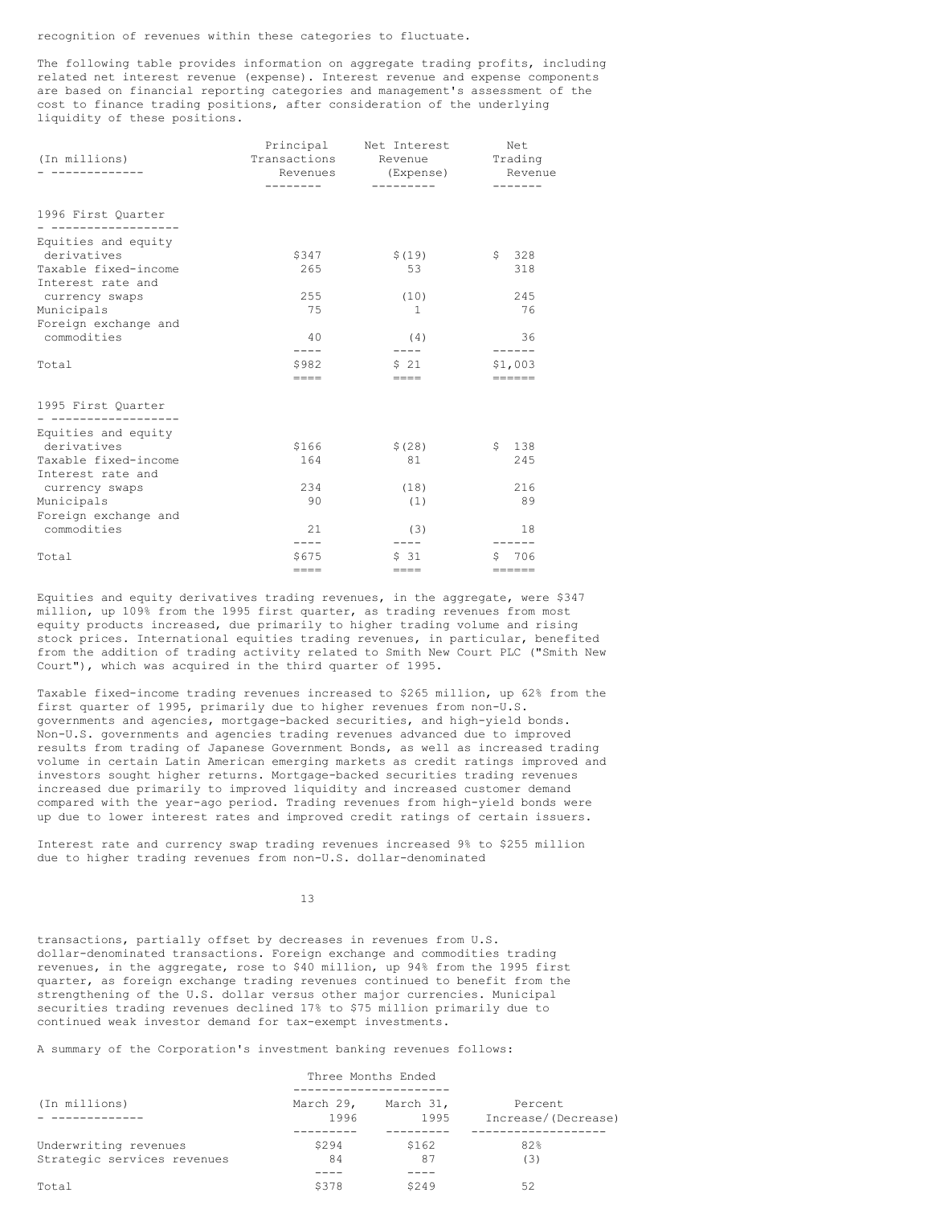recognition of revenues within these categories to fluctuate.

The following table provides information on aggregate trading profits, including related net interest revenue (expense). Interest revenue and expense components are based on financial reporting categories and management's assessment of the cost to finance trading positions, after consideration of the underlying liquidity of these positions.

| (In millions)                             | Revenues    | Principal Net Interest<br>Transactions Revenue<br>(Expense)<br>---------- | Net<br>Trading<br>Revenue<br>------- |
|-------------------------------------------|-------------|---------------------------------------------------------------------------|--------------------------------------|
| 1996 First Ouarter                        |             |                                                                           |                                      |
| Equities and equity                       |             |                                                                           |                                      |
| derivatives                               | \$347       | \$(19)                                                                    | \$328                                |
| Taxable fixed-income<br>Interest rate and | 265         | 53                                                                        | 318                                  |
| currency swaps                            | 255         | (10)                                                                      | 245                                  |
| Municipals                                | 75          | $\mathbf{1}$                                                              | 76                                   |
| Foreign exchange and                      |             |                                                                           |                                      |
| commodities                               | 40          | (4)                                                                       | 36                                   |
|                                           | $- - - -$   | $---$                                                                     | ------                               |
| Total                                     | \$982       | 521                                                                       | \$1.003                              |
|                                           | $=$ $=$ $=$ | $=$ $=$ $=$                                                               | ======                               |
| 1995 First Quarter<br>___________________ |             |                                                                           |                                      |
| Equities and equity                       |             |                                                                           |                                      |
| derivatives                               | \$166       | \$(28)                                                                    | 138<br>$\mathsf{S}$                  |
| Taxable fixed-income                      | 164         | 81                                                                        | 245                                  |
| Interest rate and                         |             |                                                                           |                                      |
| currency swaps                            | 234         | (18)                                                                      | 216                                  |
| Municipals                                | 90          | (1)                                                                       | 89                                   |
| Foreign exchange and                      |             |                                                                           |                                      |
| commodities                               | 2.1         | (3)                                                                       | 18                                   |
|                                           | $- - - -$   | $---$                                                                     |                                      |
| Total                                     | \$675       | \$ 31                                                                     | \$ 706                               |
|                                           | $=$ $=$ $=$ | $=$ $=$ $=$                                                               | ======                               |

Equities and equity derivatives trading revenues, in the aggregate, were \$347 million, up 109% from the 1995 first quarter, as trading revenues from most equity products increased, due primarily to higher trading volume and rising stock prices. International equities trading revenues, in particular, benefited from the addition of trading activity related to Smith New Court PLC ("Smith New Court"), which was acquired in the third quarter of 1995.

Taxable fixed-income trading revenues increased to \$265 million, up 62% from the first quarter of 1995, primarily due to higher revenues from non-U.S. governments and agencies, mortgage-backed securities, and high-yield bonds. Non-U.S. governments and agencies trading revenues advanced due to improved results from trading of Japanese Government Bonds, as well as increased trading volume in certain Latin American emerging markets as credit ratings improved and investors sought higher returns. Mortgage-backed securities trading revenues increased due primarily to improved liquidity and increased customer demand compared with the year-ago period. Trading revenues from high-yield bonds were up due to lower interest rates and improved credit ratings of certain issuers.

Interest rate and currency swap trading revenues increased 9% to \$255 million due to higher trading revenues from non-U.S. dollar-denominated

13

transactions, partially offset by decreases in revenues from U.S. dollar-denominated transactions. Foreign exchange and commodities trading revenues, in the aggregate, rose to \$40 million, up 94% from the 1995 first quarter, as foreign exchange trading revenues continued to benefit from the strengthening of the U.S. dollar versus other major currencies. Municipal securities trading revenues declined 17% to \$75 million primarily due to continued weak investor demand for tax-exempt investments.

A summary of the Corporation's investment banking revenues follows:

|                             | Three Months Ended |                   |                                |
|-----------------------------|--------------------|-------------------|--------------------------------|
| (In millions)               | March 29,<br>1996  | March 31,<br>1995 | Percent<br>Increase/(Decrease) |
|                             |                    |                   |                                |
| Underwriting revenues       | S294               | \$162             | 82%                            |
| Strategic services revenues | 84                 | 87                | (3)                            |
|                             |                    |                   |                                |
| Total                       | \$378              | 5249              | 52                             |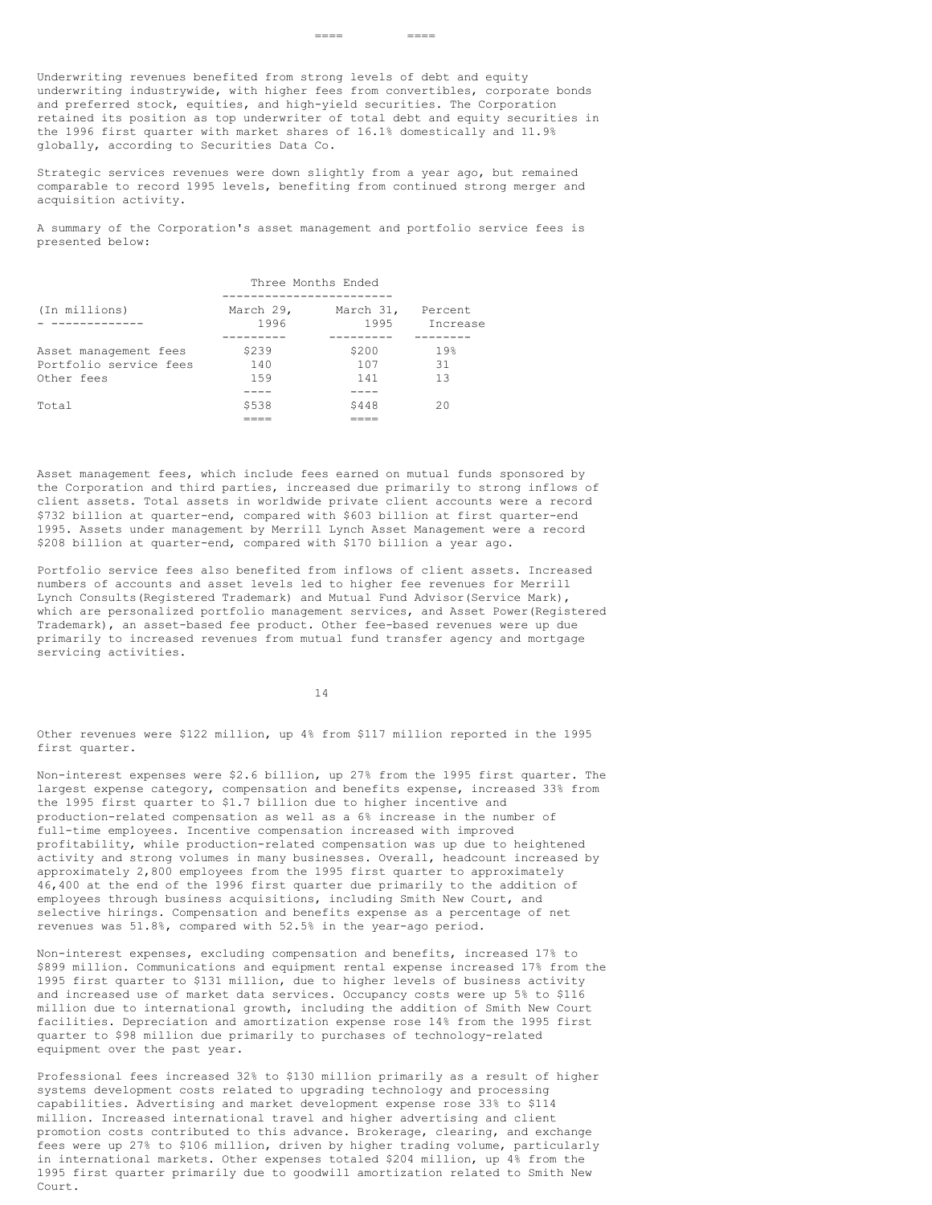Underwriting revenues benefited from strong levels of debt and equity underwriting industrywide, with higher fees from convertibles, corporate bonds and preferred stock, equities, and high-yield securities. The Corporation retained its position as top underwriter of total debt and equity securities in the 1996 first quarter with market shares of 16.1% domestically and 11.9% globally, according to Securities Data Co.

==== ====

Strategic services revenues were down slightly from a year ago, but remained comparable to record 1995 levels, benefiting from continued strong merger and acquisition activity.

A summary of the Corporation's asset management and portfolio service fees is presented below:

|                        | Three Months Ended |           |                 |
|------------------------|--------------------|-----------|-----------------|
| (In millions)          | March 29,          | March 31, | Percent         |
|                        | 1996               | 1995      | Increase        |
| Asset management fees  | \$239              | \$200     | 19 <sub>8</sub> |
| Portfolio service fees | 140                | 107       | 31              |
| Other fees             | 159                | 141       | 1.3             |
| Total                  | \$538              | \$448     | 20              |

Asset management fees, which include fees earned on mutual funds sponsored by the Corporation and third parties, increased due primarily to strong inflows of client assets. Total assets in worldwide private client accounts were a record \$732 billion at quarter-end, compared with \$603 billion at first quarter-end 1995. Assets under management by Merrill Lynch Asset Management were a record \$208 billion at quarter-end, compared with \$170 billion a year ago.

Portfolio service fees also benefited from inflows of client assets. Increased numbers of accounts and asset levels led to higher fee revenues for Merrill Lynch Consults(Registered Trademark) and Mutual Fund Advisor(Service Mark), which are personalized portfolio management services, and Asset Power(Registered Trademark), an asset-based fee product. Other fee-based revenues were up due primarily to increased revenues from mutual fund transfer agency and mortgage servicing activities.

14

Other revenues were \$122 million, up 4% from \$117 million reported in the 1995 first quarter.

Non-interest expenses were \$2.6 billion, up 27% from the 1995 first quarter. The largest expense category, compensation and benefits expense, increased 33% from the 1995 first quarter to \$1.7 billion due to higher incentive and production-related compensation as well as a 6% increase in the number of full-time employees. Incentive compensation increased with improved profitability, while production-related compensation was up due to heightened activity and strong volumes in many businesses. Overall, headcount increased by approximately 2,800 employees from the 1995 first quarter to approximately 46,400 at the end of the 1996 first quarter due primarily to the addition of employees through business acquisitions, including Smith New Court, and selective hirings. Compensation and benefits expense as a percentage of net revenues was 51.8%, compared with 52.5% in the year-ago period.

Non-interest expenses, excluding compensation and benefits, increased 17% to \$899 million. Communications and equipment rental expense increased 17% from the 1995 first quarter to \$131 million, due to higher levels of business activity and increased use of market data services. Occupancy costs were up 5% to \$116 million due to international growth, including the addition of Smith New Court facilities. Depreciation and amortization expense rose 14% from the 1995 first quarter to \$98 million due primarily to purchases of technology-related equipment over the past year.

Professional fees increased 32% to \$130 million primarily as a result of higher systems development costs related to upgrading technology and processing capabilities. Advertising and market development expense rose 33% to \$114 million. Increased international travel and higher advertising and client promotion costs contributed to this advance. Brokerage, clearing, and exchange fees were up 27% to \$106 million, driven by higher trading volume, particularly in international markets. Other expenses totaled \$204 million, up 4% from the 1995 first quarter primarily due to goodwill amortization related to Smith New Court.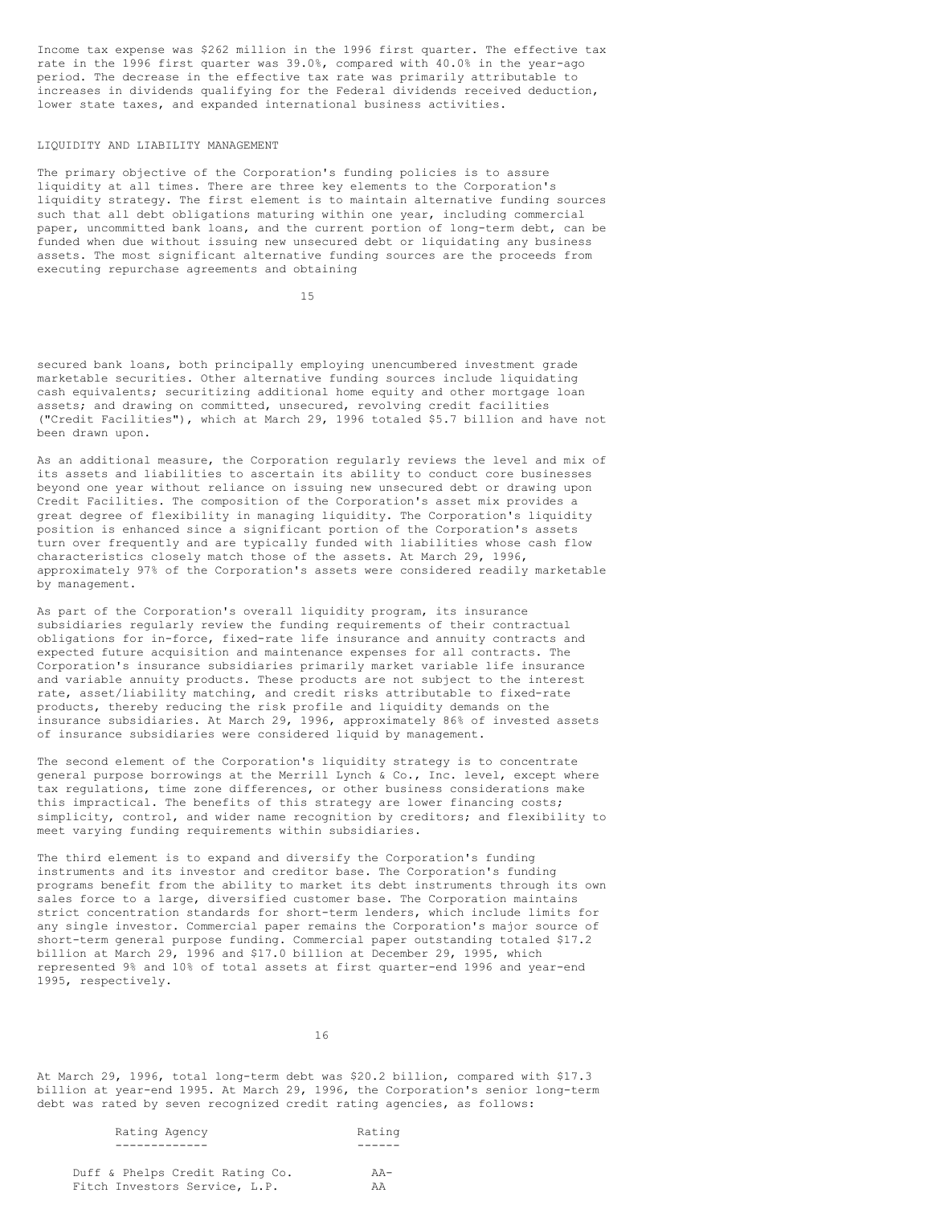Income tax expense was \$262 million in the 1996 first quarter. The effective tax rate in the 1996 first quarter was 39.0%, compared with 40.0% in the year-ago period. The decrease in the effective tax rate was primarily attributable to increases in dividends qualifying for the Federal dividends received deduction, lower state taxes, and expanded international business activities.

## LIQUIDITY AND LIABILITY MANAGEMENT

The primary objective of the Corporation's funding policies is to assure liquidity at all times. There are three key elements to the Corporation's liquidity strategy. The first element is to maintain alternative funding sources such that all debt obligations maturing within one year, including commercial paper, uncommitted bank loans, and the current portion of long-term debt, can be funded when due without issuing new unsecured debt or liquidating any business assets. The most significant alternative funding sources are the proceeds from executing repurchase agreements and obtaining

15

secured bank loans, both principally employing unencumbered investment grade marketable securities. Other alternative funding sources include liquidating cash equivalents; securitizing additional home equity and other mortgage loan assets; and drawing on committed, unsecured, revolving credit facilities ("Credit Facilities"), which at March 29, 1996 totaled \$5.7 billion and have not been drawn upon.

As an additional measure, the Corporation regularly reviews the level and mix of its assets and liabilities to ascertain its ability to conduct core businesses beyond one year without reliance on issuing new unsecured debt or drawing upon Credit Facilities. The composition of the Corporation's asset mix provides a great degree of flexibility in managing liquidity. The Corporation's liquidity position is enhanced since a significant portion of the Corporation's assets turn over frequently and are typically funded with liabilities whose cash flow characteristics closely match those of the assets. At March 29, 1996, approximately 97% of the Corporation's assets were considered readily marketable by management.

As part of the Corporation's overall liquidity program, its insurance subsidiaries regularly review the funding requirements of their contractual obligations for in-force, fixed-rate life insurance and annuity contracts and expected future acquisition and maintenance expenses for all contracts. The Corporation's insurance subsidiaries primarily market variable life insurance and variable annuity products. These products are not subject to the interest rate, asset/liability matching, and credit risks attributable to fixed-rate products, thereby reducing the risk profile and liquidity demands on the insurance subsidiaries. At March 29, 1996, approximately 86% of invested assets of insurance subsidiaries were considered liquid by management.

The second element of the Corporation's liquidity strategy is to concentrate general purpose borrowings at the Merrill Lynch & Co., Inc. level, except where tax regulations, time zone differences, or other business considerations make this impractical. The benefits of this strategy are lower financing costs; simplicity, control, and wider name recognition by creditors; and flexibility to meet varying funding requirements within subsidiaries.

The third element is to expand and diversify the Corporation's funding instruments and its investor and creditor base. The Corporation's funding programs benefit from the ability to market its debt instruments through its own sales force to a large, diversified customer base. The Corporation maintains strict concentration standards for short-term lenders, which include limits for any single investor. Commercial paper remains the Corporation's major source of short-term general purpose funding. Commercial paper outstanding totaled \$17.2 billion at March 29, 1996 and \$17.0 billion at December 29, 1995, which represented 9% and 10% of total assets at first quarter-end 1996 and year-end 1995, respectively.

16

At March 29, 1996, total long-term debt was \$20.2 billion, compared with \$17.3 billion at year-end 1995. At March 29, 1996, the Corporation's senior long-term debt was rated by seven recognized credit rating agencies, as follows:

| THATTING THATTING               | $114 - 114$ |
|---------------------------------|-------------|
|                                 |             |
|                                 |             |
| Duff & Phelps Credit Rating Co. | $AA-$       |
| Fitch Investors Service, L.P.   | AA          |

Rating Agency Rating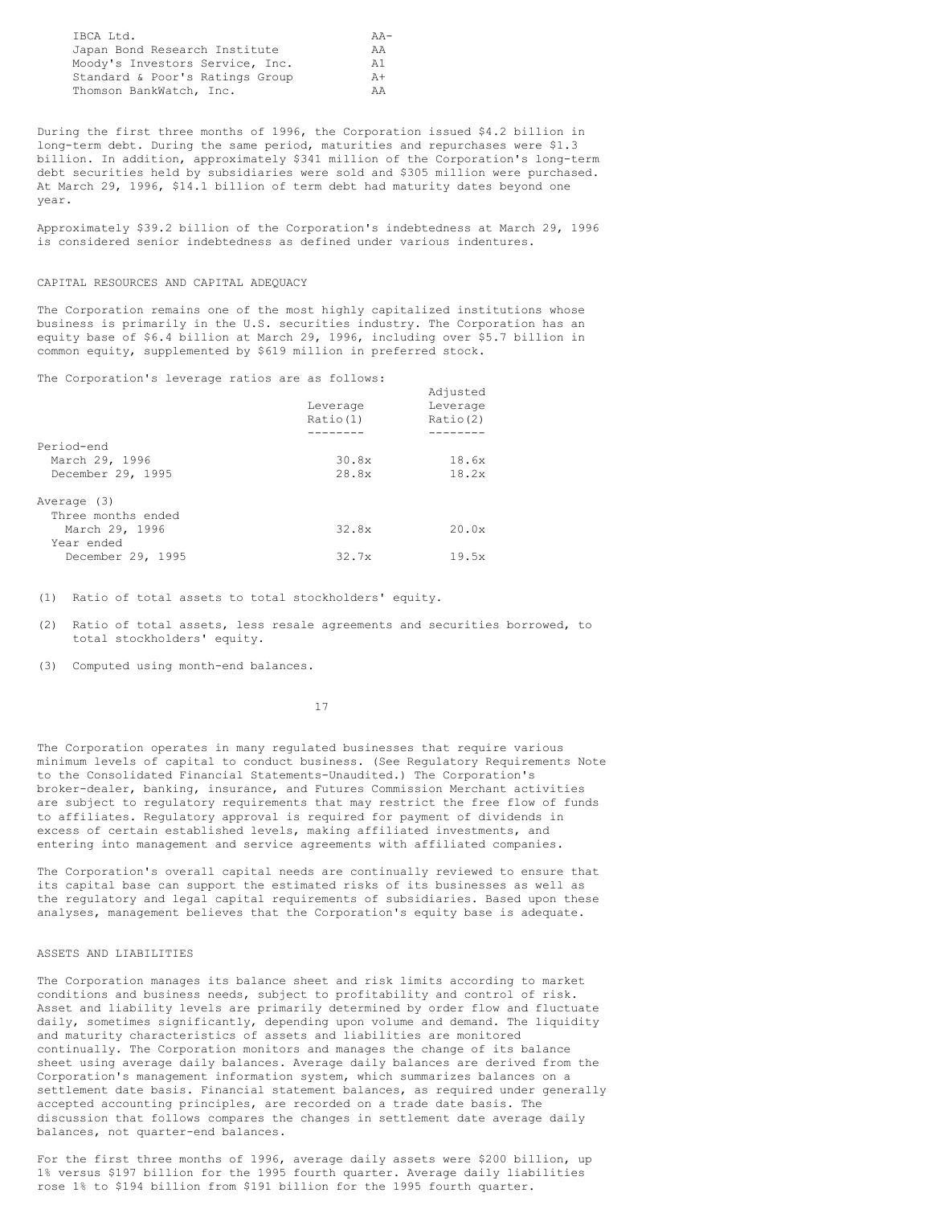| IBCA Ltd.                       | $AA-$ |
|---------------------------------|-------|
| Japan Bond Research Institute   | AA.   |
| Moody's Investors Service, Inc. | A 1   |
| Standard & Poor's Ratings Group | $A +$ |
| Thomson BankWatch, Inc.         | ΆA    |

During the first three months of 1996, the Corporation issued \$4.2 billion in long-term debt. During the same period, maturities and repurchases were \$1.3 billion. In addition, approximately \$341 million of the Corporation's long-term debt securities held by subsidiaries were sold and \$305 million were purchased. At March 29, 1996, \$14.1 billion of term debt had maturity dates beyond one year.

Approximately \$39.2 billion of the Corporation's indebtedness at March 29, 1996 is considered senior indebtedness as defined under various indentures.

## CAPITAL RESOURCES AND CAPITAL ADEQUACY

The Corporation remains one of the most highly capitalized institutions whose business is primarily in the U.S. securities industry. The Corporation has an equity base of \$6.4 billion at March 29, 1996, including over \$5.7 billion in common equity, supplemented by \$619 million in preferred stock.

Adjusted

The Corporation's leverage ratios are as follows:

|                    | Leverage<br>Ratio(1) | ---- --- ---<br>Leverage<br>Ratio(2) |
|--------------------|----------------------|--------------------------------------|
| Period-end         |                      |                                      |
| March 29, 1996     | 30.8x                | 18.6x                                |
| December 29, 1995  | 28.8x                | 18.2x                                |
| Average (3)        |                      |                                      |
| Three months ended |                      |                                      |
| March 29, 1996     | 32.8x                | 20.0x                                |
| Year ended         |                      |                                      |
| December 29, 1995  | 32.7x                | 19.5x                                |
|                    |                      |                                      |

(1) Ratio of total assets to total stockholders' equity.

(2) Ratio of total assets, less resale agreements and securities borrowed, to total stockholders' equity.

(3) Computed using month-end balances.

17

The Corporation operates in many regulated businesses that require various minimum levels of capital to conduct business. (See Regulatory Requirements Note to the Consolidated Financial Statements-Unaudited.) The Corporation's broker-dealer, banking, insurance, and Futures Commission Merchant activities are subject to regulatory requirements that may restrict the free flow of funds to affiliates. Regulatory approval is required for payment of dividends in excess of certain established levels, making affiliated investments, and entering into management and service agreements with affiliated companies.

The Corporation's overall capital needs are continually reviewed to ensure that its capital base can support the estimated risks of its businesses as well as the regulatory and legal capital requirements of subsidiaries. Based upon these analyses, management believes that the Corporation's equity base is adequate.

# ASSETS AND LIABILITIES

The Corporation manages its balance sheet and risk limits according to market conditions and business needs, subject to profitability and control of risk. Asset and liability levels are primarily determined by order flow and fluctuate daily, sometimes significantly, depending upon volume and demand. The liquidity and maturity characteristics of assets and liabilities are monitored continually. The Corporation monitors and manages the change of its balance sheet using average daily balances. Average daily balances are derived from the Corporation's management information system, which summarizes balances on a settlement date basis. Financial statement balances, as required under generally accepted accounting principles, are recorded on a trade date basis. The discussion that follows compares the changes in settlement date average daily balances, not quarter-end balances.

For the first three months of 1996, average daily assets were \$200 billion, up 1% versus \$197 billion for the 1995 fourth quarter. Average daily liabilities rose 1% to \$194 billion from \$191 billion for the 1995 fourth quarter.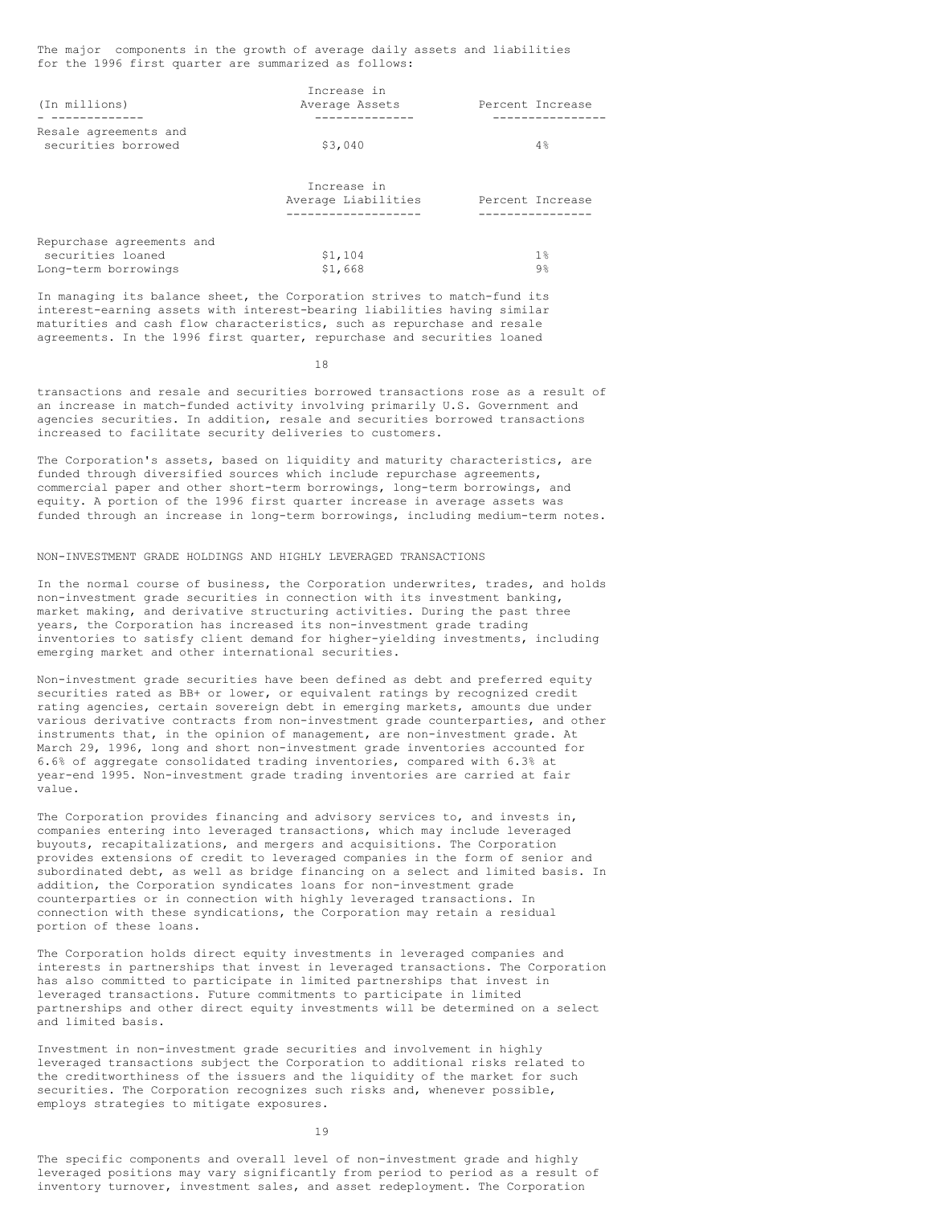The major components in the growth of average daily assets and liabilities for the 1996 first quarter are summarized as follows:

|                                                                        | Increase in                        |                  |
|------------------------------------------------------------------------|------------------------------------|------------------|
| (In millions)                                                          | Average Assets                     | Percent Increase |
|                                                                        |                                    |                  |
| Resale agreements and<br>securities borrowed                           | \$3,040                            | $4\%$            |
|                                                                        | Increase in<br>Average Liabilities | Percent Increase |
| Repurchase agreements and<br>securities loaned<br>Long-term borrowings | \$1,104<br>\$1,668                 | $1\%$<br>$9\%$   |

In managing its balance sheet, the Corporation strives to match-fund its interest-earning assets with interest-bearing liabilities having similar maturities and cash flow characteristics, such as repurchase and resale agreements. In the 1996 first quarter, repurchase and securities loaned

18

transactions and resale and securities borrowed transactions rose as a result of an increase in match-funded activity involving primarily U.S. Government and agencies securities. In addition, resale and securities borrowed transactions increased to facilitate security deliveries to customers.

The Corporation's assets, based on liquidity and maturity characteristics, are funded through diversified sources which include repurchase agreements, commercial paper and other short-term borrowings, long-term borrowings, and equity. A portion of the 1996 first quarter increase in average assets was funded through an increase in long-term borrowings, including medium-term notes.

#### NON-INVESTMENT GRADE HOLDINGS AND HIGHLY LEVERAGED TRANSACTIONS

In the normal course of business, the Corporation underwrites, trades, and holds non-investment grade securities in connection with its investment banking, market making, and derivative structuring activities. During the past three years, the Corporation has increased its non-investment grade trading inventories to satisfy client demand for higher-yielding investments, including emerging market and other international securities.

Non-investment grade securities have been defined as debt and preferred equity securities rated as BB+ or lower, or equivalent ratings by recognized credit rating agencies, certain sovereign debt in emerging markets, amounts due under various derivative contracts from non-investment grade counterparties, and other instruments that, in the opinion of management, are non-investment grade. At March 29, 1996, long and short non-investment grade inventories accounted for 6.6% of aggregate consolidated trading inventories, compared with 6.3% at year-end 1995. Non-investment grade trading inventories are carried at fair value.

The Corporation provides financing and advisory services to, and invests in, companies entering into leveraged transactions, which may include leveraged buyouts, recapitalizations, and mergers and acquisitions. The Corporation provides extensions of credit to leveraged companies in the form of senior and subordinated debt, as well as bridge financing on a select and limited basis. In addition, the Corporation syndicates loans for non-investment grade counterparties or in connection with highly leveraged transactions. In connection with these syndications, the Corporation may retain a residual portion of these loans.

The Corporation holds direct equity investments in leveraged companies and interests in partnerships that invest in leveraged transactions. The Corporation has also committed to participate in limited partnerships that invest in leveraged transactions. Future commitments to participate in limited partnerships and other direct equity investments will be determined on a select and limited basis.

Investment in non-investment grade securities and involvement in highly leveraged transactions subject the Corporation to additional risks related to the creditworthiness of the issuers and the liquidity of the market for such securities. The Corporation recognizes such risks and, whenever possible, employs strategies to mitigate exposures.

19

The specific components and overall level of non-investment grade and highly leveraged positions may vary significantly from period to period as a result of inventory turnover, investment sales, and asset redeployment. The Corporation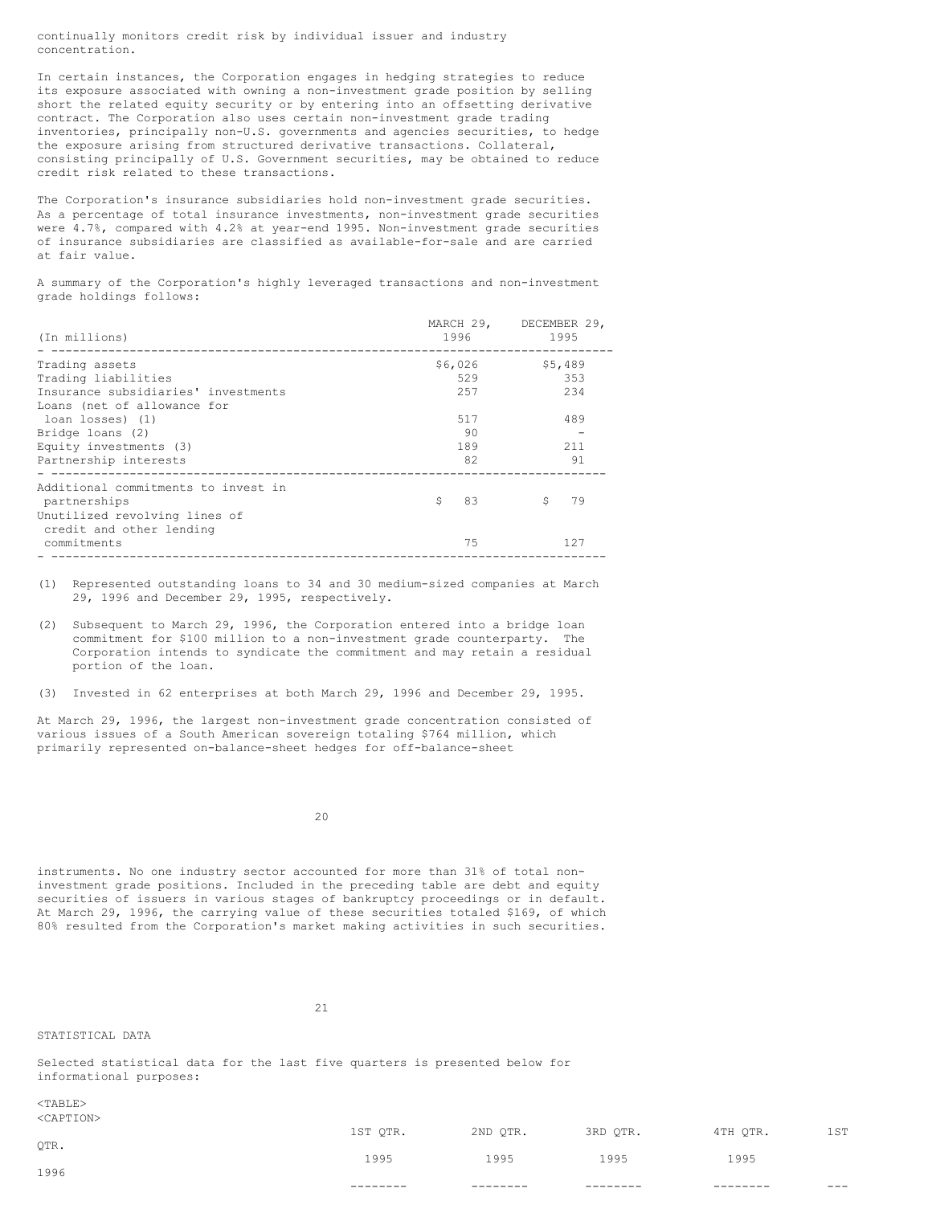continually monitors credit risk by individual issuer and industry concentration.

In certain instances, the Corporation engages in hedging strategies to reduce its exposure associated with owning a non-investment grade position by selling short the related equity security or by entering into an offsetting derivative contract. The Corporation also uses certain non-investment grade trading inventories, principally non-U.S. governments and agencies securities, to hedge the exposure arising from structured derivative transactions. Collateral, consisting principally of U.S. Government securities, may be obtained to reduce credit risk related to these transactions.

The Corporation's insurance subsidiaries hold non-investment grade securities. As a percentage of total insurance investments, non-investment grade securities were 4.7%, compared with 4.2% at year-end 1995. Non-investment grade securities of insurance subsidiaries are classified as available-for-sale and are carried at fair value.

A summary of the Corporation's highly leveraged transactions and non-investment grade holdings follows:

| (In millions)                                             | MARCH 29,<br>1996 | DECEMBER 29,<br>1995 |
|-----------------------------------------------------------|-------------------|----------------------|
| Trading assets                                            | \$6,026           | \$5,489              |
| Trading liabilities                                       | 529               | 353                  |
| Insurance subsidiaries' investments                       | 257               | 234                  |
| Loans (net of allowance for                               |                   |                      |
| loan losses) (1)                                          | 517               | 489                  |
| Bridge loans (2)                                          | 90                |                      |
| Equity investments (3)                                    | 189               | 211                  |
| Partnership interests                                     | 82                | 91                   |
| Additional commitments to invest in<br>partnerships       | 83<br>Š.          | Ŝ<br>79              |
| Unutilized revolving lines of<br>credit and other lending |                   |                      |
| commitments                                               | 75                | 127                  |

(1) Represented outstanding loans to 34 and 30 medium-sized companies at March 29, 1996 and December 29, 1995, respectively.

(2) Subsequent to March 29, 1996, the Corporation entered into a bridge loan commitment for \$100 million to a non-investment grade counterparty. The Corporation intends to syndicate the commitment and may retain a residual portion of the loan.

(3) Invested in 62 enterprises at both March 29, 1996 and December 29, 1995.

At March 29, 1996, the largest non-investment grade concentration consisted of various issues of a South American sovereign totaling \$764 million, which primarily represented on-balance-sheet hedges for off-balance-sheet

20

instruments. No one industry sector accounted for more than 31% of total noninvestment grade positions. Included in the preceding table are debt and equity securities of issuers in various stages of bankruptcy proceedings or in default. At March 29, 1996, the carrying value of these securities totaled \$169, of which 80% resulted from the Corporation's market making activities in such securities.

21

STATISTICAL DATA

Selected statistical data for the last five quarters is presented below for informational purposes:

<TABLE> CAPTIONS

|            | --       | ---      |          |          | $---$ |
|------------|----------|----------|----------|----------|-------|
| 1996       |          |          |          |          |       |
| QTR.       | 1995     | 1995     | 1995     | 1995     |       |
|            | 1ST QTR. | 2ND QTR. | 3RD QTR. | 4TH QTR. | lst   |
| NUAL LEUNZ |          |          |          |          |       |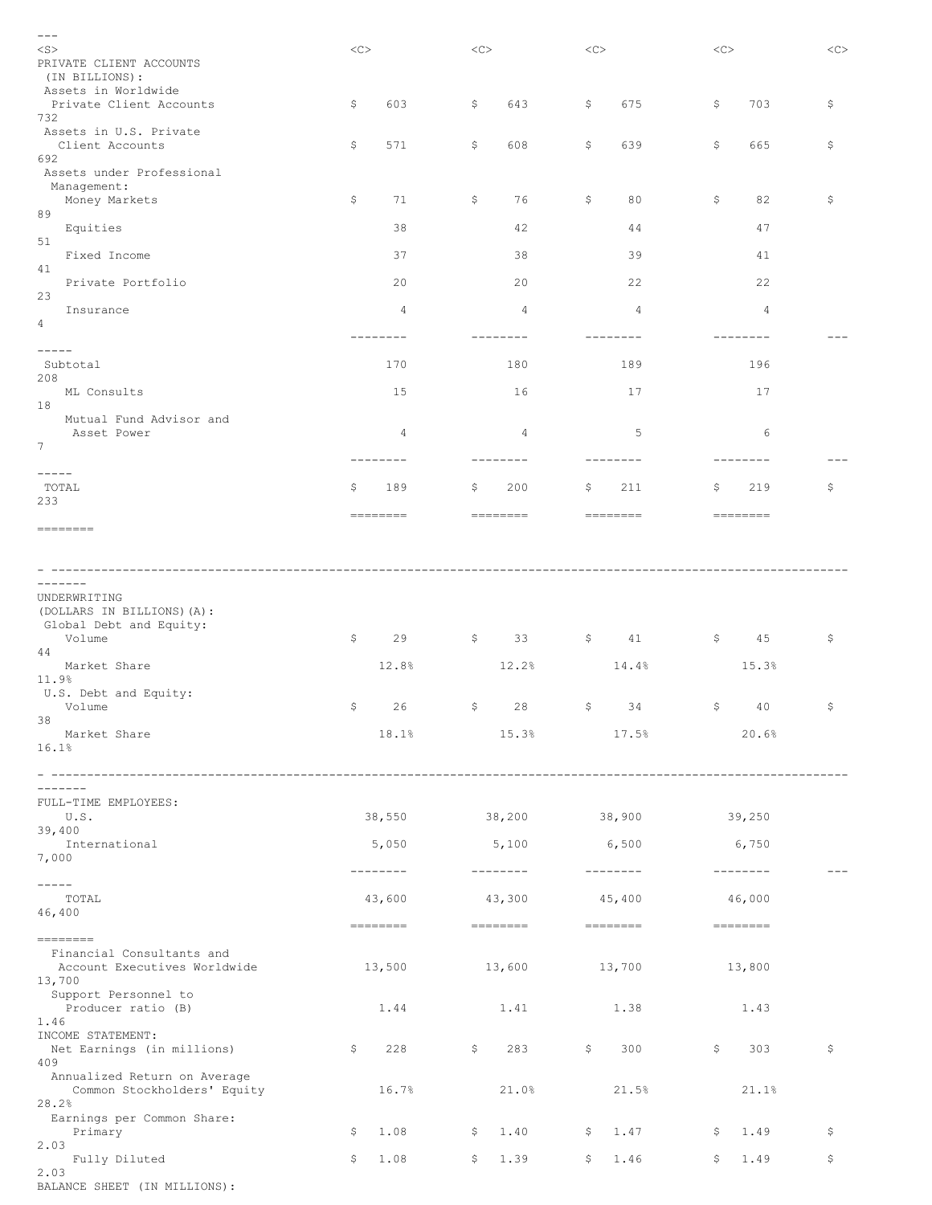| $---$                                                                                                                                                                                                                                                                                                                                                                                                                                                                                                               |                                                                                                                                                                                                                                                                                                                   |            |                   |                                                                                                                                                                                                                                                                                                                                                                                                                                                                                 |             |
|---------------------------------------------------------------------------------------------------------------------------------------------------------------------------------------------------------------------------------------------------------------------------------------------------------------------------------------------------------------------------------------------------------------------------------------------------------------------------------------------------------------------|-------------------------------------------------------------------------------------------------------------------------------------------------------------------------------------------------------------------------------------------------------------------------------------------------------------------|------------|-------------------|---------------------------------------------------------------------------------------------------------------------------------------------------------------------------------------------------------------------------------------------------------------------------------------------------------------------------------------------------------------------------------------------------------------------------------------------------------------------------------|-------------|
| $<$ S $>$                                                                                                                                                                                                                                                                                                                                                                                                                                                                                                           | <<                                                                                                                                                                                                                                                                                                                | <<         | <<                | <<                                                                                                                                                                                                                                                                                                                                                                                                                                                                              | <<          |
| PRIVATE CLIENT ACCOUNTS                                                                                                                                                                                                                                                                                                                                                                                                                                                                                             |                                                                                                                                                                                                                                                                                                                   |            |                   |                                                                                                                                                                                                                                                                                                                                                                                                                                                                                 |             |
| (IN BILLIONS):                                                                                                                                                                                                                                                                                                                                                                                                                                                                                                      |                                                                                                                                                                                                                                                                                                                   |            |                   |                                                                                                                                                                                                                                                                                                                                                                                                                                                                                 |             |
| Assets in Worldwide<br>Private Client Accounts                                                                                                                                                                                                                                                                                                                                                                                                                                                                      | \$<br>603                                                                                                                                                                                                                                                                                                         | \$<br>643  | \$<br>675         | \$<br>703                                                                                                                                                                                                                                                                                                                                                                                                                                                                       | \$          |
| 732                                                                                                                                                                                                                                                                                                                                                                                                                                                                                                                 |                                                                                                                                                                                                                                                                                                                   |            |                   |                                                                                                                                                                                                                                                                                                                                                                                                                                                                                 |             |
| Assets in U.S. Private                                                                                                                                                                                                                                                                                                                                                                                                                                                                                              |                                                                                                                                                                                                                                                                                                                   |            |                   |                                                                                                                                                                                                                                                                                                                                                                                                                                                                                 |             |
| Client Accounts                                                                                                                                                                                                                                                                                                                                                                                                                                                                                                     | \$<br>571                                                                                                                                                                                                                                                                                                         | \$<br>608  | \$<br>639         | \$<br>665                                                                                                                                                                                                                                                                                                                                                                                                                                                                       | \$          |
| 692                                                                                                                                                                                                                                                                                                                                                                                                                                                                                                                 |                                                                                                                                                                                                                                                                                                                   |            |                   |                                                                                                                                                                                                                                                                                                                                                                                                                                                                                 |             |
| Assets under Professional                                                                                                                                                                                                                                                                                                                                                                                                                                                                                           |                                                                                                                                                                                                                                                                                                                   |            |                   |                                                                                                                                                                                                                                                                                                                                                                                                                                                                                 |             |
| Management:<br>Money Markets                                                                                                                                                                                                                                                                                                                                                                                                                                                                                        | \$<br>71                                                                                                                                                                                                                                                                                                          | 76<br>Ş.   | \$<br>80          | \$<br>82                                                                                                                                                                                                                                                                                                                                                                                                                                                                        | \$          |
| 89                                                                                                                                                                                                                                                                                                                                                                                                                                                                                                                  |                                                                                                                                                                                                                                                                                                                   |            |                   |                                                                                                                                                                                                                                                                                                                                                                                                                                                                                 |             |
| Equities                                                                                                                                                                                                                                                                                                                                                                                                                                                                                                            | 38                                                                                                                                                                                                                                                                                                                | 42         | 44                | 47                                                                                                                                                                                                                                                                                                                                                                                                                                                                              |             |
| 51                                                                                                                                                                                                                                                                                                                                                                                                                                                                                                                  |                                                                                                                                                                                                                                                                                                                   |            |                   |                                                                                                                                                                                                                                                                                                                                                                                                                                                                                 |             |
| Fixed Income                                                                                                                                                                                                                                                                                                                                                                                                                                                                                                        | 37                                                                                                                                                                                                                                                                                                                | 38         | 39                | 41                                                                                                                                                                                                                                                                                                                                                                                                                                                                              |             |
| 41<br>Private Portfolio                                                                                                                                                                                                                                                                                                                                                                                                                                                                                             | 20                                                                                                                                                                                                                                                                                                                | 20         | 22                | 22                                                                                                                                                                                                                                                                                                                                                                                                                                                                              |             |
| 23                                                                                                                                                                                                                                                                                                                                                                                                                                                                                                                  |                                                                                                                                                                                                                                                                                                                   |            |                   |                                                                                                                                                                                                                                                                                                                                                                                                                                                                                 |             |
| Insurance                                                                                                                                                                                                                                                                                                                                                                                                                                                                                                           | 4                                                                                                                                                                                                                                                                                                                 | 4          | 4                 | 4                                                                                                                                                                                                                                                                                                                                                                                                                                                                               |             |
| 4                                                                                                                                                                                                                                                                                                                                                                                                                                                                                                                   |                                                                                                                                                                                                                                                                                                                   |            |                   |                                                                                                                                                                                                                                                                                                                                                                                                                                                                                 |             |
|                                                                                                                                                                                                                                                                                                                                                                                                                                                                                                                     | --------                                                                                                                                                                                                                                                                                                          | $------$   |                   |                                                                                                                                                                                                                                                                                                                                                                                                                                                                                 |             |
| -----                                                                                                                                                                                                                                                                                                                                                                                                                                                                                                               |                                                                                                                                                                                                                                                                                                                   |            |                   |                                                                                                                                                                                                                                                                                                                                                                                                                                                                                 |             |
| Subtotal<br>208                                                                                                                                                                                                                                                                                                                                                                                                                                                                                                     | 170                                                                                                                                                                                                                                                                                                               | 180        | 189               | 196                                                                                                                                                                                                                                                                                                                                                                                                                                                                             |             |
| ML Consults                                                                                                                                                                                                                                                                                                                                                                                                                                                                                                         | 15                                                                                                                                                                                                                                                                                                                | 16         | 17                | 17                                                                                                                                                                                                                                                                                                                                                                                                                                                                              |             |
| 18                                                                                                                                                                                                                                                                                                                                                                                                                                                                                                                  |                                                                                                                                                                                                                                                                                                                   |            |                   |                                                                                                                                                                                                                                                                                                                                                                                                                                                                                 |             |
| Mutual Fund Advisor and                                                                                                                                                                                                                                                                                                                                                                                                                                                                                             |                                                                                                                                                                                                                                                                                                                   |            |                   |                                                                                                                                                                                                                                                                                                                                                                                                                                                                                 |             |
| Asset Power                                                                                                                                                                                                                                                                                                                                                                                                                                                                                                         | 4                                                                                                                                                                                                                                                                                                                 | 4          | 5                 | 6                                                                                                                                                                                                                                                                                                                                                                                                                                                                               |             |
| $\boldsymbol{7}$                                                                                                                                                                                                                                                                                                                                                                                                                                                                                                    |                                                                                                                                                                                                                                                                                                                   |            |                   |                                                                                                                                                                                                                                                                                                                                                                                                                                                                                 |             |
| $- - - - -$                                                                                                                                                                                                                                                                                                                                                                                                                                                                                                         | --------                                                                                                                                                                                                                                                                                                          | --------   | --------          | ------                                                                                                                                                                                                                                                                                                                                                                                                                                                                          |             |
| TOTAL                                                                                                                                                                                                                                                                                                                                                                                                                                                                                                               | \$.<br>189                                                                                                                                                                                                                                                                                                        | 200<br>Ş.  | \$.<br>211        | 219<br>\$.                                                                                                                                                                                                                                                                                                                                                                                                                                                                      | \$          |
| 233                                                                                                                                                                                                                                                                                                                                                                                                                                                                                                                 |                                                                                                                                                                                                                                                                                                                   |            |                   |                                                                                                                                                                                                                                                                                                                                                                                                                                                                                 |             |
|                                                                                                                                                                                                                                                                                                                                                                                                                                                                                                                     |                                                                                                                                                                                                                                                                                                                   | ========   |                   | ========                                                                                                                                                                                                                                                                                                                                                                                                                                                                        |             |
| ========                                                                                                                                                                                                                                                                                                                                                                                                                                                                                                            |                                                                                                                                                                                                                                                                                                                   |            |                   |                                                                                                                                                                                                                                                                                                                                                                                                                                                                                 |             |
|                                                                                                                                                                                                                                                                                                                                                                                                                                                                                                                     |                                                                                                                                                                                                                                                                                                                   |            |                   |                                                                                                                                                                                                                                                                                                                                                                                                                                                                                 |             |
|                                                                                                                                                                                                                                                                                                                                                                                                                                                                                                                     |                                                                                                                                                                                                                                                                                                                   |            |                   |                                                                                                                                                                                                                                                                                                                                                                                                                                                                                 |             |
| -------                                                                                                                                                                                                                                                                                                                                                                                                                                                                                                             |                                                                                                                                                                                                                                                                                                                   |            |                   |                                                                                                                                                                                                                                                                                                                                                                                                                                                                                 |             |
| UNDERWRITING                                                                                                                                                                                                                                                                                                                                                                                                                                                                                                        |                                                                                                                                                                                                                                                                                                                   |            |                   |                                                                                                                                                                                                                                                                                                                                                                                                                                                                                 |             |
| (DOLLARS IN BILLIONS) (A):                                                                                                                                                                                                                                                                                                                                                                                                                                                                                          |                                                                                                                                                                                                                                                                                                                   |            |                   |                                                                                                                                                                                                                                                                                                                                                                                                                                                                                 |             |
| Global Debt and Equity:                                                                                                                                                                                                                                                                                                                                                                                                                                                                                             |                                                                                                                                                                                                                                                                                                                   |            |                   |                                                                                                                                                                                                                                                                                                                                                                                                                                                                                 |             |
| Volume                                                                                                                                                                                                                                                                                                                                                                                                                                                                                                              | \$<br>29                                                                                                                                                                                                                                                                                                          | 33<br>Ş.   | \$<br>41          | 45<br>Ş.                                                                                                                                                                                                                                                                                                                                                                                                                                                                        | \$          |
| 44                                                                                                                                                                                                                                                                                                                                                                                                                                                                                                                  |                                                                                                                                                                                                                                                                                                                   |            |                   |                                                                                                                                                                                                                                                                                                                                                                                                                                                                                 |             |
| Market Share<br>11.9%                                                                                                                                                                                                                                                                                                                                                                                                                                                                                               | 12.8%                                                                                                                                                                                                                                                                                                             | 12.2%      | 14.4%             | 15.3%                                                                                                                                                                                                                                                                                                                                                                                                                                                                           |             |
| U.S. Debt and Equity:                                                                                                                                                                                                                                                                                                                                                                                                                                                                                               |                                                                                                                                                                                                                                                                                                                   |            |                   |                                                                                                                                                                                                                                                                                                                                                                                                                                                                                 |             |
| Volume                                                                                                                                                                                                                                                                                                                                                                                                                                                                                                              | \$<br>26                                                                                                                                                                                                                                                                                                          | \$<br>28   | \$<br>34          | \$<br>40                                                                                                                                                                                                                                                                                                                                                                                                                                                                        | \$          |
| 38                                                                                                                                                                                                                                                                                                                                                                                                                                                                                                                  |                                                                                                                                                                                                                                                                                                                   |            |                   |                                                                                                                                                                                                                                                                                                                                                                                                                                                                                 |             |
| Market Share                                                                                                                                                                                                                                                                                                                                                                                                                                                                                                        | 18.1%                                                                                                                                                                                                                                                                                                             | 15.3%      | 17.5%             | 20.6%                                                                                                                                                                                                                                                                                                                                                                                                                                                                           |             |
| 16.1%                                                                                                                                                                                                                                                                                                                                                                                                                                                                                                               |                                                                                                                                                                                                                                                                                                                   |            |                   |                                                                                                                                                                                                                                                                                                                                                                                                                                                                                 |             |
|                                                                                                                                                                                                                                                                                                                                                                                                                                                                                                                     |                                                                                                                                                                                                                                                                                                                   |            |                   |                                                                                                                                                                                                                                                                                                                                                                                                                                                                                 |             |
| --------                                                                                                                                                                                                                                                                                                                                                                                                                                                                                                            |                                                                                                                                                                                                                                                                                                                   |            |                   |                                                                                                                                                                                                                                                                                                                                                                                                                                                                                 |             |
| FULL-TIME EMPLOYEES:                                                                                                                                                                                                                                                                                                                                                                                                                                                                                                |                                                                                                                                                                                                                                                                                                                   |            |                   |                                                                                                                                                                                                                                                                                                                                                                                                                                                                                 |             |
| U.S.                                                                                                                                                                                                                                                                                                                                                                                                                                                                                                                | 38,550                                                                                                                                                                                                                                                                                                            | 38,200     | 38,900            | 39,250                                                                                                                                                                                                                                                                                                                                                                                                                                                                          |             |
| 39,400                                                                                                                                                                                                                                                                                                                                                                                                                                                                                                              |                                                                                                                                                                                                                                                                                                                   |            |                   |                                                                                                                                                                                                                                                                                                                                                                                                                                                                                 |             |
| International                                                                                                                                                                                                                                                                                                                                                                                                                                                                                                       | 5,050                                                                                                                                                                                                                                                                                                             | 5,100      | 6,500             | 6,750                                                                                                                                                                                                                                                                                                                                                                                                                                                                           |             |
| 7,000                                                                                                                                                                                                                                                                                                                                                                                                                                                                                                               | $- - - - - - - -$                                                                                                                                                                                                                                                                                                 | _________  | $- - - - - - - -$ | $- - - - - - - -$                                                                                                                                                                                                                                                                                                                                                                                                                                                               | $  -$       |
| $- - - - -$                                                                                                                                                                                                                                                                                                                                                                                                                                                                                                         |                                                                                                                                                                                                                                                                                                                   |            |                   |                                                                                                                                                                                                                                                                                                                                                                                                                                                                                 |             |
| TOTAL                                                                                                                                                                                                                                                                                                                                                                                                                                                                                                               | 43,600                                                                                                                                                                                                                                                                                                            | 43,300     | 45,400            | 46,000                                                                                                                                                                                                                                                                                                                                                                                                                                                                          |             |
| 46,400                                                                                                                                                                                                                                                                                                                                                                                                                                                                                                              |                                                                                                                                                                                                                                                                                                                   |            |                   |                                                                                                                                                                                                                                                                                                                                                                                                                                                                                 |             |
|                                                                                                                                                                                                                                                                                                                                                                                                                                                                                                                     | $\begin{tabular}{lllllllllll} \toprule & & \textbf{0.13cm}{0.002cm}{\bf 0.002cm}{\bf 0.002cm}{\bf 0.0002cm}{\bf 0.0002cm}{\bf 0.0002cm}{\bf 0.0002cm}{\bf 0.0002cm}{\bf 0.0002cm}{\bf 0.0002cm}{\bf 0.0002cm}{\bf 0.0002cm}{\bf 0.0002cm}{\bf 0.0002cm}{\bf 0.0002cm}{\bf 0.0002cm}{\bf 0.0002cm}{\bf 0.0002cm}{$ |            | _________         | $\begin{tabular}{ll} \multicolumn{2}{c}{\textbf{m}} & \multicolumn{2}{c}{\textbf{m}} & \multicolumn{2}{c}{\textbf{m}} & \multicolumn{2}{c}{\textbf{m}} & \multicolumn{2}{c}{\textbf{m}} & \multicolumn{2}{c}{\textbf{m}} & \multicolumn{2}{c}{\textbf{m}} & \multicolumn{2}{c}{\textbf{m}} & \multicolumn{2}{c}{\textbf{m}} & \multicolumn{2}{c}{\textbf{m}} & \multicolumn{2}{c}{\textbf{m}} & \multicolumn{2}{c}{\textbf{m}} & \multicolumn{2}{c}{\textbf{m}} & \multicolumn$ |             |
| $\begin{tabular}{ll} \multicolumn{3}{l}{{\color{blue}\textbf{1}}}\\ \multicolumn{3}{l}{\color{blue}\textbf{2}}\\ \multicolumn{3}{l}{\color{blue}\textbf{2}}\\ \multicolumn{3}{l}{\color{blue}\textbf{3}}\\ \multicolumn{3}{l}{\color{blue}\textbf{4}}\\ \multicolumn{3}{l}{\color{blue}\textbf{4}}\\ \multicolumn{3}{l}{\color{blue}\textbf{4}}\\ \multicolumn{3}{l}{\color{blue}\textbf{5}}\\ \multicolumn{3}{l}{\color{blue}\textbf{5}}\\ \multicolumn{3}{l}{\color{blue}\textbf{5}}\\ \multicolumn{3}{l}{\color$ |                                                                                                                                                                                                                                                                                                                   |            |                   |                                                                                                                                                                                                                                                                                                                                                                                                                                                                                 |             |
| Financial Consultants and                                                                                                                                                                                                                                                                                                                                                                                                                                                                                           |                                                                                                                                                                                                                                                                                                                   |            |                   |                                                                                                                                                                                                                                                                                                                                                                                                                                                                                 |             |
| Account Executives Worldwide<br>13,700                                                                                                                                                                                                                                                                                                                                                                                                                                                                              | 13,500                                                                                                                                                                                                                                                                                                            | 13,600     | 13,700            | 13,800                                                                                                                                                                                                                                                                                                                                                                                                                                                                          |             |
| Support Personnel to                                                                                                                                                                                                                                                                                                                                                                                                                                                                                                |                                                                                                                                                                                                                                                                                                                   |            |                   |                                                                                                                                                                                                                                                                                                                                                                                                                                                                                 |             |
| Producer ratio (B)                                                                                                                                                                                                                                                                                                                                                                                                                                                                                                  | 1.44                                                                                                                                                                                                                                                                                                              | 1.41       | 1.38              | 1.43                                                                                                                                                                                                                                                                                                                                                                                                                                                                            |             |
| 1.46                                                                                                                                                                                                                                                                                                                                                                                                                                                                                                                |                                                                                                                                                                                                                                                                                                                   |            |                   |                                                                                                                                                                                                                                                                                                                                                                                                                                                                                 |             |
| INCOME STATEMENT:                                                                                                                                                                                                                                                                                                                                                                                                                                                                                                   |                                                                                                                                                                                                                                                                                                                   |            |                   |                                                                                                                                                                                                                                                                                                                                                                                                                                                                                 |             |
| Net Earnings (in millions)                                                                                                                                                                                                                                                                                                                                                                                                                                                                                          | 228<br>Ş.                                                                                                                                                                                                                                                                                                         | \$<br>283  | \$<br>300         | \$<br>303                                                                                                                                                                                                                                                                                                                                                                                                                                                                       | $\varsigma$ |
| 409                                                                                                                                                                                                                                                                                                                                                                                                                                                                                                                 |                                                                                                                                                                                                                                                                                                                   |            |                   |                                                                                                                                                                                                                                                                                                                                                                                                                                                                                 |             |
| Annualized Return on Average<br>Common Stockholders' Equity                                                                                                                                                                                                                                                                                                                                                                                                                                                         | 16.7%                                                                                                                                                                                                                                                                                                             | 21.0%      | 21.5%             | 21.1%                                                                                                                                                                                                                                                                                                                                                                                                                                                                           |             |
| 28.2%                                                                                                                                                                                                                                                                                                                                                                                                                                                                                                               |                                                                                                                                                                                                                                                                                                                   |            |                   |                                                                                                                                                                                                                                                                                                                                                                                                                                                                                 |             |
| Earnings per Common Share:                                                                                                                                                                                                                                                                                                                                                                                                                                                                                          |                                                                                                                                                                                                                                                                                                                   |            |                   |                                                                                                                                                                                                                                                                                                                                                                                                                                                                                 |             |
| Primary                                                                                                                                                                                                                                                                                                                                                                                                                                                                                                             | \$<br>1.08                                                                                                                                                                                                                                                                                                        | \$<br>1.40 | \$1.47            | \$1.49                                                                                                                                                                                                                                                                                                                                                                                                                                                                          | \$          |
| 2.03                                                                                                                                                                                                                                                                                                                                                                                                                                                                                                                |                                                                                                                                                                                                                                                                                                                   |            |                   |                                                                                                                                                                                                                                                                                                                                                                                                                                                                                 |             |
| Fully Diluted                                                                                                                                                                                                                                                                                                                                                                                                                                                                                                       | \$<br>1.08                                                                                                                                                                                                                                                                                                        | \$<br>1.39 | \$<br>1.46        | \$<br>1.49                                                                                                                                                                                                                                                                                                                                                                                                                                                                      | \$          |
| 2.03                                                                                                                                                                                                                                                                                                                                                                                                                                                                                                                |                                                                                                                                                                                                                                                                                                                   |            |                   |                                                                                                                                                                                                                                                                                                                                                                                                                                                                                 |             |
| BALANCE SHEET (IN MILLIONS):                                                                                                                                                                                                                                                                                                                                                                                                                                                                                        |                                                                                                                                                                                                                                                                                                                   |            |                   |                                                                                                                                                                                                                                                                                                                                                                                                                                                                                 |             |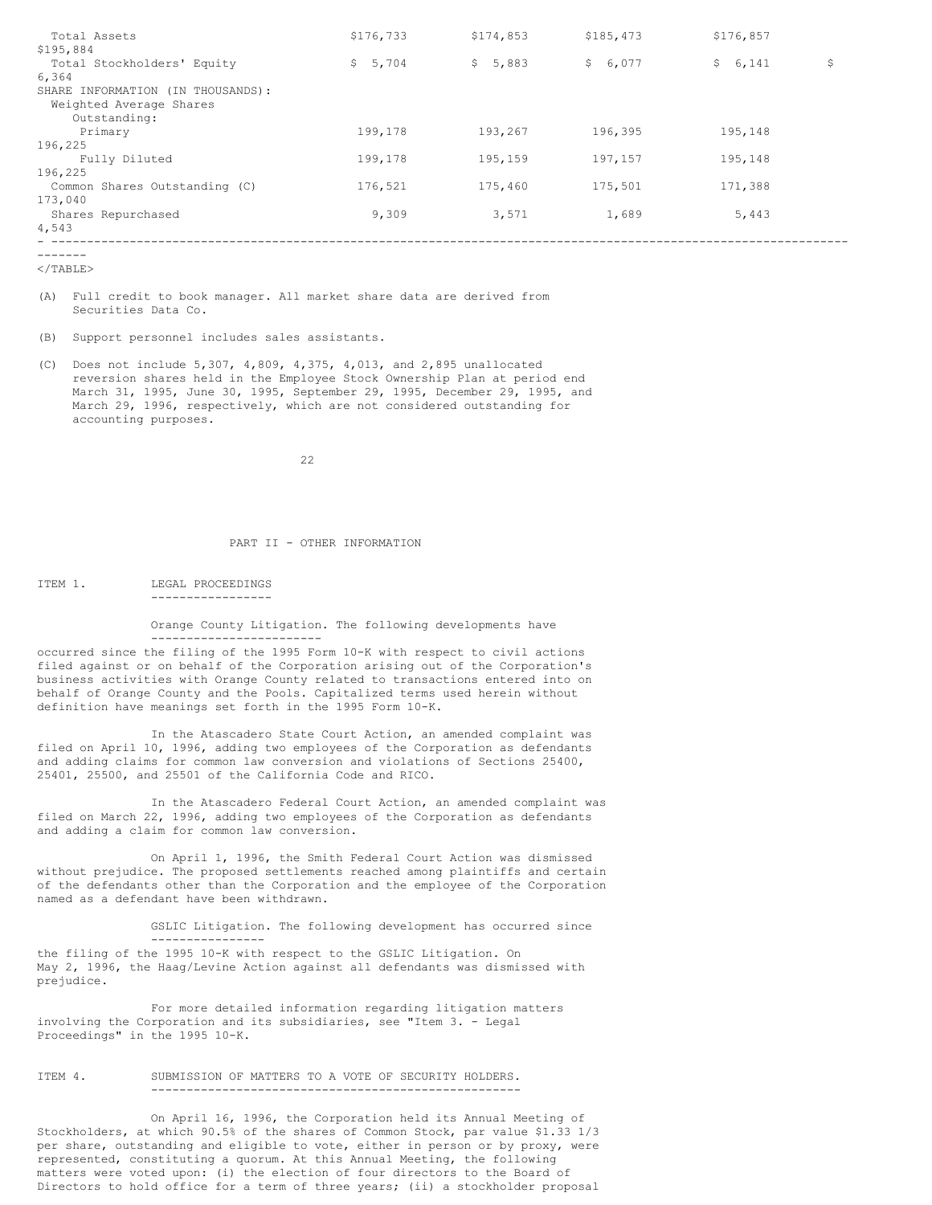| Total Assets                      | \$176,733   | \$174,853 | \$185,473             | \$176,857 |    |
|-----------------------------------|-------------|-----------|-----------------------|-----------|----|
| \$195,884                         |             |           |                       |           |    |
| Total Stockholders' Equity        | 5,704<br>S. | \$5,883   | $\mathsf{S}$<br>6,077 | \$6,141   | \$ |
| 6,364                             |             |           |                       |           |    |
| SHARE INFORMATION (IN THOUSANDS): |             |           |                       |           |    |
| Weighted Average Shares           |             |           |                       |           |    |
| Outstanding:                      |             |           |                       |           |    |
| Primary                           | 199,178     | 193,267   | 196,395               | 195,148   |    |
| 196,225                           |             |           |                       |           |    |
| Fully Diluted                     | 199,178     | 195,159   | 197,157               | 195,148   |    |
| 196,225                           |             |           |                       |           |    |
| Common Shares Outstanding (C)     | 176,521     | 175,460   | 175,501               | 171,388   |    |
| 173,040                           |             |           |                       |           |    |
| Shares Repurchased                | 9,309       | 3,571     | 1,689                 | 5,443     |    |
| 4,543                             |             |           |                       |           |    |
|                                   |             |           |                       |           |    |

-------

 $<$ /TABLE>

(A) Full credit to book manager. All market share data are derived from Securities Data Co.

(B) Support personnel includes sales assistants.

-----------------

----------------

------------------------

(C) Does not include 5,307, 4,809, 4,375, 4,013, and 2,895 unallocated reversion shares held in the Employee Stock Ownership Plan at period end March 31, 1995, June 30, 1995, September 29, 1995, December 29, 1995, and March 29, 1996, respectively, which are not considered outstanding for accounting purposes.

22

## PART II - OTHER INFORMATION

ITEM 1. LEGAL PROCEEDINGS

Orange County Litigation. The following developments have

occurred since the filing of the 1995 Form 10-K with respect to civil actions filed against or on behalf of the Corporation arising out of the Corporation's business activities with Orange County related to transactions entered into on behalf of Orange County and the Pools. Capitalized terms used herein without definition have meanings set forth in the 1995 Form 10-K.

In the Atascadero State Court Action, an amended complaint was filed on April 10, 1996, adding two employees of the Corporation as defendants and adding claims for common law conversion and violations of Sections 25400, 25401, 25500, and 25501 of the California Code and RICO.

In the Atascadero Federal Court Action, an amended complaint was filed on March 22, 1996, adding two employees of the Corporation as defendants and adding a claim for common law conversion.

On April 1, 1996, the Smith Federal Court Action was dismissed without prejudice. The proposed settlements reached among plaintiffs and certain of the defendants other than the Corporation and the employee of the Corporation named as a defendant have been withdrawn.

GSLIC Litigation. The following development has occurred since

the filing of the 1995 10-K with respect to the GSLIC Litigation. On May 2, 1996, the Haag/Levine Action against all defendants was dismissed with prejudice.

For more detailed information regarding litigation matters involving the Corporation and its subsidiaries, see "Item 3. - Legal Proceedings" in the 1995 10-K.

ITEM 4. SUBMISSION OF MATTERS TO A VOTE OF SECURITY HOLDERS. ----------------------------------------------------

On April 16, 1996, the Corporation held its Annual Meeting of Stockholders, at which 90.5% of the shares of Common Stock, par value \$1.33 1/3 per share, outstanding and eligible to vote, either in person or by proxy, were represented, constituting a quorum. At this Annual Meeting, the following matters were voted upon: (i) the election of four directors to the Board of Directors to hold office for a term of three years; (ii) a stockholder proposal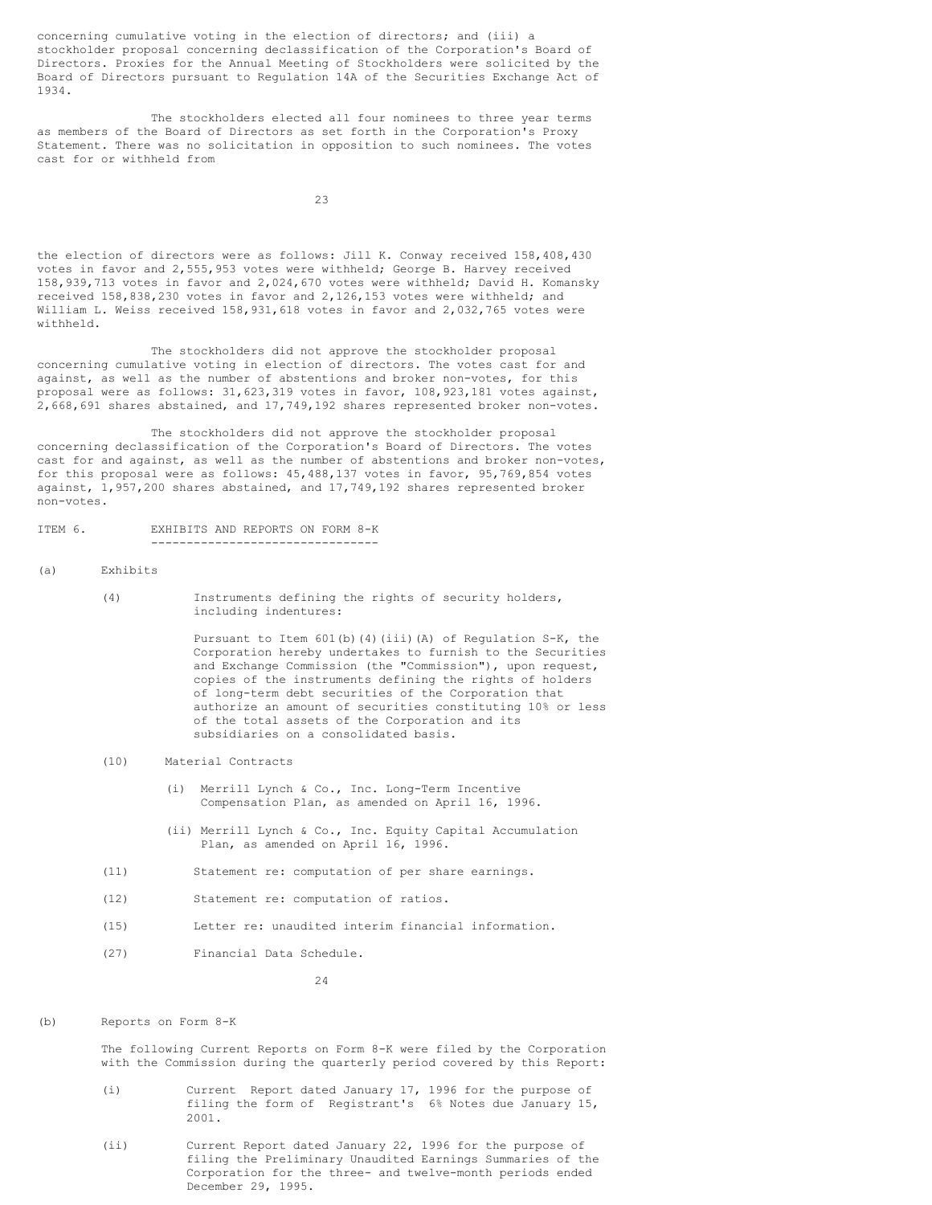concerning cumulative voting in the election of directors; and (iii) a stockholder proposal concerning declassification of the Corporation's Board of Directors. Proxies for the Annual Meeting of Stockholders were solicited by the Board of Directors pursuant to Regulation 14A of the Securities Exchange Act of 1934.

The stockholders elected all four nominees to three year terms as members of the Board of Directors as set forth in the Corporation's Proxy Statement. There was no solicitation in opposition to such nominees. The votes cast for or withheld from

23

the election of directors were as follows: Jill K. Conway received 158,408,430 votes in favor and 2,555,953 votes were withheld; George B. Harvey received 158,939,713 votes in favor and 2,024,670 votes were withheld; David H. Komansky received 158,838,230 votes in favor and 2,126,153 votes were withheld; and William L. Weiss received 158,931,618 votes in favor and 2,032,765 votes were withheld.

The stockholders did not approve the stockholder proposal concerning cumulative voting in election of directors. The votes cast for and against, as well as the number of abstentions and broker non-votes, for this proposal were as follows: 31,623,319 votes in favor, 108,923,181 votes against, 2,668,691 shares abstained, and 17,749,192 shares represented broker non-votes.

The stockholders did not approve the stockholder proposal concerning declassification of the Corporation's Board of Directors. The votes cast for and against, as well as the number of abstentions and broker non-votes, for this proposal were as follows: 45,488,137 votes in favor, 95,769,854 votes against, 1,957,200 shares abstained, and 17,749,192 shares represented broker non-votes.

# ITEM 6. EXHIBITS AND REPORTS ON FORM 8-K

--------------------------------

## (a) Exhibits

(4) Instruments defining the rights of security holders, including indentures:

> Pursuant to Item 601(b)(4)(iii)(A) of Regulation S-K, the Corporation hereby undertakes to furnish to the Securities and Exchange Commission (the "Commission"), upon request, copies of the instruments defining the rights of holders of long-term debt securities of the Corporation that authorize an amount of securities constituting 10% or less of the total assets of the Corporation and its subsidiaries on a consolidated basis.

- (10) Material Contracts
	- (i) Merrill Lynch & Co., Inc. Long-Term Incentive Compensation Plan, as amended on April 16, 1996.
	- (ii) Merrill Lynch & Co., Inc. Equity Capital Accumulation Plan, as amended on April 16, 1996.
- (11) Statement re: computation of per share earnings.
- (12) Statement re: computation of ratios.
- (15) Letter re: unaudited interim financial information.
- (27) Financial Data Schedule.

24

#### (b) Reports on Form 8-K

The following Current Reports on Form 8-K were filed by the Corporation with the Commission during the quarterly period covered by this Report:

- (i) Current Report dated January 17, 1996 for the purpose of filing the form of Registrant's 6% Notes due January 15, 2001.
- (ii) Current Report dated January 22, 1996 for the purpose of filing the Preliminary Unaudited Earnings Summaries of the Corporation for the three- and twelve-month periods ended December 29, 1995.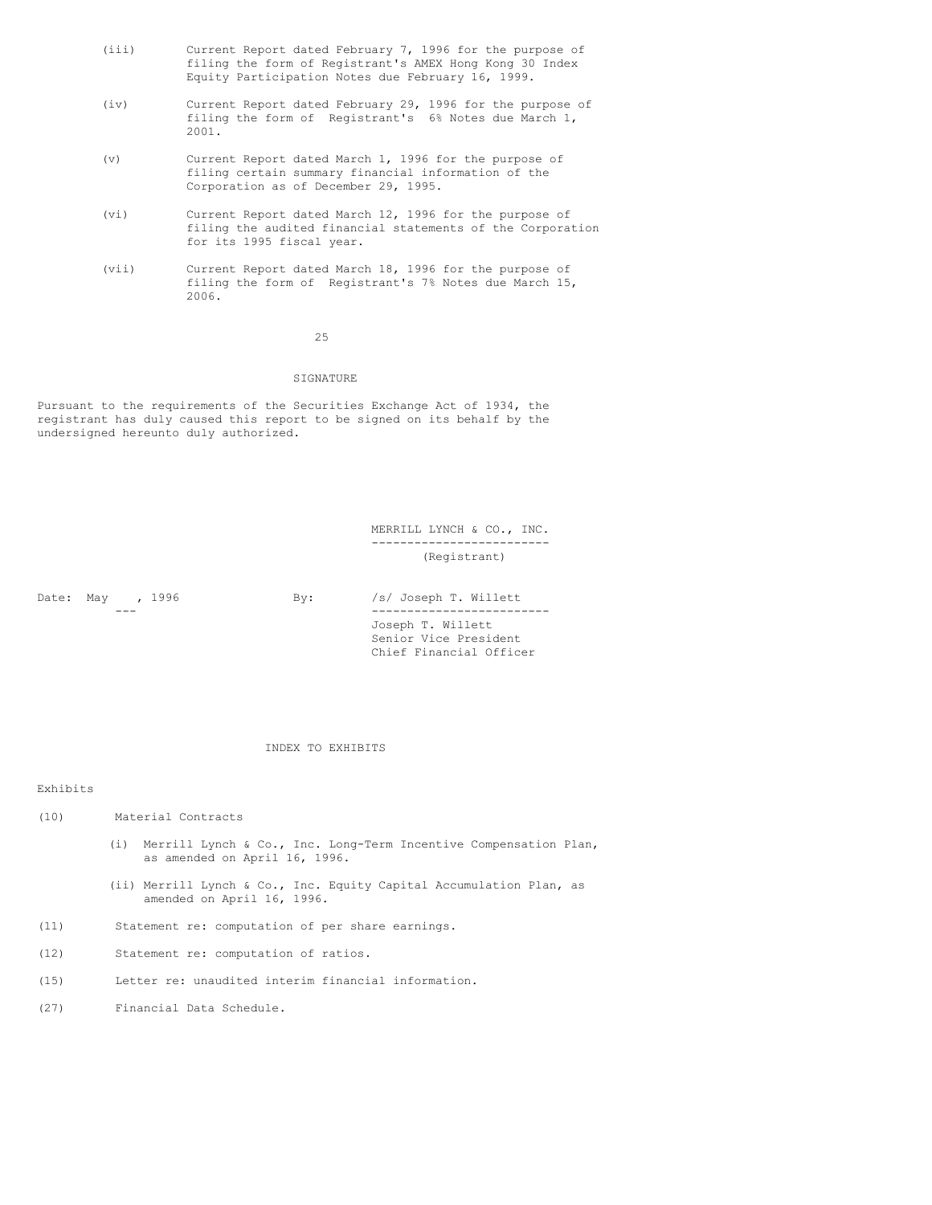- (iii) Current Report dated February 7, 1996 for the purpose of filing the form of Registrant's AMEX Hong Kong 30 Index Equity Participation Notes due February 16, 1999.
- (iv) Current Report dated February 29, 1996 for the purpose of filing the form of Registrant's 6% Notes due March 1, 2001.
- (v) Current Report dated March 1, 1996 for the purpose of filing certain summary financial information of the Corporation as of December 29, 1995.
- (vi) Current Report dated March 12, 1996 for the purpose of filing the audited financial statements of the Corporation for its 1995 fiscal year.
- (vii) Current Report dated March 18, 1996 for the purpose of filing the form of Registrant's 7% Notes due March 15, 2006.

25

# SIGNATURE

Pursuant to the requirements of the Securities Exchange Act of 1934, the registrant has duly caused this report to be signed on its behalf by the undersigned hereunto duly authorized.

> MERRILL LYNCH & CO., INC. ------------------------- (Registrant)

Date: May , 1996 By: /s/ Joseph T. Willett --- ------------------------- Joseph T. Willett Senior Vice President Chief Financial Officer

## INDEX TO EXHIBITS

## Exhibits

- (10) Material Contracts
	- (i) Merrill Lynch & Co., Inc. Long-Term Incentive Compensation Plan, as amended on April 16, 1996.
	- (ii) Merrill Lynch & Co., Inc. Equity Capital Accumulation Plan, as amended on April 16, 1996.
- (11) Statement re: computation of per share earnings.
- (12) Statement re: computation of ratios.
- (15) Letter re: unaudited interim financial information.
- (27) Financial Data Schedule.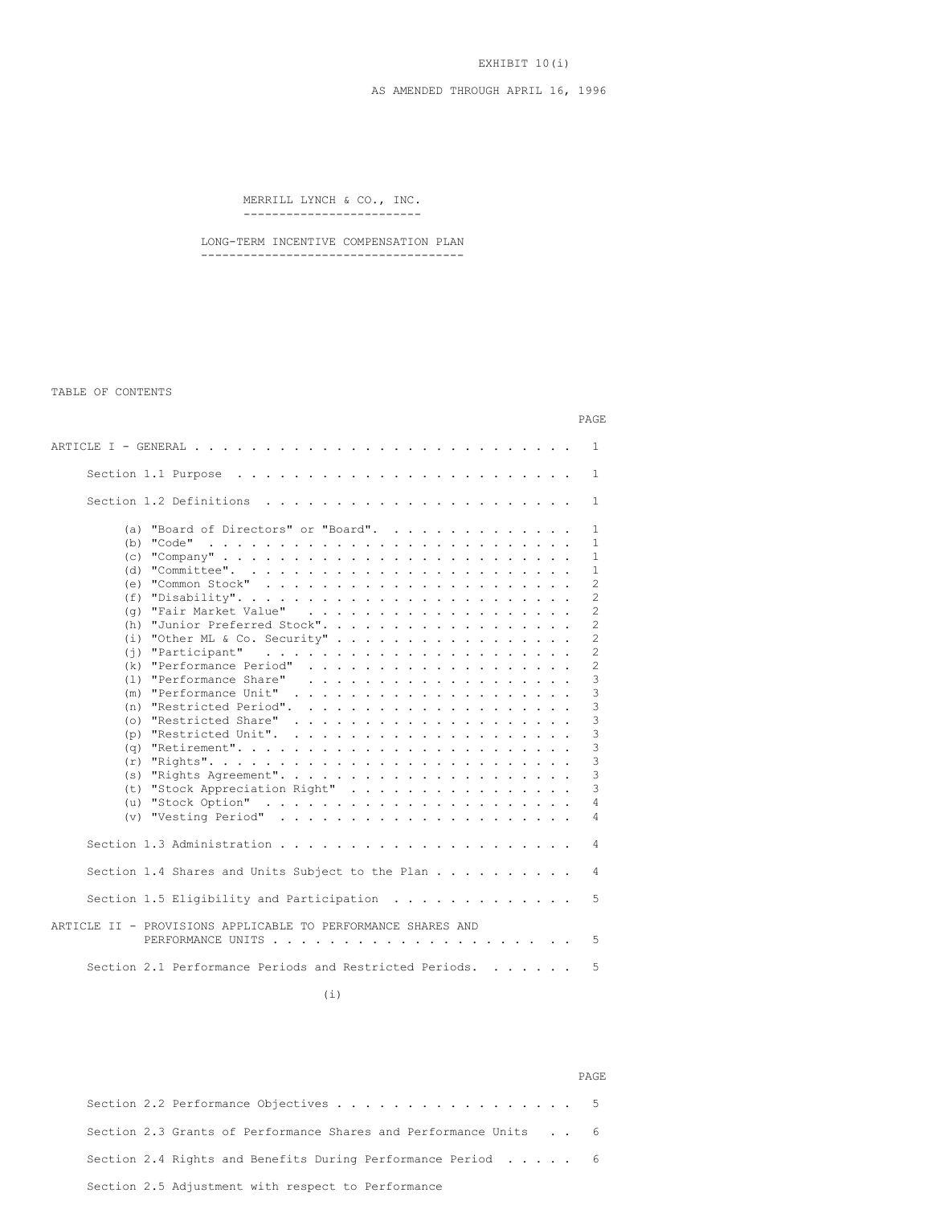EXHIBIT 10(i)

# AS AMENDED THROUGH APRIL 16, 1996

MERRILL LYNCH & CO., INC. -------------------------

LONG-TERM INCENTIVE COMPENSATION PLAN -------------------------------------

TABLE OF CONTENTS

|                                                                                                                                                                                                                                                                                                                                                                                                                                                                                                      | PAGE                                                                                                                                                     |
|------------------------------------------------------------------------------------------------------------------------------------------------------------------------------------------------------------------------------------------------------------------------------------------------------------------------------------------------------------------------------------------------------------------------------------------------------------------------------------------------------|----------------------------------------------------------------------------------------------------------------------------------------------------------|
|                                                                                                                                                                                                                                                                                                                                                                                                                                                                                                      | $\mathbf{1}$                                                                                                                                             |
|                                                                                                                                                                                                                                                                                                                                                                                                                                                                                                      | 1                                                                                                                                                        |
|                                                                                                                                                                                                                                                                                                                                                                                                                                                                                                      | 1.                                                                                                                                                       |
| "Board of Directors" or "Board".<br>(a)<br>"Code"<br>(b)<br>. The contract of the contract of the contract of the contract of the contract of the contract of the contract of the contract of the contract of the contract of the contract of the contract of the contract of the contrac<br>(e)<br>(f)<br>(q)<br>(h) "Junior Preferred Stock".<br>(k)<br>"Performance Share"<br>(1)<br>.<br>(m)<br>(n)<br>(o) "Restricted Share"<br>(p) "Restricted Unit".<br>(q)<br>(t) "Stock Appreciation Right" | 1<br>$\mathbf{1}$<br>$\mathbf{1}$<br>$\mathbf{1}$<br>2<br>2<br>$\mathfrak{D}$<br>2<br>2<br>2<br>2<br>3<br>3<br>3<br>3<br>3<br>3<br>3<br>3<br>3<br>4<br>4 |
|                                                                                                                                                                                                                                                                                                                                                                                                                                                                                                      | 4                                                                                                                                                        |
| Section 1.4 Shares and Units Subject to the Plan                                                                                                                                                                                                                                                                                                                                                                                                                                                     | 4                                                                                                                                                        |
| Section 1.5 Eligibility and Participation $\ldots \ldots \ldots \ldots$                                                                                                                                                                                                                                                                                                                                                                                                                              | 5.                                                                                                                                                       |
| ARTICLE II - PROVISIONS APPLICABLE TO PERFORMANCE SHARES AND                                                                                                                                                                                                                                                                                                                                                                                                                                         | 5                                                                                                                                                        |
| Section 2.1 Performance Periods and Restricted Periods.                                                                                                                                                                                                                                                                                                                                                                                                                                              | 5                                                                                                                                                        |

(i)

|  |                                                                        | PAGE |
|--|------------------------------------------------------------------------|------|
|  | Section 2.2 Performance Objectives 5                                   |      |
|  | Section 2.3 Grants of Performance Shares and Performance Units 6       |      |
|  | Section 2.4 Rights and Benefits During Performance Period $\ldots$ , 6 |      |
|  | Section 2.5 Adjustment with respect to Performance                     |      |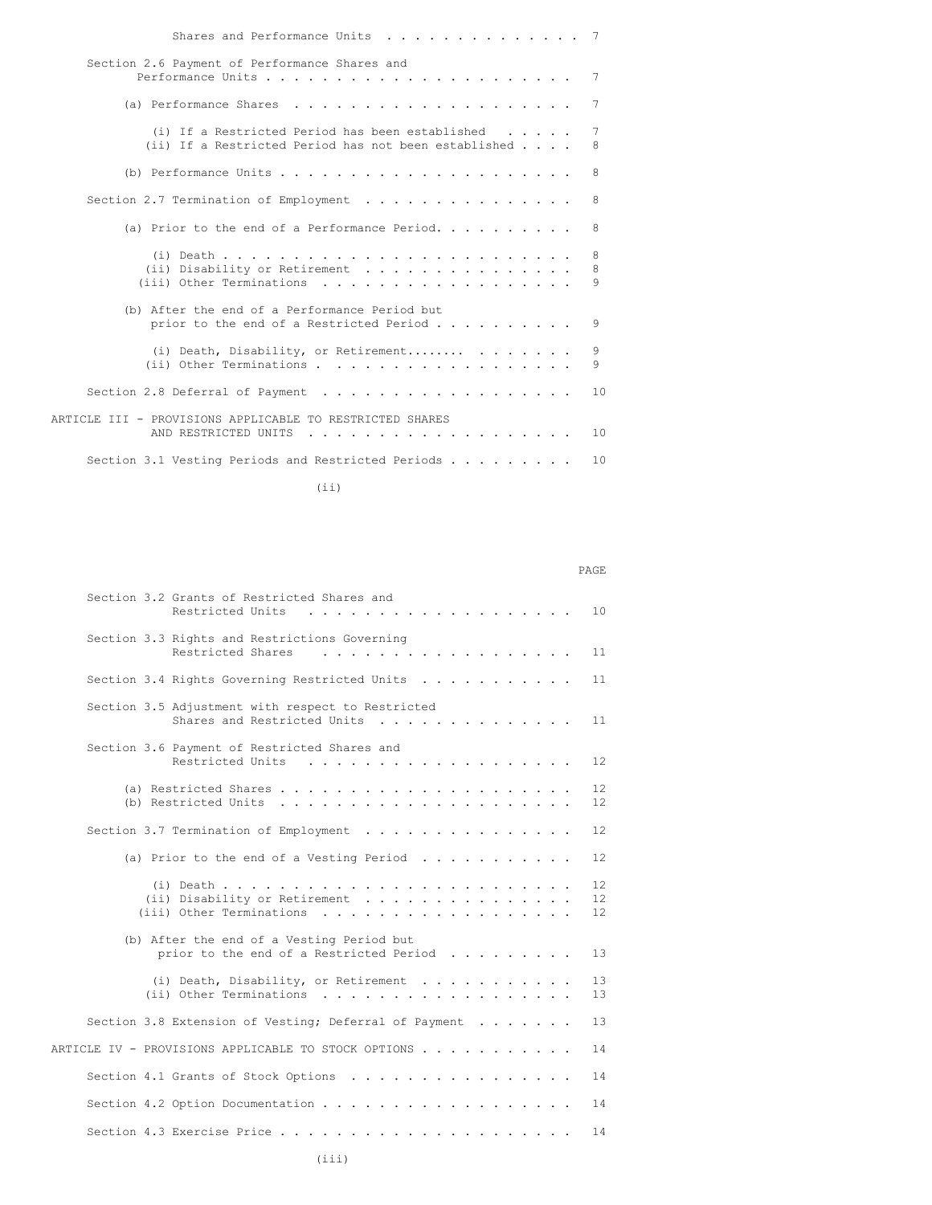| Section 2.6 Payment of Performance Shares and<br>7<br>7<br>(i) If a Restricted Period has been established $\ldots$ .<br>7<br>(ii) If a Restricted Period has not been established $\ldots$<br>8<br>8<br>8<br>(a) Prior to the end of a Performance Period. $\cdots$ ,<br>8<br>8<br>8<br>9<br>(b) After the end of a Performance Period but<br>prior to the end of a Restricted Period<br>9<br>(i) Death, Disability, or Retirement<br>9<br>(ii) Other Terminations<br>9<br>Section 2.8 Deferral of Payment<br>ARTICLE III - PROVISIONS APPLICABLE TO RESTRICTED SHARES<br>AND RESTRICTED UNITS<br>.<br>Section 3.1 Vesting Periods and Restricted Periods $\ldots$ | Shares and Performance Units |    |
|---------------------------------------------------------------------------------------------------------------------------------------------------------------------------------------------------------------------------------------------------------------------------------------------------------------------------------------------------------------------------------------------------------------------------------------------------------------------------------------------------------------------------------------------------------------------------------------------------------------------------------------------------------------------|------------------------------|----|
|                                                                                                                                                                                                                                                                                                                                                                                                                                                                                                                                                                                                                                                                     |                              |    |
|                                                                                                                                                                                                                                                                                                                                                                                                                                                                                                                                                                                                                                                                     |                              |    |
|                                                                                                                                                                                                                                                                                                                                                                                                                                                                                                                                                                                                                                                                     |                              |    |
|                                                                                                                                                                                                                                                                                                                                                                                                                                                                                                                                                                                                                                                                     |                              |    |
|                                                                                                                                                                                                                                                                                                                                                                                                                                                                                                                                                                                                                                                                     |                              |    |
|                                                                                                                                                                                                                                                                                                                                                                                                                                                                                                                                                                                                                                                                     |                              |    |
|                                                                                                                                                                                                                                                                                                                                                                                                                                                                                                                                                                                                                                                                     |                              |    |
|                                                                                                                                                                                                                                                                                                                                                                                                                                                                                                                                                                                                                                                                     |                              |    |
|                                                                                                                                                                                                                                                                                                                                                                                                                                                                                                                                                                                                                                                                     |                              |    |
|                                                                                                                                                                                                                                                                                                                                                                                                                                                                                                                                                                                                                                                                     |                              | 10 |
|                                                                                                                                                                                                                                                                                                                                                                                                                                                                                                                                                                                                                                                                     |                              | 10 |
|                                                                                                                                                                                                                                                                                                                                                                                                                                                                                                                                                                                                                                                                     |                              | 10 |

(ii)

PAGE

| Section 3.2 Grants of Restricted Shares and<br>Restricted Units<br>$\cdot$ $\cdot$ $\cdot$ $\cdot$ | 10 <sup>°</sup>                              |
|----------------------------------------------------------------------------------------------------|----------------------------------------------|
| Section 3.3 Rights and Restrictions Governing<br>Restricted Shares<br>.                            | 11                                           |
| Section 3.4 Rights Governing Restricted Units                                                      | 11                                           |
| Section 3.5 Adjustment with respect to Restricted<br>Shares and Restricted Units                   | 11                                           |
| Section 3.6 Payment of Restricted Shares and<br>Restricted Units                                   | 12 <sup>2</sup>                              |
| (b) Restricted Units $\ldots \ldots \ldots \ldots \ldots \ldots$                                   | 12<br>12                                     |
| Section 3.7 Termination of Employment                                                              | 12.                                          |
| (a) Prior to the end of a Vesting Period                                                           | $12 \overline{ }$                            |
| (ii) Disability or Retirement<br>(iii) Other Terminations                                          | $12 \overline{ }$<br>$12 \overline{ }$<br>12 |
| (b) After the end of a Vesting Period but<br>prior to the end of a Restricted Period               | 13                                           |
| (i) Death, Disability, or Retirement<br>(ii) Other Terminations                                    | 13<br>13                                     |
| Section 3.8 Extension of Vesting; Deferral of Payment                                              | 13                                           |
| ARTICLE IV - PROVISIONS APPLICABLE TO STOCK OPTIONS                                                | 14                                           |
| Section 4.1 Grants of Stock Options                                                                | 14                                           |
|                                                                                                    | 14                                           |
|                                                                                                    | 14                                           |
|                                                                                                    |                                              |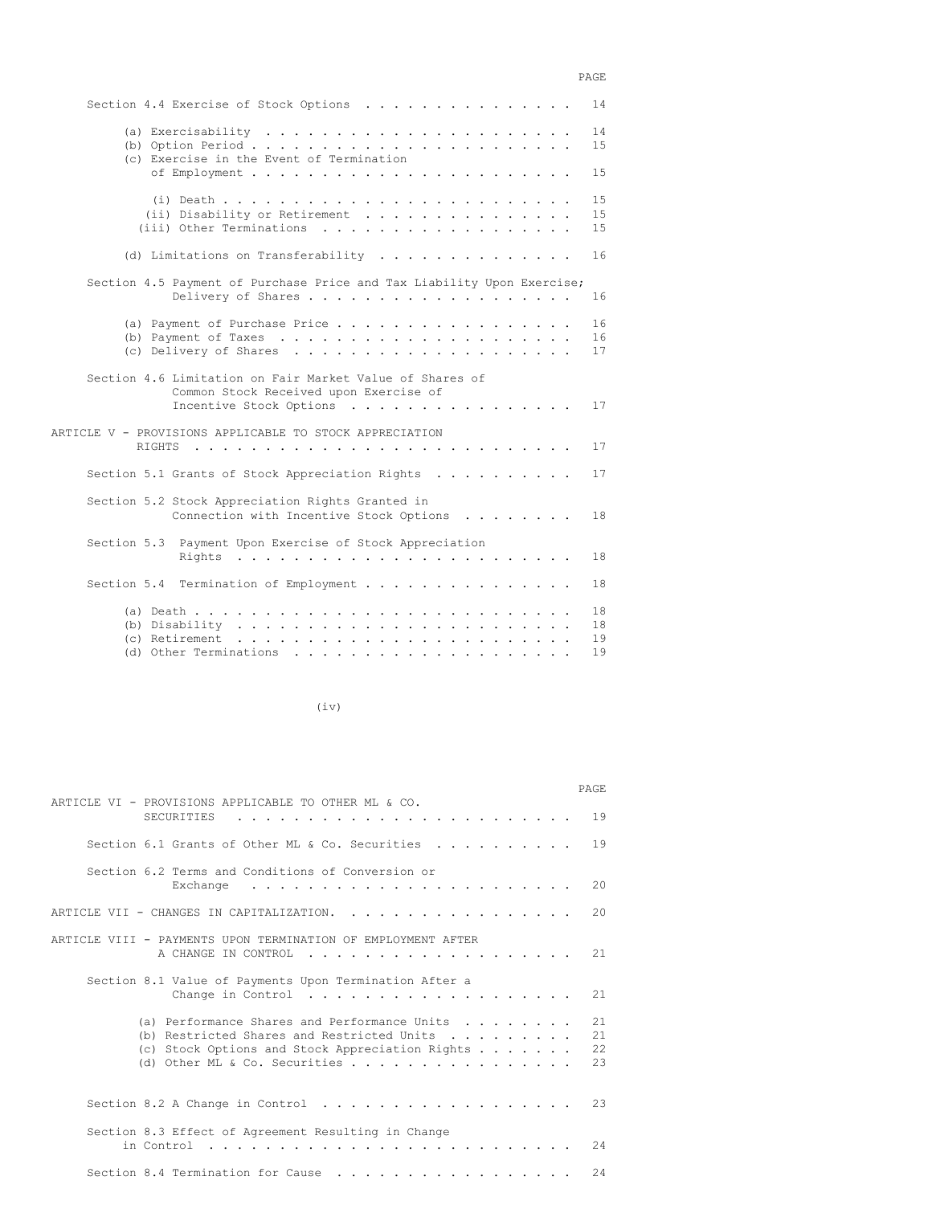# PAGE

| Section 4.4 Exercise of Stock Options                                                                                         | 14                                                                                                                 |
|-------------------------------------------------------------------------------------------------------------------------------|--------------------------------------------------------------------------------------------------------------------|
|                                                                                                                               | 14<br>15                                                                                                           |
|                                                                                                                               | 1.5                                                                                                                |
| (ii) Disability or Retirement<br>(iii) Other Terminations                                                                     | 15<br>15<br>15                                                                                                     |
| (d) Limitations on Transferability $\ldots$                                                                                   | 16                                                                                                                 |
|                                                                                                                               |                                                                                                                    |
|                                                                                                                               | 16                                                                                                                 |
|                                                                                                                               | 16<br>16<br>17                                                                                                     |
| Section 4.6 Limitation on Fair Market Value of Shares of<br>Common Stock Received upon Exercise of<br>Incentive Stock Options | 17                                                                                                                 |
| ARTICLE V - PROVISIONS APPLICABLE TO STOCK APPRECIATION                                                                       | 17                                                                                                                 |
| Section 5.1 Grants of Stock Appreciation Rights                                                                               | 17                                                                                                                 |
| Section 5.2 Stock Appreciation Rights Granted in<br>Connection with Incentive Stock Options                                   | 18                                                                                                                 |
| Section 5.3 Payment Upon Exercise of Stock Appreciation                                                                       | 18                                                                                                                 |
| Section 5.4 Termination of Employment                                                                                         | 18                                                                                                                 |
|                                                                                                                               | 18<br>18<br>19<br>19                                                                                               |
|                                                                                                                               | (c) Exercise in the Event of Termination<br>Section 4.5 Payment of Purchase Price and Tax Liability Upon Exercise; |

(iv)

|                                                                                                                                                                                                                                | <b>PAGE</b>          |
|--------------------------------------------------------------------------------------------------------------------------------------------------------------------------------------------------------------------------------|----------------------|
| ARTICLE VI - PROVISIONS APPLICABLE TO OTHER ML & CO.<br><b>SECURITIES</b>                                                                                                                                                      | 19                   |
| Section 6.1 Grants of Other ML & Co. Securities $\cdots$ ,                                                                                                                                                                     | 19                   |
| Section 6.2 Terms and Conditions of Conversion or<br>Exchange<br>$\frac{1}{2}$ , $\frac{1}{2}$ , $\frac{1}{2}$ , $\frac{1}{2}$ , $\frac{1}{2}$ , $\frac{1}{2}$ , $\frac{1}{2}$ , $\frac{1}{2}$ , $\frac{1}{2}$ , $\frac{1}{2}$ | 20                   |
| ARTICLE VII - CHANGES IN CAPITALIZATION.                                                                                                                                                                                       | 20                   |
| ARTICLE VIII - PAYMENTS UPON TERMINATION OF EMPLOYMENT AFTER<br>A CHANGE IN CONTROL<br>$\sim$ $\sim$ $\sim$ $\sim$                                                                                                             | 21                   |
| Section 8.1 Value of Payments Upon Termination After a<br>Change in Control                                                                                                                                                    | 21                   |
| (a) Performance Shares and Performance Units $\dots$ ,<br>(b) Restricted Shares and Restricted Units $\ldots$ ,<br>(c) Stock Options and Stock Appreciation Rights                                                             | 21<br>21<br>22<br>23 |
|                                                                                                                                                                                                                                | 23                   |
| Section 8.3 Effect of Agreement Resulting in Change                                                                                                                                                                            | 2.4                  |
| Section 8.4 Termination for Cause                                                                                                                                                                                              | 2.4                  |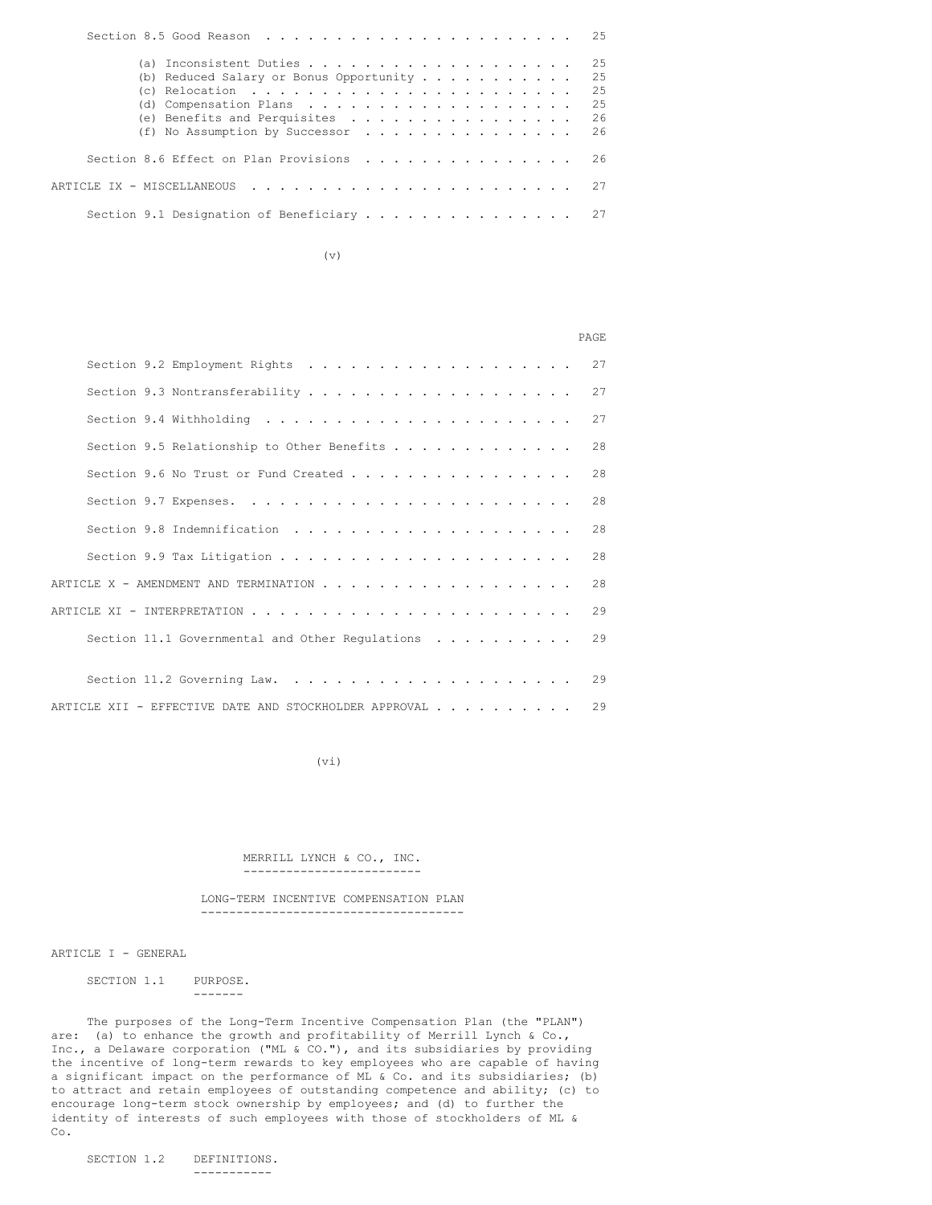|                                           |  |                                                                                                                |  |  |  |  |  |  |  |  |  |  |  | 2.5 |
|-------------------------------------------|--|----------------------------------------------------------------------------------------------------------------|--|--|--|--|--|--|--|--|--|--|--|-----|
|                                           |  |                                                                                                                |  |  |  |  |  |  |  |  |  |  |  | 25  |
|                                           |  | (b) Reduced Salary or Bonus Opportunity $\cdots$                                                               |  |  |  |  |  |  |  |  |  |  |  | 25  |
|                                           |  | (c) Relocation $\ldots \ldots \ldots \ldots \ldots \ldots \ldots$                                              |  |  |  |  |  |  |  |  |  |  |  | 25  |
|                                           |  |                                                                                                                |  |  |  |  |  |  |  |  |  |  |  | 25  |
|                                           |  | (e) Benefits and Perquisites                                                                                   |  |  |  |  |  |  |  |  |  |  |  | 26  |
|                                           |  | (f) No Assumption by Successor $\cdot \cdot \cdot \cdot \cdot \cdot \cdot \cdot \cdot \cdot \cdot \cdot \cdot$ |  |  |  |  |  |  |  |  |  |  |  | 26  |
|                                           |  |                                                                                                                |  |  |  |  |  |  |  |  |  |  |  | 26  |
| ARTICLE IX - MISCELLANEOUS                |  |                                                                                                                |  |  |  |  |  |  |  |  |  |  |  | 27  |
| Section 9.1 Designation of Beneficiary 27 |  |                                                                                                                |  |  |  |  |  |  |  |  |  |  |  |     |
|                                           |  |                                                                                                                |  |  |  |  |  |  |  |  |  |  |  |     |

(v)

| <b>PAGE</b>                                                         |     |
|---------------------------------------------------------------------|-----|
|                                                                     | 27  |
|                                                                     | 27  |
| 2.7                                                                 |     |
|                                                                     | 2.8 |
|                                                                     | 28  |
|                                                                     | 2.8 |
|                                                                     | 2.8 |
|                                                                     | 28  |
|                                                                     | 2.8 |
|                                                                     | 29  |
| Section 11.1 Governmental and Other Requlations $\dots \dots \dots$ | 29  |
|                                                                     |     |
|                                                                     | 29  |
| ARTICLE XII - EFFECTIVE DATE AND STOCKHOLDER APPROVAL 29            |     |

(vi)

MERRILL LYNCH & CO., INC. -------------------------

LONG-TERM INCENTIVE COMPENSATION PLAN -------------------------------------

ARTICLE I - GENERAL

SECTION 1.1 PURPOSE. -------

The purposes of the Long-Term Incentive Compensation Plan (the "PLAN") are: (a) to enhance the growth and profitability of Merrill Lynch & Co., Inc., a Delaware corporation ("ML & CO."), and its subsidiaries by providing the incentive of long-term rewards to key employees who are capable of having a significant impact on the performance of ML & Co. and its subsidiaries; (b) to attract and retain employees of outstanding competence and ability; (c) to encourage long-term stock ownership by employees; and (d) to further the identity of interests of such employees with those of stockholders of ML & Co.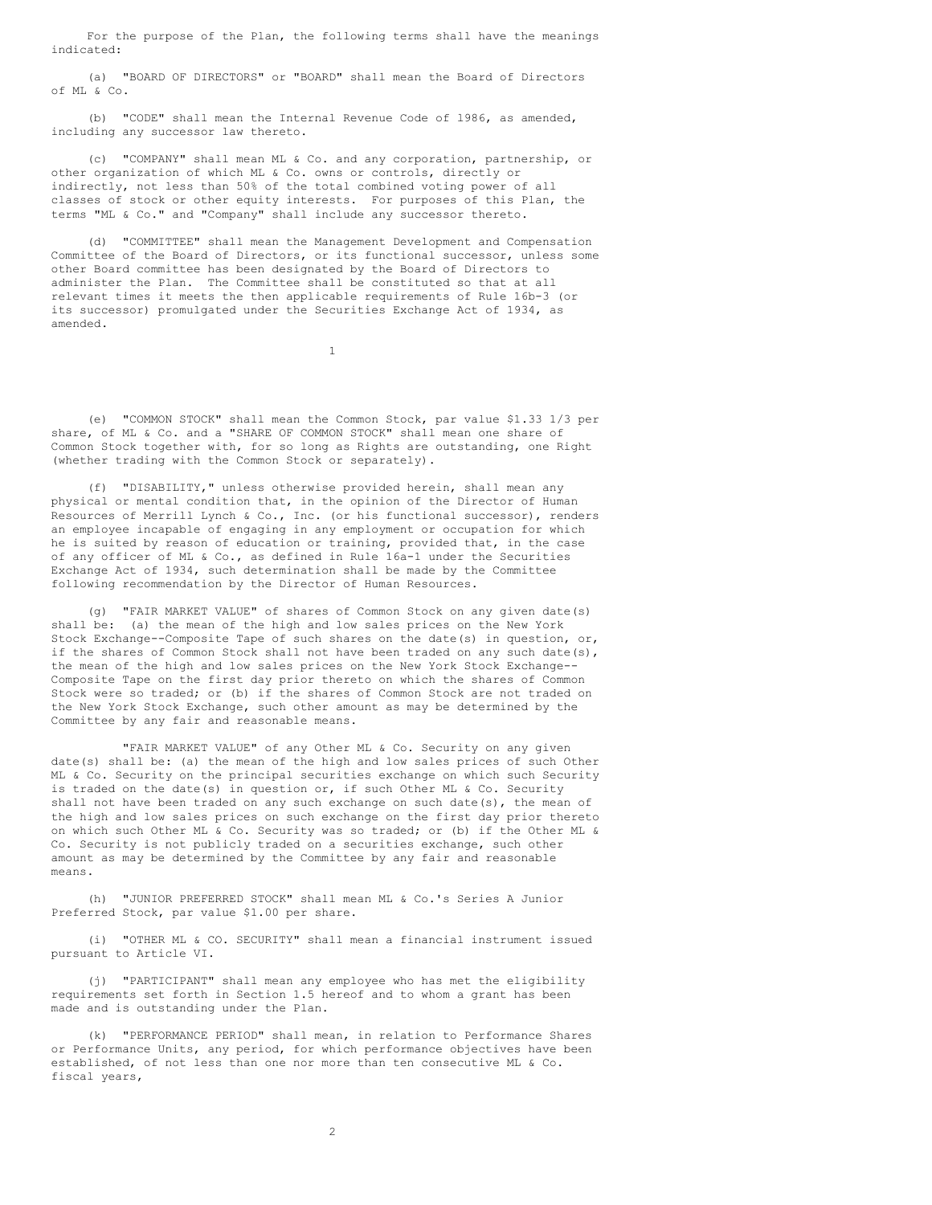For the purpose of the Plan, the following terms shall have the meanings indicated:

(a) "BOARD OF DIRECTORS" or "BOARD" shall mean the Board of Directors of ML & Co.

(b) "CODE" shall mean the Internal Revenue Code of l986, as amended, including any successor law thereto.

(c) "COMPANY" shall mean ML & Co. and any corporation, partnership, or other organization of which ML & Co. owns or controls, directly or indirectly, not less than 50% of the total combined voting power of all classes of stock or other equity interests. For purposes of this Plan, the terms "ML & Co." and "Company" shall include any successor thereto.

(d) "COMMITTEE" shall mean the Management Development and Compensation Committee of the Board of Directors, or its functional successor, unless some other Board committee has been designated by the Board of Directors to administer the Plan. The Committee shall be constituted so that at all relevant times it meets the then applicable requirements of Rule 16b-3 (or its successor) promulgated under the Securities Exchange Act of 1934, as amended.

1

(e) "COMMON STOCK" shall mean the Common Stock, par value \$1.33 1/3 per share, of ML & Co. and a "SHARE OF COMMON STOCK" shall mean one share of Common Stock together with, for so long as Rights are outstanding, one Right (whether trading with the Common Stock or separately).

(f) "DISABILITY," unless otherwise provided herein, shall mean any physical or mental condition that, in the opinion of the Director of Human Resources of Merrill Lynch & Co., Inc. (or his functional successor), renders an employee incapable of engaging in any employment or occupation for which he is suited by reason of education or training, provided that, in the case of any officer of ML & Co., as defined in Rule 16a-1 under the Securities Exchange Act of 1934, such determination shall be made by the Committee following recommendation by the Director of Human Resources.

(g) "FAIR MARKET VALUE" of shares of Common Stock on any given date(s) shall be: (a) the mean of the high and low sales prices on the New York Stock Exchange--Composite Tape of such shares on the date(s) in question, or, if the shares of Common Stock shall not have been traded on any such date(s), the mean of the high and low sales prices on the New York Stock Exchange-- Composite Tape on the first day prior thereto on which the shares of Common Stock were so traded; or (b) if the shares of Common Stock are not traded on the New York Stock Exchange, such other amount as may be determined by the Committee by any fair and reasonable means.

"FAIR MARKET VALUE" of any Other ML & Co. Security on any given date(s) shall be: (a) the mean of the high and low sales prices of such Other ML & Co. Security on the principal securities exchange on which such Security is traded on the date(s) in question or, if such Other ML & Co. Security shall not have been traded on any such exchange on such date(s), the mean of the high and low sales prices on such exchange on the first day prior thereto on which such Other ML & Co. Security was so traded; or (b) if the Other ML & Co. Security is not publicly traded on a securities exchange, such other amount as may be determined by the Committee by any fair and reasonable means.

(h) "JUNIOR PREFERRED STOCK" shall mean ML & Co.'s Series A Junior Preferred Stock, par value \$1.00 per share.

(i) "OTHER ML & CO. SECURITY" shall mean a financial instrument issued pursuant to Article VI.

(j) "PARTICIPANT" shall mean any employee who has met the eligibility requirements set forth in Section 1.5 hereof and to whom a grant has been made and is outstanding under the Plan.

(k) "PERFORMANCE PERIOD" shall mean, in relation to Performance Shares or Performance Units, any period, for which performance objectives have been established, of not less than one nor more than ten consecutive ML & Co. fiscal years,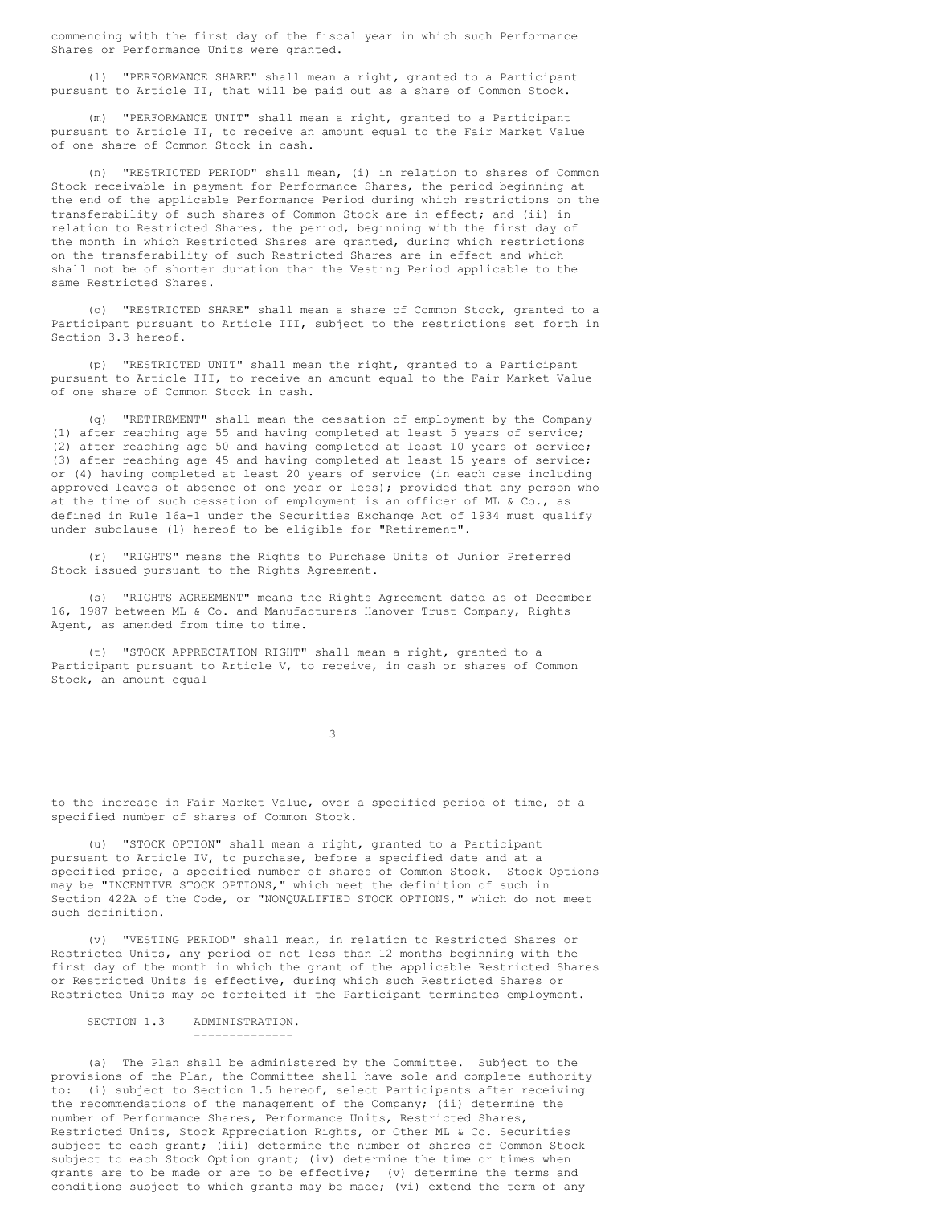commencing with the first day of the fiscal year in which such Performance Shares or Performance Units were granted.

(l) "PERFORMANCE SHARE" shall mean a right, granted to a Participant pursuant to Article II, that will be paid out as a share of Common Stock.

(m) "PERFORMANCE UNIT" shall mean a right, granted to a Participant pursuant to Article II, to receive an amount equal to the Fair Market Value of one share of Common Stock in cash.

(n) "RESTRICTED PERIOD" shall mean, (i) in relation to shares of Common Stock receivable in payment for Performance Shares, the period beginning at the end of the applicable Performance Period during which restrictions on the transferability of such shares of Common Stock are in effect; and (ii) in relation to Restricted Shares, the period, beginning with the first day of the month in which Restricted Shares are granted, during which restrictions on the transferability of such Restricted Shares are in effect and which shall not be of shorter duration than the Vesting Period applicable to the same Restricted Shares.

(o) "RESTRICTED SHARE" shall mean a share of Common Stock, granted to a Participant pursuant to Article III, subject to the restrictions set forth in Section 3.3 hereof.

(p) "RESTRICTED UNIT" shall mean the right, granted to a Participant pursuant to Article III, to receive an amount equal to the Fair Market Value of one share of Common Stock in cash.

(q) "RETIREMENT" shall mean the cessation of employment by the Company (1) after reaching age 55 and having completed at least 5 years of service; (2) after reaching age 50 and having completed at least 10 years of service; (3) after reaching age 45 and having completed at least 15 years of service; or (4) having completed at least 20 years of service (in each case including approved leaves of absence of one year or less); provided that any person who at the time of such cessation of employment is an officer of ML & Co., as defined in Rule 16a-1 under the Securities Exchange Act of 1934 must qualify under subclause (1) hereof to be eligible for "Retirement".

(r) "RIGHTS" means the Rights to Purchase Units of Junior Preferred Stock issued pursuant to the Rights Agreement.

(s) "RIGHTS AGREEMENT" means the Rights Agreement dated as of December 16, 1987 between ML & Co. and Manufacturers Hanover Trust Company, Rights Agent, as amended from time to time.

(t) "STOCK APPRECIATION RIGHT" shall mean a right, granted to a Participant pursuant to Article V, to receive, in cash or shares of Common Stock, an amount equal

3

to the increase in Fair Market Value, over a specified period of time, of a specified number of shares of Common Stock.

(u) "STOCK OPTION" shall mean a right, granted to a Participant pursuant to Article IV, to purchase, before a specified date and at a specified price, a specified number of shares of Common Stock. Stock Options may be "INCENTIVE STOCK OPTIONS," which meet the definition of such in Section 422A of the Code, or "NONQUALIFIED STOCK OPTIONS," which do not meet such definition.

(v) "VESTING PERIOD" shall mean, in relation to Restricted Shares or Restricted Units, any period of not less than 12 months beginning with the first day of the month in which the grant of the applicable Restricted Shares or Restricted Units is effective, during which such Restricted Shares or Restricted Units may be forfeited if the Participant terminates employment.

## SECTION 1.3 ADMINISTRATION. --------------

(a) The Plan shall be administered by the Committee. Subject to the provisions of the Plan, the Committee shall have sole and complete authority to: (i) subject to Section 1.5 hereof, select Participants after receiving the recommendations of the management of the Company; (ii) determine the number of Performance Shares, Performance Units, Restricted Shares, Restricted Units, Stock Appreciation Rights, or Other ML & Co. Securities subject to each grant; (iii) determine the number of shares of Common Stock subject to each Stock Option grant; (iv) determine the time or times when grants are to be made or are to be effective; (v) determine the terms and conditions subject to which grants may be made; (vi) extend the term of any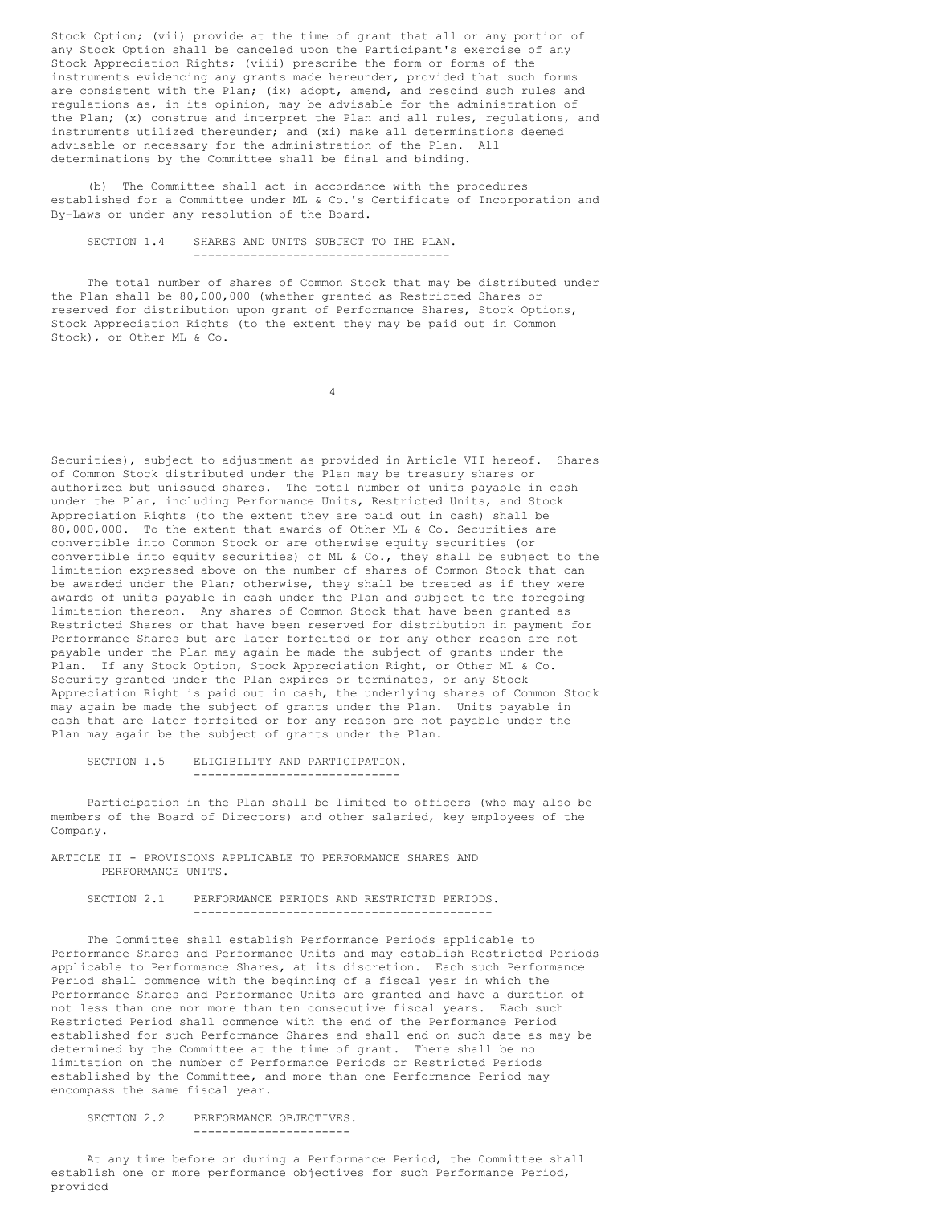Stock Option; (vii) provide at the time of grant that all or any portion of any Stock Option shall be canceled upon the Participant's exercise of any Stock Appreciation Rights; (viii) prescribe the form or forms of the instruments evidencing any grants made hereunder, provided that such forms are consistent with the Plan; (ix) adopt, amend, and rescind such rules and regulations as, in its opinion, may be advisable for the administration of the Plan; (x) construe and interpret the Plan and all rules, regulations, and instruments utilized thereunder; and (xi) make all determinations deemed advisable or necessary for the administration of the Plan. All determinations by the Committee shall be final and binding.

(b) The Committee shall act in accordance with the procedures established for a Committee under ML & Co.'s Certificate of Incorporation and By-Laws or under any resolution of the Board.

SECTION 1.4 SHARES AND UNITS SUBJECT TO THE PLAN. ------------------------------------

The total number of shares of Common Stock that may be distributed under the Plan shall be 80,000,000 (whether granted as Restricted Shares or reserved for distribution upon grant of Performance Shares, Stock Options, Stock Appreciation Rights (to the extent they may be paid out in Common Stock), or Other ML & Co.

4

Securities), subject to adjustment as provided in Article VII hereof. Shares of Common Stock distributed under the Plan may be treasury shares or authorized but unissued shares. The total number of units payable in cash under the Plan, including Performance Units, Restricted Units, and Stock Appreciation Rights (to the extent they are paid out in cash) shall be 80,000,000. To the extent that awards of Other ML & Co. Securities are convertible into Common Stock or are otherwise equity securities (or convertible into equity securities) of ML & Co., they shall be subject to the limitation expressed above on the number of shares of Common Stock that can be awarded under the Plan; otherwise, they shall be treated as if they were awards of units payable in cash under the Plan and subject to the foregoing limitation thereon. Any shares of Common Stock that have been granted as Restricted Shares or that have been reserved for distribution in payment for Performance Shares but are later forfeited or for any other reason are not payable under the Plan may again be made the subject of grants under the Plan. If any Stock Option, Stock Appreciation Right, or Other ML & Co. Security granted under the Plan expires or terminates, or any Stock Appreciation Right is paid out in cash, the underlying shares of Common Stock may again be made the subject of grants under the Plan. Units payable in cash that are later forfeited or for any reason are not payable under the Plan may again be the subject of grants under the Plan.

SECTION 1.5 ELIGIBILITY AND PARTICIPATION.

Participation in the Plan shall be limited to officers (who may also be members of the Board of Directors) and other salaried, key employees of the Company.

-----------------------------

ARTICLE II - PROVISIONS APPLICABLE TO PERFORMANCE SHARES AND PERFORMANCE UNITS.

SECTION 2.1 PERFORMANCE PERIODS AND RESTRICTED PERIODS. ------------------------------------------

The Committee shall establish Performance Periods applicable to Performance Shares and Performance Units and may establish Restricted Periods applicable to Performance Shares, at its discretion. Each such Performance Period shall commence with the beginning of a fiscal year in which the Performance Shares and Performance Units are granted and have a duration of not less than one nor more than ten consecutive fiscal years. Each such Restricted Period shall commence with the end of the Performance Period established for such Performance Shares and shall end on such date as may be determined by the Committee at the time of grant. There shall be no limitation on the number of Performance Periods or Restricted Periods established by the Committee, and more than one Performance Period may encompass the same fiscal year.

SECTION 2.2 PERFORMANCE OBJECTIVES. ----------------------

At any time before or during a Performance Period, the Committee shall establish one or more performance objectives for such Performance Period, provided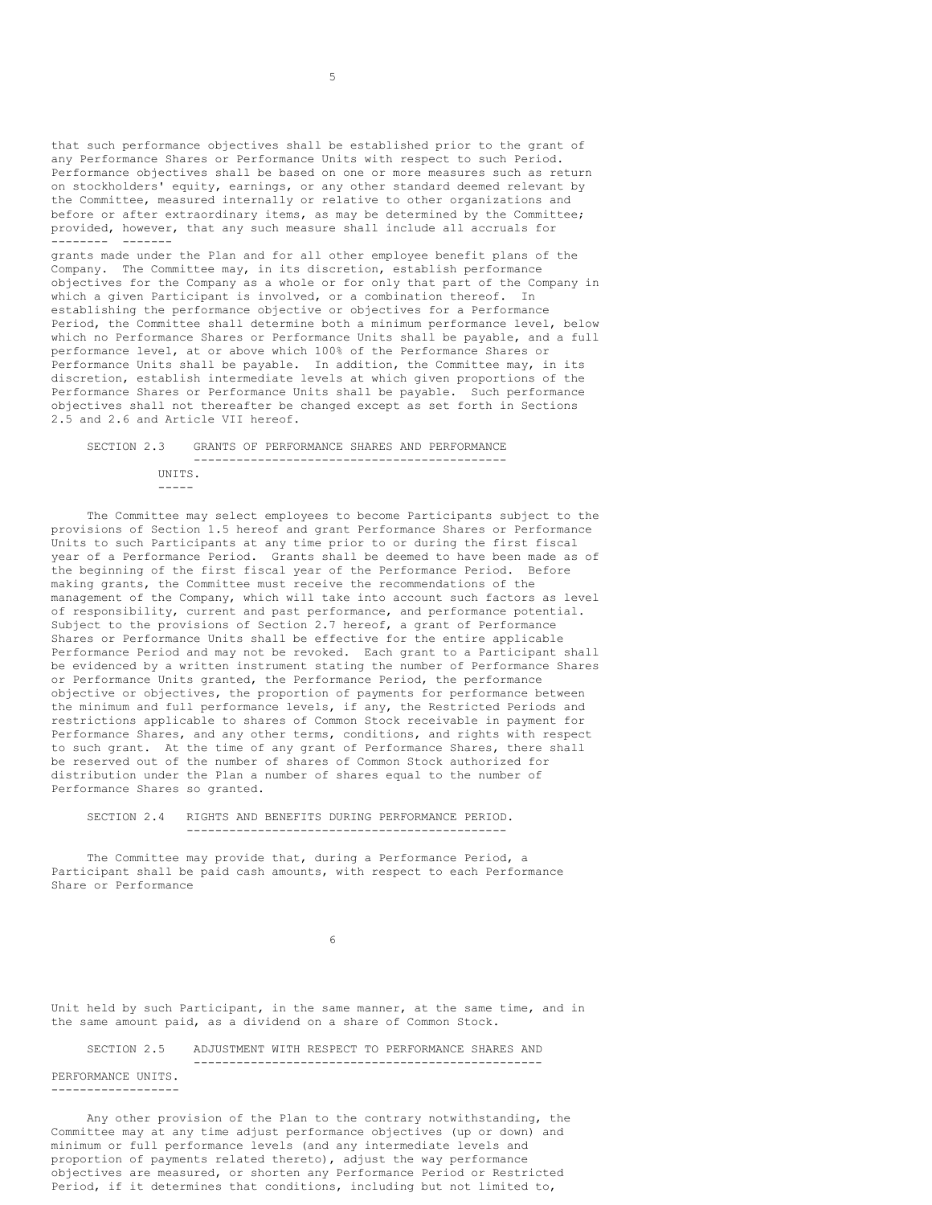that such performance objectives shall be established prior to the grant of any Performance Shares or Performance Units with respect to such Period. Performance objectives shall be based on one or more measures such as return on stockholders' equity, earnings, or any other standard deemed relevant by the Committee, measured internally or relative to other organizations and before or after extraordinary items, as may be determined by the Committee; provided, however, that any such measure shall include all accruals for -------- -------

grants made under the Plan and for all other employee benefit plans of the Company. The Committee may, in its discretion, establish performance objectives for the Company as a whole or for only that part of the Company in which a given Participant is involved, or a combination thereof. In establishing the performance objective or objectives for a Performance Period, the Committee shall determine both a minimum performance level, below which no Performance Shares or Performance Units shall be payable, and a full performance level, at or above which 100% of the Performance Shares or Performance Units shall be payable. In addition, the Committee may, in its discretion, establish intermediate levels at which given proportions of the Performance Shares or Performance Units shall be payable. Such performance objectives shall not thereafter be changed except as set forth in Sections 2.5 and 2.6 and Article VII hereof.

SECTION 2.3 GRANTS OF PERFORMANCE SHARES AND PERFORMANCE -------------------------------------------- UNITS. -----

The Committee may select employees to become Participants subject to the provisions of Section 1.5 hereof and grant Performance Shares or Performance Units to such Participants at any time prior to or during the first fiscal year of a Performance Period. Grants shall be deemed to have been made as of the beginning of the first fiscal year of the Performance Period. Before making grants, the Committee must receive the recommendations of the management of the Company, which will take into account such factors as level of responsibility, current and past performance, and performance potential. Subject to the provisions of Section 2.7 hereof, a grant of Performance Shares or Performance Units shall be effective for the entire applicable Performance Period and may not be revoked. Each grant to a Participant shall be evidenced by a written instrument stating the number of Performance Shares or Performance Units granted, the Performance Period, the performance objective or objectives, the proportion of payments for performance between the minimum and full performance levels, if any, the Restricted Periods and restrictions applicable to shares of Common Stock receivable in payment for Performance Shares, and any other terms, conditions, and rights with respect to such grant. At the time of any grant of Performance Shares, there shall be reserved out of the number of shares of Common Stock authorized for distribution under the Plan a number of shares equal to the number of Performance Shares so granted.

SECTION 2.4 RIGHTS AND BENEFITS DURING PERFORMANCE PERIOD. ---------------------------------------------

The Committee may provide that, during a Performance Period, a Participant shall be paid cash amounts, with respect to each Performance Share or Performance

6

Unit held by such Participant, in the same manner, at the same time, and in the same amount paid, as a dividend on a share of Common Stock.

SECTION 2.5 ADJUSTMENT WITH RESPECT TO PERFORMANCE SHARES AND -------------------------------------------------

PERFORMANCE UNITS. ------------------

Any other provision of the Plan to the contrary notwithstanding, the Committee may at any time adjust performance objectives (up or down) and minimum or full performance levels (and any intermediate levels and proportion of payments related thereto), adjust the way performance objectives are measured, or shorten any Performance Period or Restricted Period, if it determines that conditions, including but not limited to,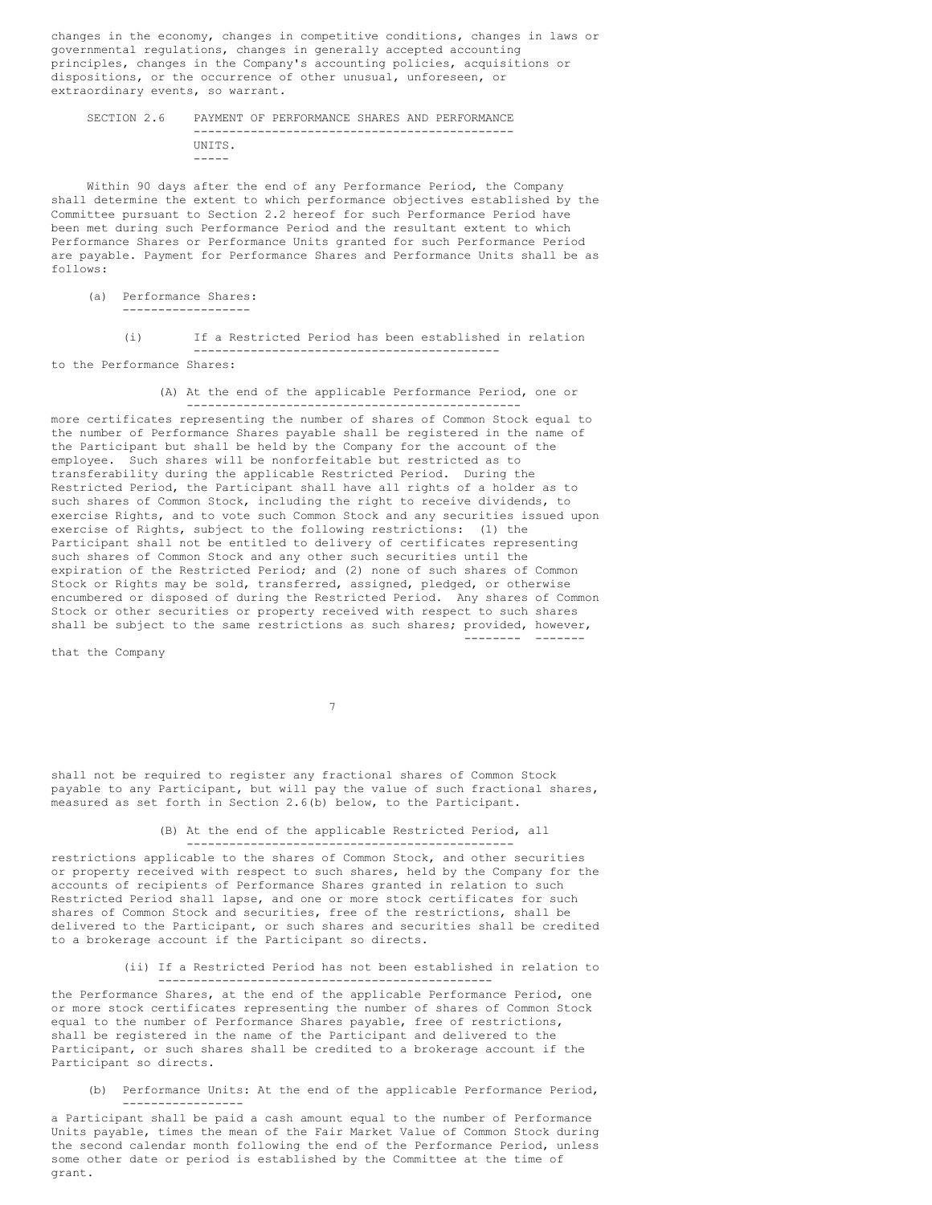changes in the economy, changes in competitive conditions, changes in laws or governmental regulations, changes in generally accepted accounting principles, changes in the Company's accounting policies, acquisitions or dispositions, or the occurrence of other unusual, unforeseen, or extraordinary events, so warrant.

#### SECTION 2.6 PAYMENT OF PERFORMANCE SHARES AND PERFORMANCE --------------------------------------------- UNITS. -----

Within 90 days after the end of any Performance Period, the Company shall determine the extent to which performance objectives established by the Committee pursuant to Section 2.2 hereof for such Performance Period have been met during such Performance Period and the resultant extent to which Performance Shares or Performance Units granted for such Performance Period are payable. Payment for Performance Shares and Performance Units shall be as follows:

(a) Performance Shares: ------------------

> (i) If a Restricted Period has been established in relation -------------------------------------------

to the Performance Shares:

(A) At the end of the applicable Performance Period, one or -----------------------------------------------

more certificates representing the number of shares of Common Stock equal to the number of Performance Shares payable shall be registered in the name of the Participant but shall be held by the Company for the account of the employee. Such shares will be nonforfeitable but restricted as to transferability during the applicable Restricted Period. During the Restricted Period, the Participant shall have all rights of a holder as to such shares of Common Stock, including the right to receive dividends, to exercise Rights, and to vote such Common Stock and any securities issued upon exercise of Rights, subject to the following restrictions: (1) the Participant shall not be entitled to delivery of certificates representing such shares of Common Stock and any other such securities until the expiration of the Restricted Period; and (2) none of such shares of Common Stock or Rights may be sold, transferred, assigned, pledged, or otherwise encumbered or disposed of during the Restricted Period. Any shares of Common Stock or other securities or property received with respect to such shares shall be subject to the same restrictions as such shares; provided, however, -------- -------

that the Company

7

shall not be required to register any fractional shares of Common Stock payable to any Participant, but will pay the value of such fractional shares, measured as set forth in Section 2.6(b) below, to the Participant.

#### (B) At the end of the applicable Restricted Period, all ----------------------------------------------

restrictions applicable to the shares of Common Stock, and other securities or property received with respect to such shares, held by the Company for the accounts of recipients of Performance Shares granted in relation to such Restricted Period shall lapse, and one or more stock certificates for such shares of Common Stock and securities, free of the restrictions, shall be delivered to the Participant, or such shares and securities shall be credited to a brokerage account if the Participant so directs.

> (ii) If a Restricted Period has not been established in relation to -----------------------------------------------

the Performance Shares, at the end of the applicable Performance Period, one or more stock certificates representing the number of shares of Common Stock equal to the number of Performance Shares payable, free of restrictions, shall be registered in the name of the Participant and delivered to the Participant, or such shares shall be credited to a brokerage account if the Participant so directs.

(b) Performance Units: At the end of the applicable Performance Period, -----------------

a Participant shall be paid a cash amount equal to the number of Performance Units payable, times the mean of the Fair Market Value of Common Stock during the second calendar month following the end of the Performance Period, unless some other date or period is established by the Committee at the time of grant.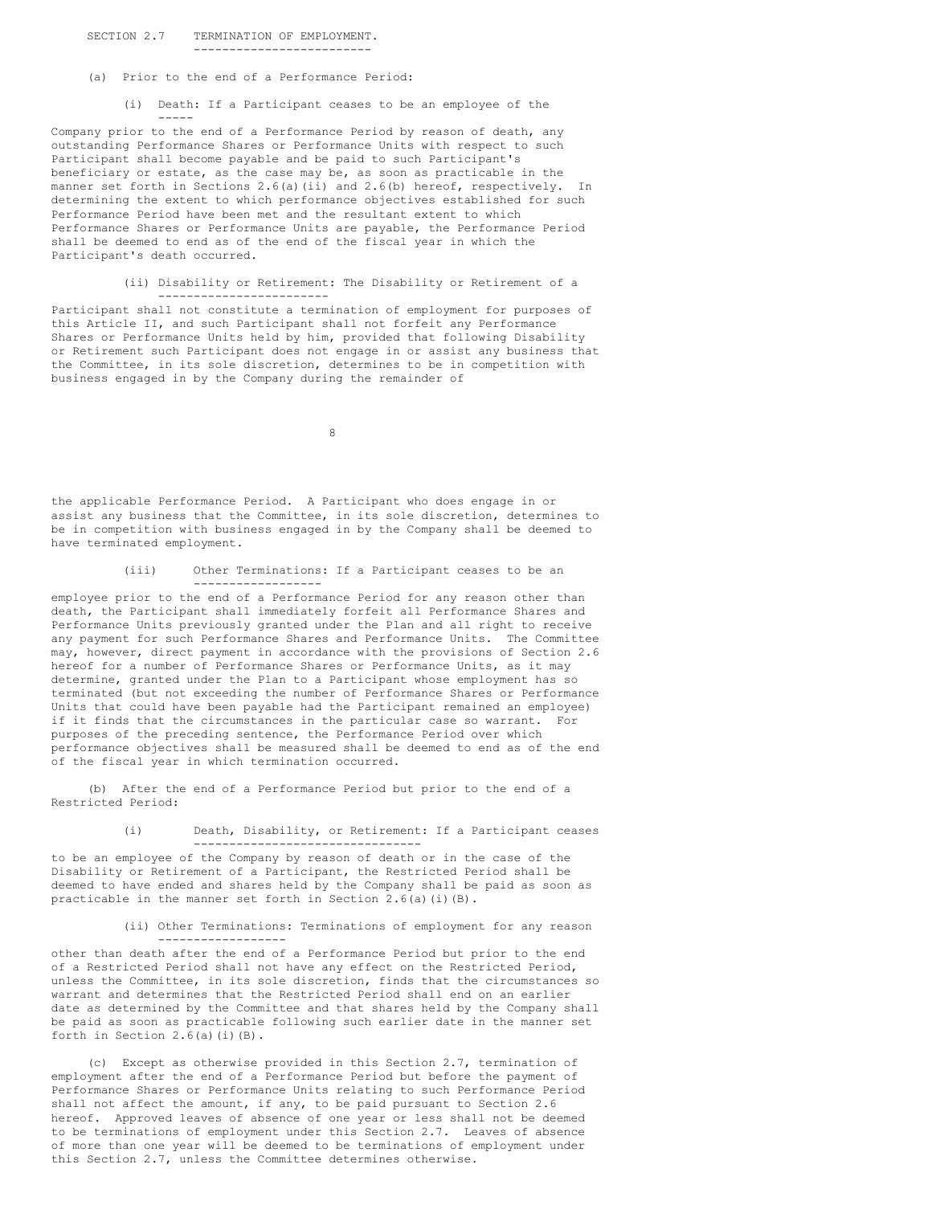## SECTION 2.7 TERMINATION OF EMPLOYMENT. -------------------------

- (a) Prior to the end of a Performance Period:
	- (i) Death: If a Participant ceases to be an employee of the -----

Company prior to the end of a Performance Period by reason of death, any outstanding Performance Shares or Performance Units with respect to such Participant shall become payable and be paid to such Participant's beneficiary or estate, as the case may be, as soon as practicable in the manner set forth in Sections 2.6(a)(ii) and 2.6(b) hereof, respectively. In determining the extent to which performance objectives established for such Performance Period have been met and the resultant extent to which Performance Shares or Performance Units are payable, the Performance Period shall be deemed to end as of the end of the fiscal year in which the Participant's death occurred.

#### (ii) Disability or Retirement: The Disability or Retirement of a ------------------------

Participant shall not constitute a termination of employment for purposes of this Article II, and such Participant shall not forfeit any Performance Shares or Performance Units held by him, provided that following Disability or Retirement such Participant does not engage in or assist any business that the Committee, in its sole discretion, determines to be in competition with business engaged in by the Company during the remainder of

8

the applicable Performance Period. A Participant who does engage in or assist any business that the Committee, in its sole discretion, determines to be in competition with business engaged in by the Company shall be deemed to have terminated employment.

#### (iii) Other Terminations: If a Participant ceases to be an ------------------

employee prior to the end of a Performance Period for any reason other than death, the Participant shall immediately forfeit all Performance Shares and Performance Units previously granted under the Plan and all right to receive any payment for such Performance Shares and Performance Units. The Committee may, however, direct payment in accordance with the provisions of Section 2.6 hereof for a number of Performance Shares or Performance Units, as it may determine, granted under the Plan to a Participant whose employment has so terminated (but not exceeding the number of Performance Shares or Performance Units that could have been payable had the Participant remained an employee) if it finds that the circumstances in the particular case so warrant. For purposes of the preceding sentence, the Performance Period over which performance objectives shall be measured shall be deemed to end as of the end of the fiscal year in which termination occurred.

(b) After the end of a Performance Period but prior to the end of a Restricted Period:

> (i) Death, Disability, or Retirement: If a Participant ceases --------------------------------

to be an employee of the Company by reason of death or in the case of the Disability or Retirement of a Participant, the Restricted Period shall be deemed to have ended and shares held by the Company shall be paid as soon as practicable in the manner set forth in Section  $2.6(a)(i)(B)$ .

------------------

## (ii) Other Terminations: Terminations of employment for any reason

other than death after the end of a Performance Period but prior to the end of a Restricted Period shall not have any effect on the Restricted Period, unless the Committee, in its sole discretion, finds that the circumstances so warrant and determines that the Restricted Period shall end on an earlier date as determined by the Committee and that shares held by the Company shall be paid as soon as practicable following such earlier date in the manner set forth in Section  $2.6(a)(i)(B)$ .

(c) Except as otherwise provided in this Section 2.7, termination of employment after the end of a Performance Period but before the payment of Performance Shares or Performance Units relating to such Performance Period shall not affect the amount, if any, to be paid pursuant to Section 2.6 hereof. Approved leaves of absence of one year or less shall not be deemed to be terminations of employment under this Section 2.7. Leaves of absence of more than one year will be deemed to be terminations of employment under this Section 2.7, unless the Committee determines otherwise.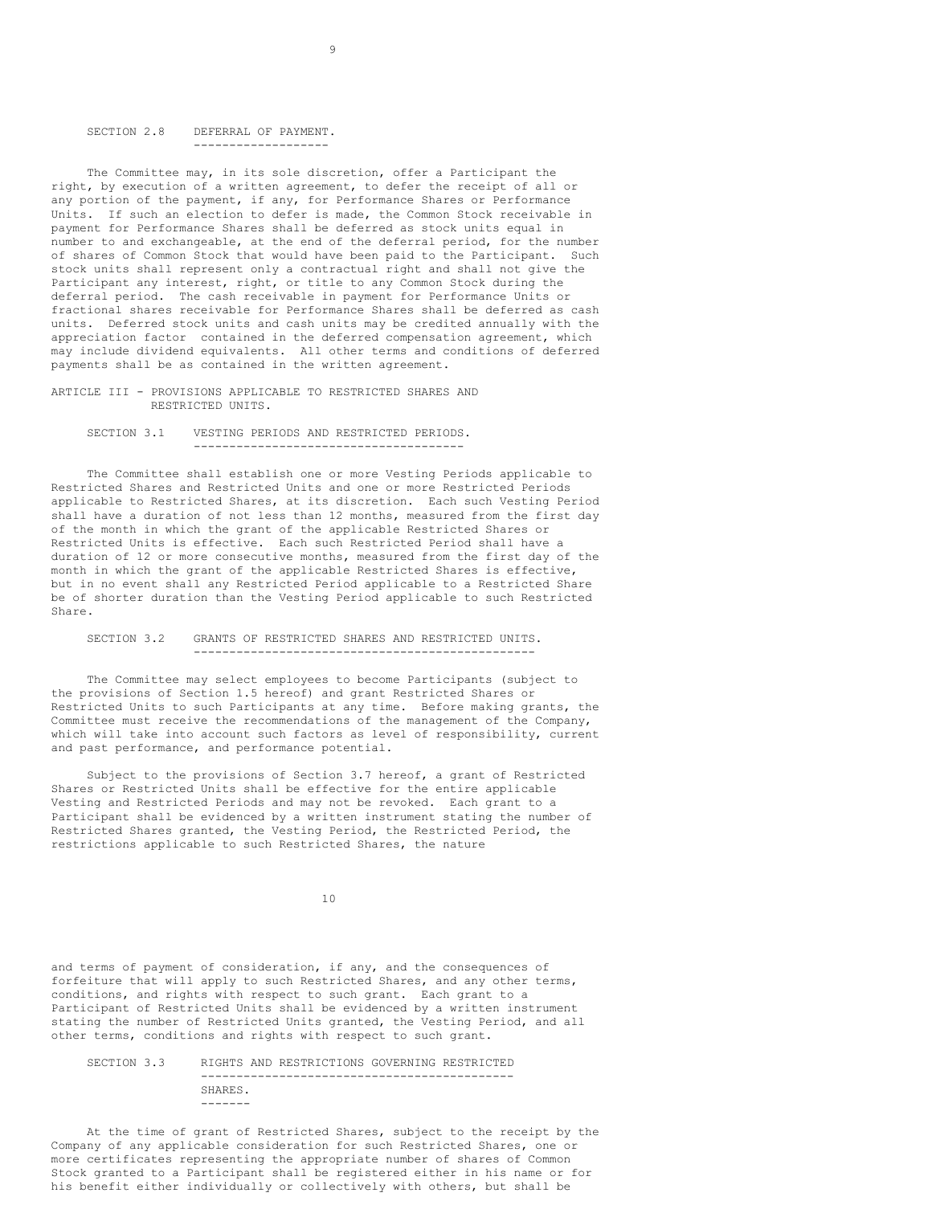# SECTION 2.8 DEFERRAL OF PAYMENT. -------------------

The Committee may, in its sole discretion, offer a Participant the right, by execution of a written agreement, to defer the receipt of all or any portion of the payment, if any, for Performance Shares or Performance Units. If such an election to defer is made, the Common Stock receivable in payment for Performance Shares shall be deferred as stock units equal in number to and exchangeable, at the end of the deferral period, for the number of shares of Common Stock that would have been paid to the Participant. Such stock units shall represent only a contractual right and shall not give the Participant any interest, right, or title to any Common Stock during the deferral period. The cash receivable in payment for Performance Units or fractional shares receivable for Performance Shares shall be deferred as cash units. Deferred stock units and cash units may be credited annually with the appreciation factor contained in the deferred compensation agreement, which may include dividend equivalents. All other terms and conditions of deferred payments shall be as contained in the written agreement.

9

## ARTICLE III - PROVISIONS APPLICABLE TO RESTRICTED SHARES AND RESTRICTED UNITS.

#### SECTION 3.1 VESTING PERIODS AND RESTRICTED PERIODS. --------------------------------------

The Committee shall establish one or more Vesting Periods applicable to Restricted Shares and Restricted Units and one or more Restricted Periods applicable to Restricted Shares, at its discretion. Each such Vesting Period shall have a duration of not less than 12 months, measured from the first day of the month in which the grant of the applicable Restricted Shares or Restricted Units is effective. Each such Restricted Period shall have a duration of 12 or more consecutive months, measured from the first day of the month in which the grant of the applicable Restricted Shares is effective, but in no event shall any Restricted Period applicable to a Restricted Share be of shorter duration than the Vesting Period applicable to such Restricted Share.

#### SECTION 3.2 GRANTS OF RESTRICTED SHARES AND RESTRICTED UNITS. ------------------------------------------------

The Committee may select employees to become Participants (subject to the provisions of Section 1.5 hereof) and grant Restricted Shares or Restricted Units to such Participants at any time. Before making grants, the Committee must receive the recommendations of the management of the Company, which will take into account such factors as level of responsibility, current and past performance, and performance potential.

Subject to the provisions of Section 3.7 hereof, a grant of Restricted Shares or Restricted Units shall be effective for the entire applicable Vesting and Restricted Periods and may not be revoked. Each grant to a Participant shall be evidenced by a written instrument stating the number of Restricted Shares granted, the Vesting Period, the Restricted Period, the restrictions applicable to such Restricted Shares, the nature

10

and terms of payment of consideration, if any, and the consequences of forfeiture that will apply to such Restricted Shares, and any other terms, conditions, and rights with respect to such grant. Each grant to a Participant of Restricted Units shall be evidenced by a written instrument stating the number of Restricted Units granted, the Vesting Period, and all other terms, conditions and rights with respect to such grant.

#### SECTION 3.3 RIGHTS AND RESTRICTIONS GOVERNING RESTRICTED -------------------------------------------- SHARES. -------

At the time of grant of Restricted Shares, subject to the receipt by the Company of any applicable consideration for such Restricted Shares, one or more certificates representing the appropriate number of shares of Common Stock granted to a Participant shall be registered either in his name or for his benefit either individually or collectively with others, but shall be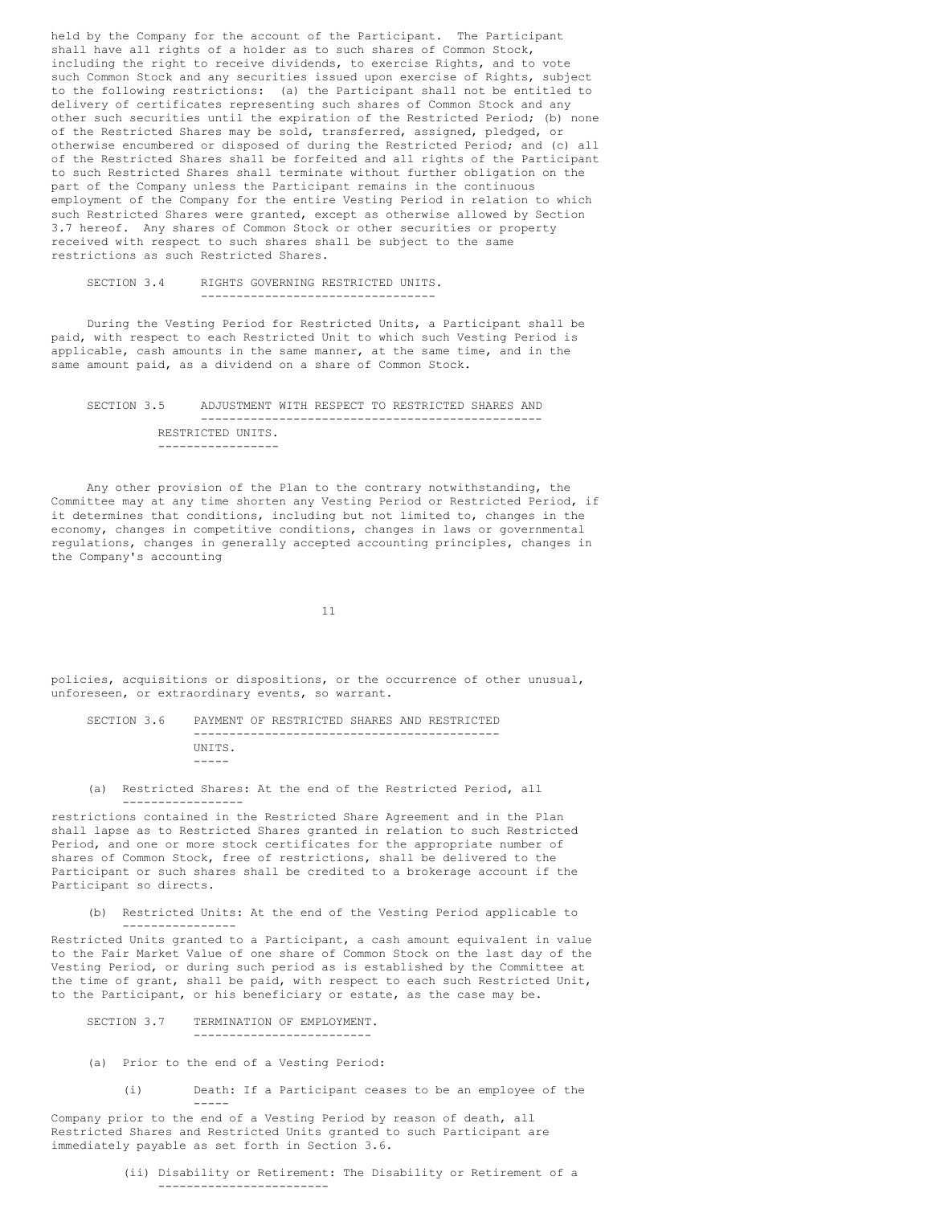held by the Company for the account of the Participant. The Participant shall have all rights of a holder as to such shares of Common Stock, including the right to receive dividends, to exercise Rights, and to vote such Common Stock and any securities issued upon exercise of Rights, subject to the following restrictions: (a) the Participant shall not be entitled to delivery of certificates representing such shares of Common Stock and any other such securities until the expiration of the Restricted Period; (b) none of the Restricted Shares may be sold, transferred, assigned, pledged, or otherwise encumbered or disposed of during the Restricted Period; and (c) all of the Restricted Shares shall be forfeited and all rights of the Participant to such Restricted Shares shall terminate without further obligation on the part of the Company unless the Participant remains in the continuous employment of the Company for the entire Vesting Period in relation to which such Restricted Shares were granted, except as otherwise allowed by Section 3.7 hereof. Any shares of Common Stock or other securities or property received with respect to such shares shall be subject to the same restrictions as such Restricted Shares.

SECTION 3.4 RIGHTS GOVERNING RESTRICTED UNITS. ---------------------------------

During the Vesting Period for Restricted Units, a Participant shall be paid, with respect to each Restricted Unit to which such Vesting Period is applicable, cash amounts in the same manner, at the same time, and in the same amount paid, as a dividend on a share of Common Stock.

SECTION 3.5 ADJUSTMENT WITH RESPECT TO RESTRICTED SHARES AND ------------------------------------------------ RESTRICTED UNITS. -----------------

Any other provision of the Plan to the contrary notwithstanding, the Committee may at any time shorten any Vesting Period or Restricted Period, if it determines that conditions, including but not limited to, changes in the economy, changes in competitive conditions, changes in laws or governmental regulations, changes in generally accepted accounting principles, changes in the Company's accounting

11

policies, acquisitions or dispositions, or the occurrence of other unusual, unforeseen, or extraordinary events, so warrant.

SECTION 3.6 PAYMENT OF RESTRICTED SHARES AND RESTRICTED ------------------------------------------- UNITS. -----

(a) Restricted Shares: At the end of the Restricted Period, all -----------------

restrictions contained in the Restricted Share Agreement and in the Plan shall lapse as to Restricted Shares granted in relation to such Restricted Period, and one or more stock certificates for the appropriate number of shares of Common Stock, free of restrictions, shall be delivered to the Participant or such shares shall be credited to a brokerage account if the Participant so directs.

(b) Restricted Units: At the end of the Vesting Period applicable to ----------------

Restricted Units granted to a Participant, a cash amount equivalent in value to the Fair Market Value of one share of Common Stock on the last day of the Vesting Period, or during such period as is established by the Committee at the time of grant, shall be paid, with respect to each such Restricted Unit, to the Participant, or his beneficiary or estate, as the case may be.

SECTION 3.7 TERMINATION OF EMPLOYMENT. -------------------------

-----

- (a) Prior to the end of a Vesting Period:
	- (i) Death: If a Participant ceases to be an employee of the

Company prior to the end of a Vesting Period by reason of death, all Restricted Shares and Restricted Units granted to such Participant are immediately payable as set forth in Section 3.6.

> (ii) Disability or Retirement: The Disability or Retirement of a ------------------------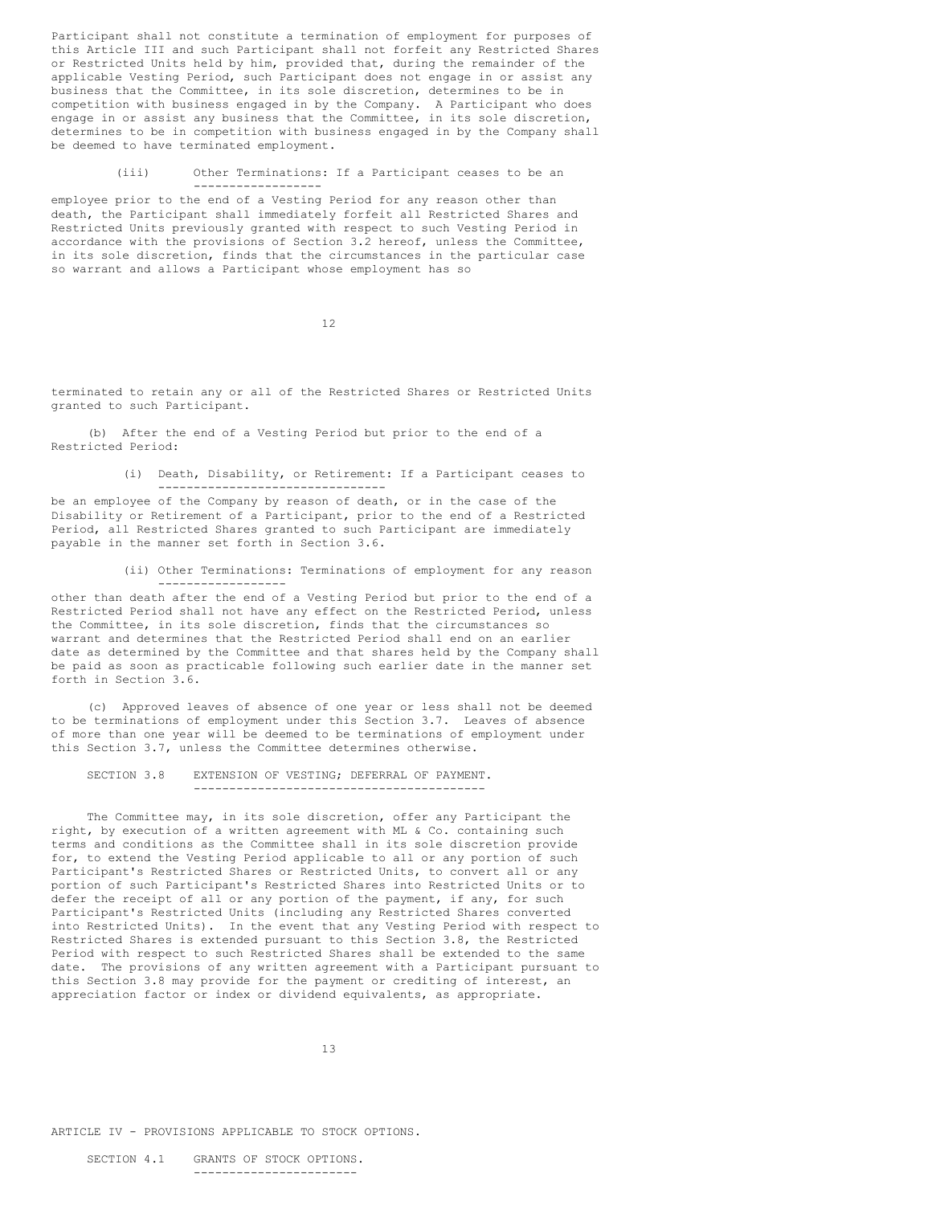Participant shall not constitute a termination of employment for purposes of this Article III and such Participant shall not forfeit any Restricted Shares or Restricted Units held by him, provided that, during the remainder of the applicable Vesting Period, such Participant does not engage in or assist any business that the Committee, in its sole discretion, determines to be in competition with business engaged in by the Company. A Participant who does engage in or assist any business that the Committee, in its sole discretion, determines to be in competition with business engaged in by the Company shall be deemed to have terminated employment.

(iii) Other Terminations: If a Participant ceases to be an

employee prior to the end of a Vesting Period for any reason other than death, the Participant shall immediately forfeit all Restricted Shares and Restricted Units previously granted with respect to such Vesting Period in accordance with the provisions of Section 3.2 hereof, unless the Committee, in its sole discretion, finds that the circumstances in the particular case so warrant and allows a Participant whose employment has so

------------------

12

terminated to retain any or all of the Restricted Shares or Restricted Units granted to such Participant.

(b) After the end of a Vesting Period but prior to the end of a Restricted Period:

--------------------------------

(i) Death, Disability, or Retirement: If a Participant ceases to

be an employee of the Company by reason of death, or in the case of the Disability or Retirement of a Participant, prior to the end of a Restricted Period, all Restricted Shares granted to such Participant are immediately payable in the manner set forth in Section 3.6.

> (ii) Other Terminations: Terminations of employment for any reason ------------------

other than death after the end of a Vesting Period but prior to the end of a Restricted Period shall not have any effect on the Restricted Period, unless the Committee, in its sole discretion, finds that the circumstances so warrant and determines that the Restricted Period shall end on an earlier date as determined by the Committee and that shares held by the Company shall be paid as soon as practicable following such earlier date in the manner set forth in Section 3.6.

(c) Approved leaves of absence of one year or less shall not be deemed to be terminations of employment under this Section 3.7. Leaves of absence of more than one year will be deemed to be terminations of employment under this Section 3.7, unless the Committee determines otherwise.

SECTION 3.8 EXTENSION OF VESTING; DEFERRAL OF PAYMENT. -----------------------------------------

The Committee may, in its sole discretion, offer any Participant the right, by execution of a written agreement with ML & Co. containing such terms and conditions as the Committee shall in its sole discretion provide for, to extend the Vesting Period applicable to all or any portion of such Participant's Restricted Shares or Restricted Units, to convert all or any portion of such Participant's Restricted Shares into Restricted Units or to defer the receipt of all or any portion of the payment, if any, for such Participant's Restricted Units (including any Restricted Shares converted into Restricted Units). In the event that any Vesting Period with respect to Restricted Shares is extended pursuant to this Section 3.8, the Restricted Period with respect to such Restricted Shares shall be extended to the same date. The provisions of any written agreement with a Participant pursuant to this Section 3.8 may provide for the payment or crediting of interest, an appreciation factor or index or dividend equivalents, as appropriate.

13

ARTICLE IV - PROVISIONS APPLICABLE TO STOCK OPTIONS.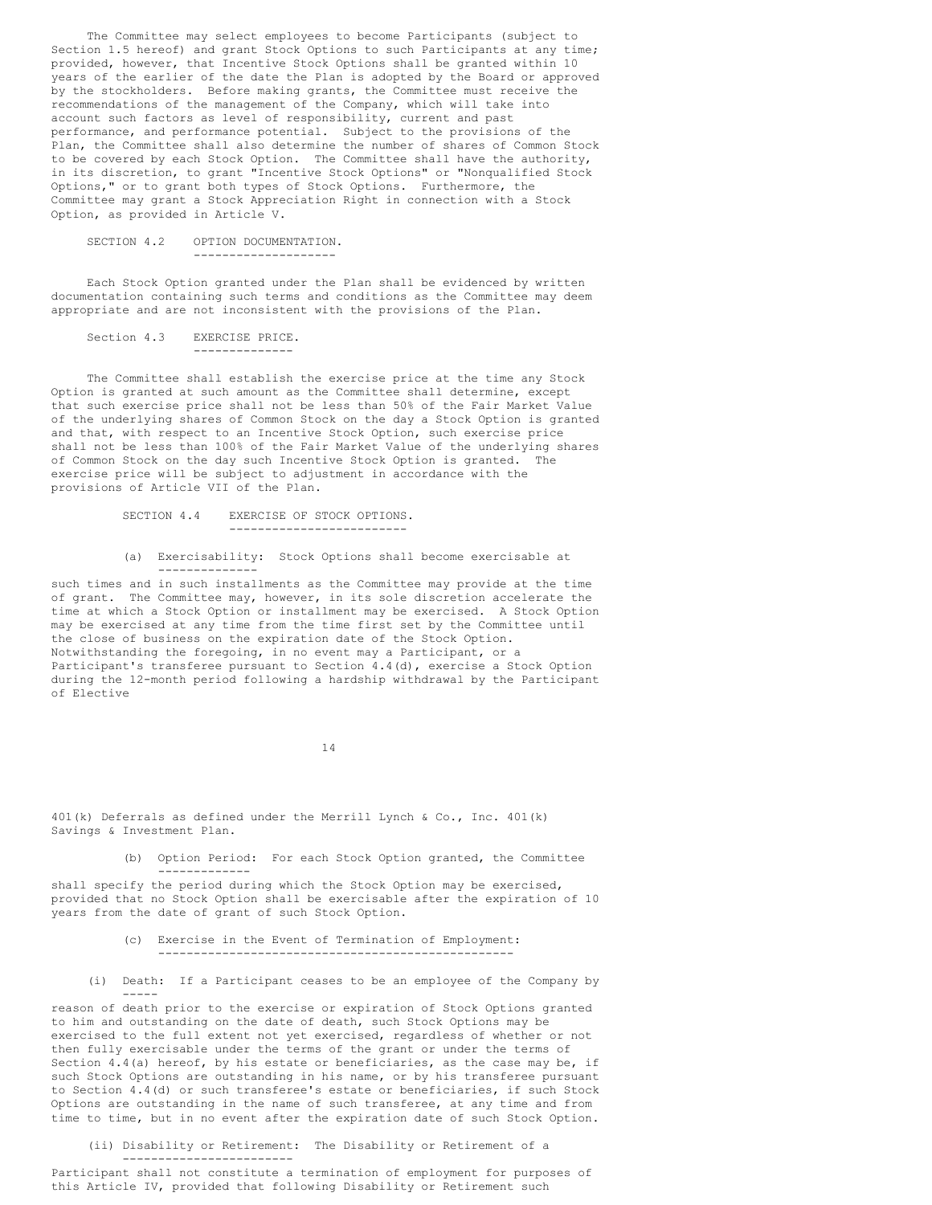The Committee may select employees to become Participants (subject to Section 1.5 hereof) and grant Stock Options to such Participants at any time; provided, however, that Incentive Stock Options shall be granted within 10 years of the earlier of the date the Plan is adopted by the Board or approved by the stockholders. Before making grants, the Committee must receive the recommendations of the management of the Company, which will take into account such factors as level of responsibility, current and past performance, and performance potential. Subject to the provisions of the Plan, the Committee shall also determine the number of shares of Common Stock to be covered by each Stock Option. The Committee shall have the authority, in its discretion, to grant "Incentive Stock Options" or "Nonqualified Stock Options," or to grant both types of Stock Options. Furthermore, the Committee may grant a Stock Appreciation Right in connection with a Stock Option, as provided in Article V.

# SECTION 4.2 OPTION DOCUMENTATION.

--------------------

Each Stock Option granted under the Plan shall be evidenced by written documentation containing such terms and conditions as the Committee may deem appropriate and are not inconsistent with the provisions of the Plan.

Section 4.3 EXERCISE PRICE. --------------

The Committee shall establish the exercise price at the time any Stock Option is granted at such amount as the Committee shall determine, except that such exercise price shall not be less than 50% of the Fair Market Value of the underlying shares of Common Stock on the day a Stock Option is granted and that, with respect to an Incentive Stock Option, such exercise price shall not be less than 100% of the Fair Market Value of the underlying shares of Common Stock on the day such Incentive Stock Option is granted. The exercise price will be subject to adjustment in accordance with the provisions of Article VII of the Plan.

- SECTION 4.4 EXERCISE OF STOCK OPTIONS. -------------------------
- (a) Exercisability: Stock Options shall become exercisable at --------------

such times and in such installments as the Committee may provide at the time of grant. The Committee may, however, in its sole discretion accelerate the time at which a Stock Option or installment may be exercised. A Stock Option may be exercised at any time from the time first set by the Committee until the close of business on the expiration date of the Stock Option. Notwithstanding the foregoing, in no event may a Participant, or a Participant's transferee pursuant to Section 4.4(d), exercise a Stock Option during the 12-month period following a hardship withdrawal by the Participant of Elective

14

401(k) Deferrals as defined under the Merrill Lynch & Co., Inc. 401(k) Savings & Investment Plan.

> (b) Option Period: For each Stock Option granted, the Committee -------------

shall specify the period during which the Stock Option may be exercised, provided that no Stock Option shall be exercisable after the expiration of 10 years from the date of grant of such Stock Option.

- (c) Exercise in the Event of Termination of Employment: --------------------------------------------------
- (i) Death: If a Participant ceases to be an employee of the Company by -----

reason of death prior to the exercise or expiration of Stock Options granted to him and outstanding on the date of death, such Stock Options may be exercised to the full extent not yet exercised, regardless of whether or not then fully exercisable under the terms of the grant or under the terms of Section 4.4(a) hereof, by his estate or beneficiaries, as the case may be, if such Stock Options are outstanding in his name, or by his transferee pursuant to Section 4.4(d) or such transferee's estate or beneficiaries, if such Stock Options are outstanding in the name of such transferee, at any time and from time to time, but in no event after the expiration date of such Stock Option.

(ii) Disability or Retirement: The Disability or Retirement of a ------------------------

Participant shall not constitute a termination of employment for purposes of this Article IV, provided that following Disability or Retirement such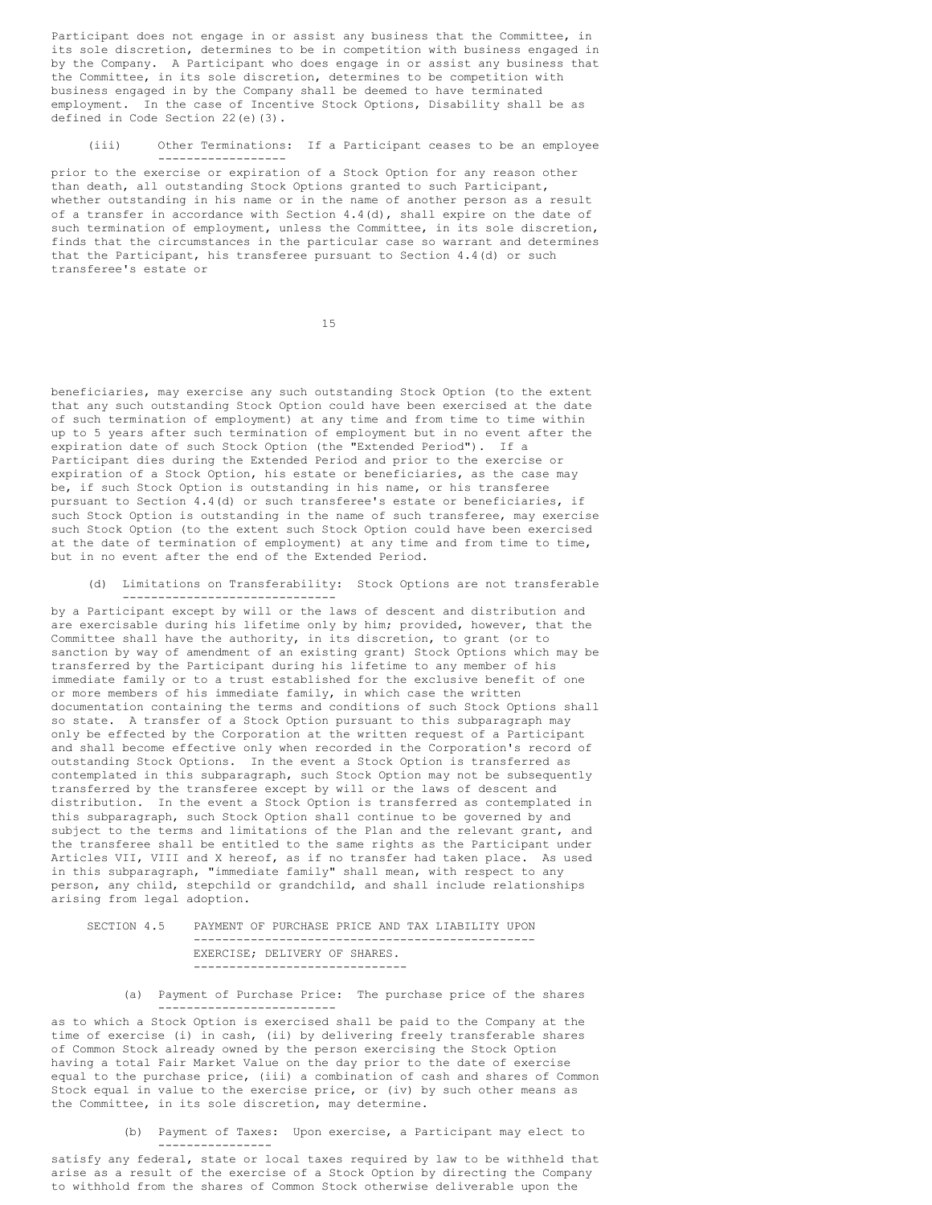Participant does not engage in or assist any business that the Committee, in its sole discretion, determines to be in competition with business engaged in by the Company. A Participant who does engage in or assist any business that the Committee, in its sole discretion, determines to be competition with business engaged in by the Company shall be deemed to have terminated employment. In the case of Incentive Stock Options, Disability shall be as defined in Code Section 22(e)(3).

#### (iii) Other Terminations: If a Participant ceases to be an employee ------------------

prior to the exercise or expiration of a Stock Option for any reason other than death, all outstanding Stock Options granted to such Participant, whether outstanding in his name or in the name of another person as a result of a transfer in accordance with Section  $4.4$ (d), shall expire on the date of such termination of employment, unless the Committee, in its sole discretion, finds that the circumstances in the particular case so warrant and determines that the Participant, his transferee pursuant to Section 4.4(d) or such transferee's estate or

15

beneficiaries, may exercise any such outstanding Stock Option (to the extent that any such outstanding Stock Option could have been exercised at the date of such termination of employment) at any time and from time to time within up to 5 years after such termination of employment but in no event after the expiration date of such Stock Option (the "Extended Period"). If a Participant dies during the Extended Period and prior to the exercise or expiration of a Stock Option, his estate or beneficiaries, as the case may be, if such Stock Option is outstanding in his name, or his transferee pursuant to Section 4.4(d) or such transferee's estate or beneficiaries, if such Stock Option is outstanding in the name of such transferee, may exercise such Stock Option (to the extent such Stock Option could have been exercised at the date of termination of employment) at any time and from time to time, but in no event after the end of the Extended Period.

(d) Limitations on Transferability: Stock Options are not transferable ------------------------------

by a Participant except by will or the laws of descent and distribution and are exercisable during his lifetime only by him; provided, however, that the Committee shall have the authority, in its discretion, to grant (or to sanction by way of amendment of an existing grant) Stock Options which may be transferred by the Participant during his lifetime to any member of his immediate family or to a trust established for the exclusive benefit of one or more members of his immediate family, in which case the written documentation containing the terms and conditions of such Stock Options shall so state. A transfer of a Stock Option pursuant to this subparagraph may only be effected by the Corporation at the written request of a Participant and shall become effective only when recorded in the Corporation's record of outstanding Stock Options. In the event a Stock Option is transferred as contemplated in this subparagraph, such Stock Option may not be subsequently transferred by the transferee except by will or the laws of descent and distribution. In the event a Stock Option is transferred as contemplated in this subparagraph, such Stock Option shall continue to be governed by and subject to the terms and limitations of the Plan and the relevant grant, and the transferee shall be entitled to the same rights as the Participant under Articles VII, VIII and X hereof, as if no transfer had taken place. As used in this subparagraph, "immediate family" shall mean, with respect to any person, any child, stepchild or grandchild, and shall include relationships arising from legal adoption.

## SECTION 4.5 PAYMENT OF PURCHASE PRICE AND TAX LIABILITY UPON ------------------------------------------------ EXERCISE; DELIVERY OF SHARES. ------------------------------

(a) Payment of Purchase Price: The purchase price of the shares -------------------------

as to which a Stock Option is exercised shall be paid to the Company at the time of exercise (i) in cash, (ii) by delivering freely transferable shares of Common Stock already owned by the person exercising the Stock Option having a total Fair Market Value on the day prior to the date of exercise equal to the purchase price, (iii) a combination of cash and shares of Common Stock equal in value to the exercise price, or (iv) by such other means as the Committee, in its sole discretion, may determine.

> (b) Payment of Taxes: Upon exercise, a Participant may elect to ----------------

satisfy any federal, state or local taxes required by law to be withheld that arise as a result of the exercise of a Stock Option by directing the Company to withhold from the shares of Common Stock otherwise deliverable upon the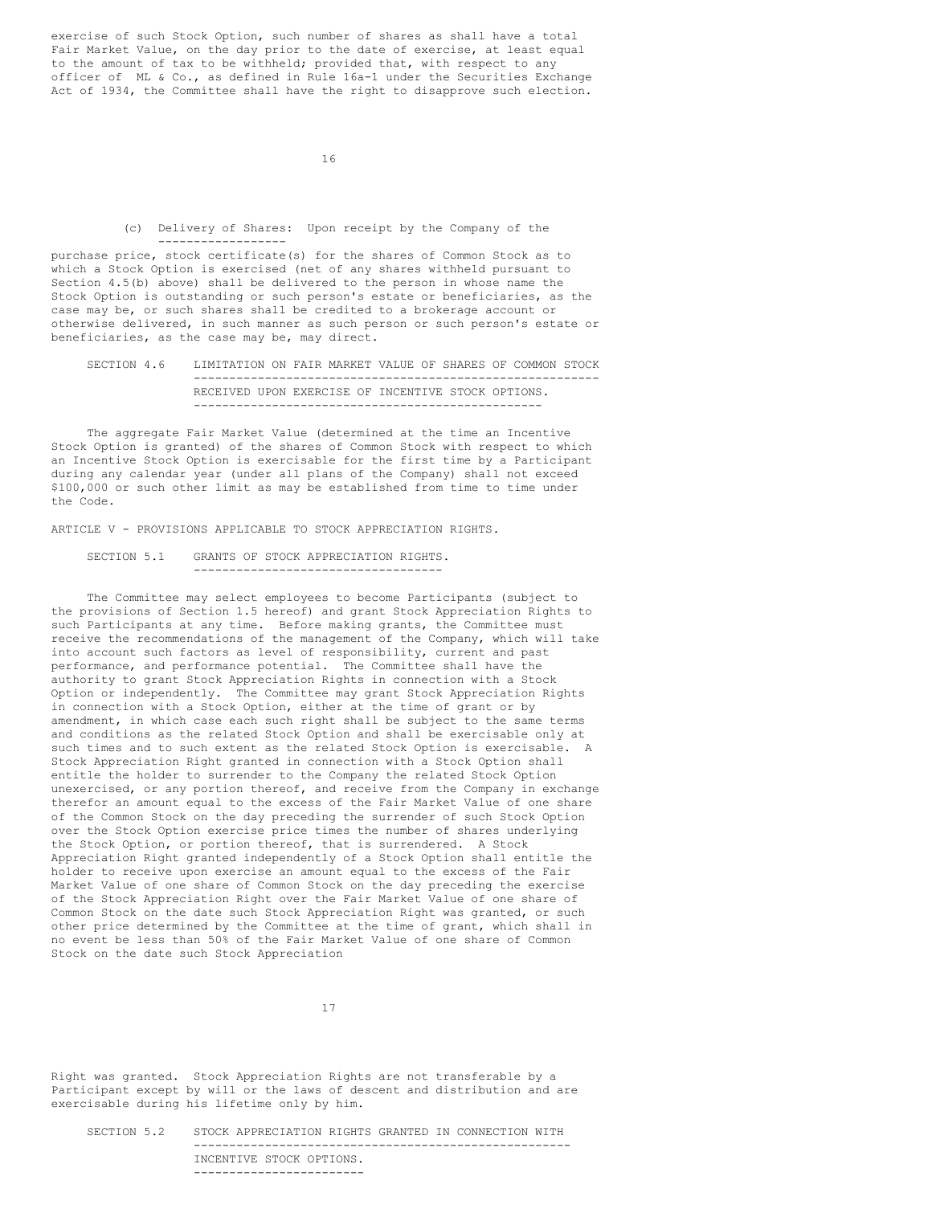exercise of such Stock Option, such number of shares as shall have a total Fair Market Value, on the day prior to the date of exercise, at least equal to the amount of tax to be withheld; provided that, with respect to any officer of ML & Co., as defined in Rule 16a-1 under the Securities Exchange Act of 1934, the Committee shall have the right to disapprove such election.

16

(c) Delivery of Shares: Upon receipt by the Company of the ------------------

purchase price, stock certificate(s) for the shares of Common Stock as to which a Stock Option is exercised (net of any shares withheld pursuant to Section 4.5(b) above) shall be delivered to the person in whose name the Stock Option is outstanding or such person's estate or beneficiaries, as the case may be, or such shares shall be credited to a brokerage account or otherwise delivered, in such manner as such person or such person's estate or beneficiaries, as the case may be, may direct.

## SECTION 4.6 LIMITATION ON FAIR MARKET VALUE OF SHARES OF COMMON STOCK --------------------------------------------------------- RECEIVED UPON EXERCISE OF INCENTIVE STOCK OPTIONS. -------------------------------------------------

The aggregate Fair Market Value (determined at the time an Incentive Stock Option is granted) of the shares of Common Stock with respect to which an Incentive Stock Option is exercisable for the first time by a Participant during any calendar year (under all plans of the Company) shall not exceed \$100,000 or such other limit as may be established from time to time under the Code.

ARTICLE V - PROVISIONS APPLICABLE TO STOCK APPRECIATION RIGHTS.

SECTION 5.1 GRANTS OF STOCK APPRECIATION RIGHTS. -----------------------------------

The Committee may select employees to become Participants (subject to the provisions of Section 1.5 hereof) and grant Stock Appreciation Rights to such Participants at any time. Before making grants, the Committee must receive the recommendations of the management of the Company, which will take into account such factors as level of responsibility, current and past performance, and performance potential. The Committee shall have the authority to grant Stock Appreciation Rights in connection with a Stock Option or independently. The Committee may grant Stock Appreciation Rights in connection with a Stock Option, either at the time of grant or by amendment, in which case each such right shall be subject to the same terms and conditions as the related Stock Option and shall be exercisable only at such times and to such extent as the related Stock Option is exercisable. A Stock Appreciation Right granted in connection with a Stock Option shall entitle the holder to surrender to the Company the related Stock Option unexercised, or any portion thereof, and receive from the Company in exchange therefor an amount equal to the excess of the Fair Market Value of one share of the Common Stock on the day preceding the surrender of such Stock Option over the Stock Option exercise price times the number of shares underlying the Stock Option, or portion thereof, that is surrendered. A Stock Appreciation Right granted independently of a Stock Option shall entitle the holder to receive upon exercise an amount equal to the excess of the Fair Market Value of one share of Common Stock on the day preceding the exercise of the Stock Appreciation Right over the Fair Market Value of one share of Common Stock on the date such Stock Appreciation Right was granted, or such other price determined by the Committee at the time of grant, which shall in no event be less than 50% of the Fair Market Value of one share of Common Stock on the date such Stock Appreciation

17

Right was granted. Stock Appreciation Rights are not transferable by a Participant except by will or the laws of descent and distribution and are exercisable during his lifetime only by him.

SECTION 5.2 STOCK APPRECIATION RIGHTS GRANTED IN CONNECTION WITH ----------------------------------------------------- INCENTIVE STOCK OPTIONS. ------------------------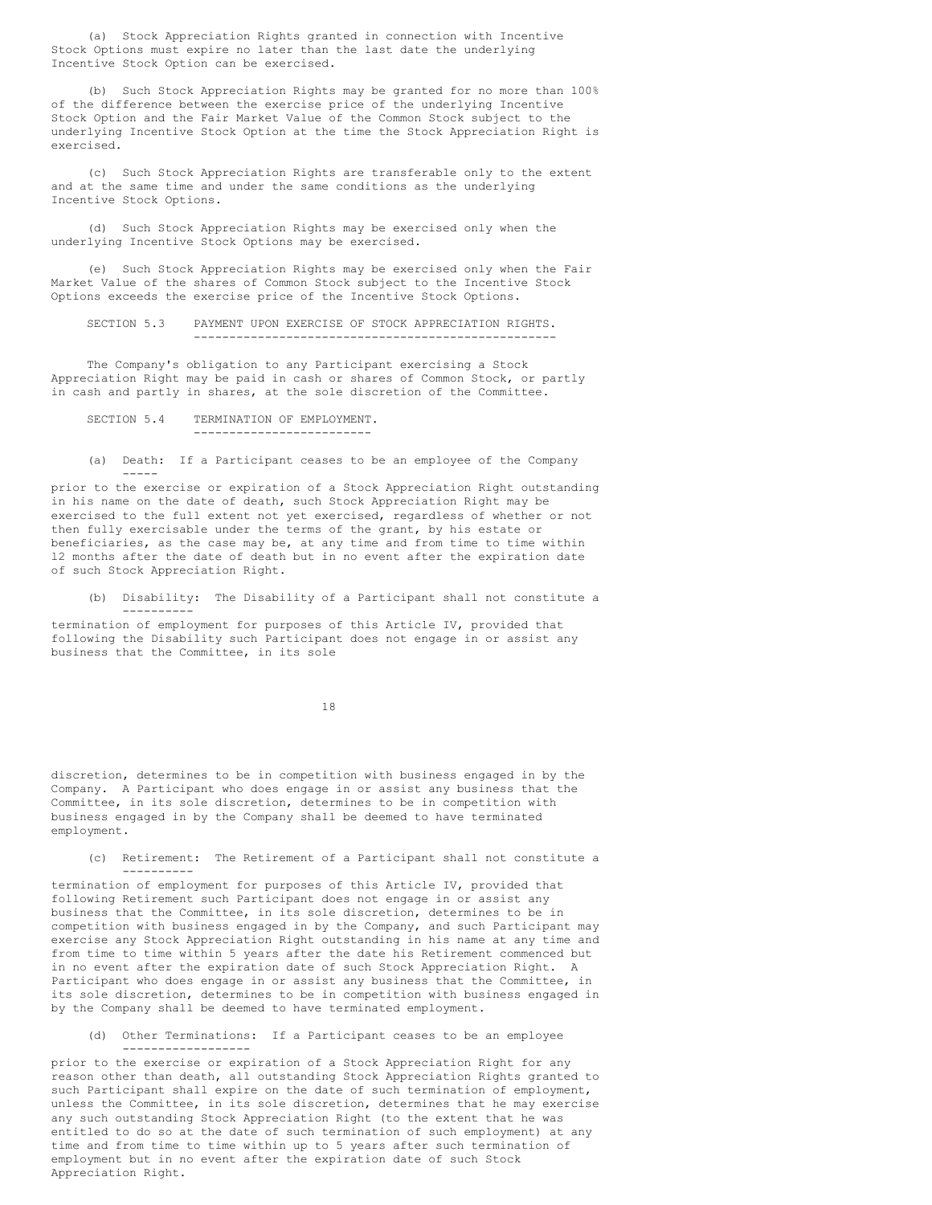(a) Stock Appreciation Rights granted in connection with Incentive Stock Options must expire no later than the last date the underlying Incentive Stock Option can be exercised.

(b) Such Stock Appreciation Rights may be granted for no more than 100% of the difference between the exercise price of the underlying Incentive Stock Option and the Fair Market Value of the Common Stock subject to the underlying Incentive Stock Option at the time the Stock Appreciation Right is exercised.

(c) Such Stock Appreciation Rights are transferable only to the extent and at the same time and under the same conditions as the underlying Incentive Stock Options.

(d) Such Stock Appreciation Rights may be exercised only when the underlying Incentive Stock Options may be exercised.

(e) Such Stock Appreciation Rights may be exercised only when the Fair Market Value of the shares of Common Stock subject to the Incentive Stock Options exceeds the exercise price of the Incentive Stock Options.

SECTION 5.3 PAYMENT UPON EXERCISE OF STOCK APPRECIATION RIGHTS. ---------------------------------------------------

The Company's obligation to any Participant exercising a Stock Appreciation Right may be paid in cash or shares of Common Stock, or partly in cash and partly in shares, at the sole discretion of the Committee.

# SECTION 5.4 TERMINATION OF EMPLOYMENT. -------------------------

(a) Death: If a Participant ceases to be an employee of the Company -----

prior to the exercise or expiration of a Stock Appreciation Right outstanding in his name on the date of death, such Stock Appreciation Right may be exercised to the full extent not yet exercised, regardless of whether or not then fully exercisable under the terms of the grant, by his estate or beneficiaries, as the case may be, at any time and from time to time within l2 months after the date of death but in no event after the expiration date of such Stock Appreciation Right.

(b) Disability: The Disability of a Participant shall not constitute a ----------

termination of employment for purposes of this Article IV, provided that following the Disability such Participant does not engage in or assist any business that the Committee, in its sole

18

discretion, determines to be in competition with business engaged in by the Company. A Participant who does engage in or assist any business that the Committee, in its sole discretion, determines to be in competition with business engaged in by the Company shall be deemed to have terminated employment.

(c) Retirement: The Retirement of a Participant shall not constitute a ----------

termination of employment for purposes of this Article IV, provided that following Retirement such Participant does not engage in or assist any business that the Committee, in its sole discretion, determines to be in competition with business engaged in by the Company, and such Participant may exercise any Stock Appreciation Right outstanding in his name at any time and from time to time within 5 years after the date his Retirement commenced but in no event after the expiration date of such Stock Appreciation Right. A Participant who does engage in or assist any business that the Committee, in its sole discretion, determines to be in competition with business engaged in by the Company shall be deemed to have terminated employment.

(d) Other Terminations: If a Participant ceases to be an employee ------------------

prior to the exercise or expiration of a Stock Appreciation Right for any reason other than death, all outstanding Stock Appreciation Rights granted to such Participant shall expire on the date of such termination of employment, unless the Committee, in its sole discretion, determines that he may exercise any such outstanding Stock Appreciation Right (to the extent that he was entitled to do so at the date of such termination of such employment) at any time and from time to time within up to 5 years after such termination of employment but in no event after the expiration date of such Stock Appreciation Right.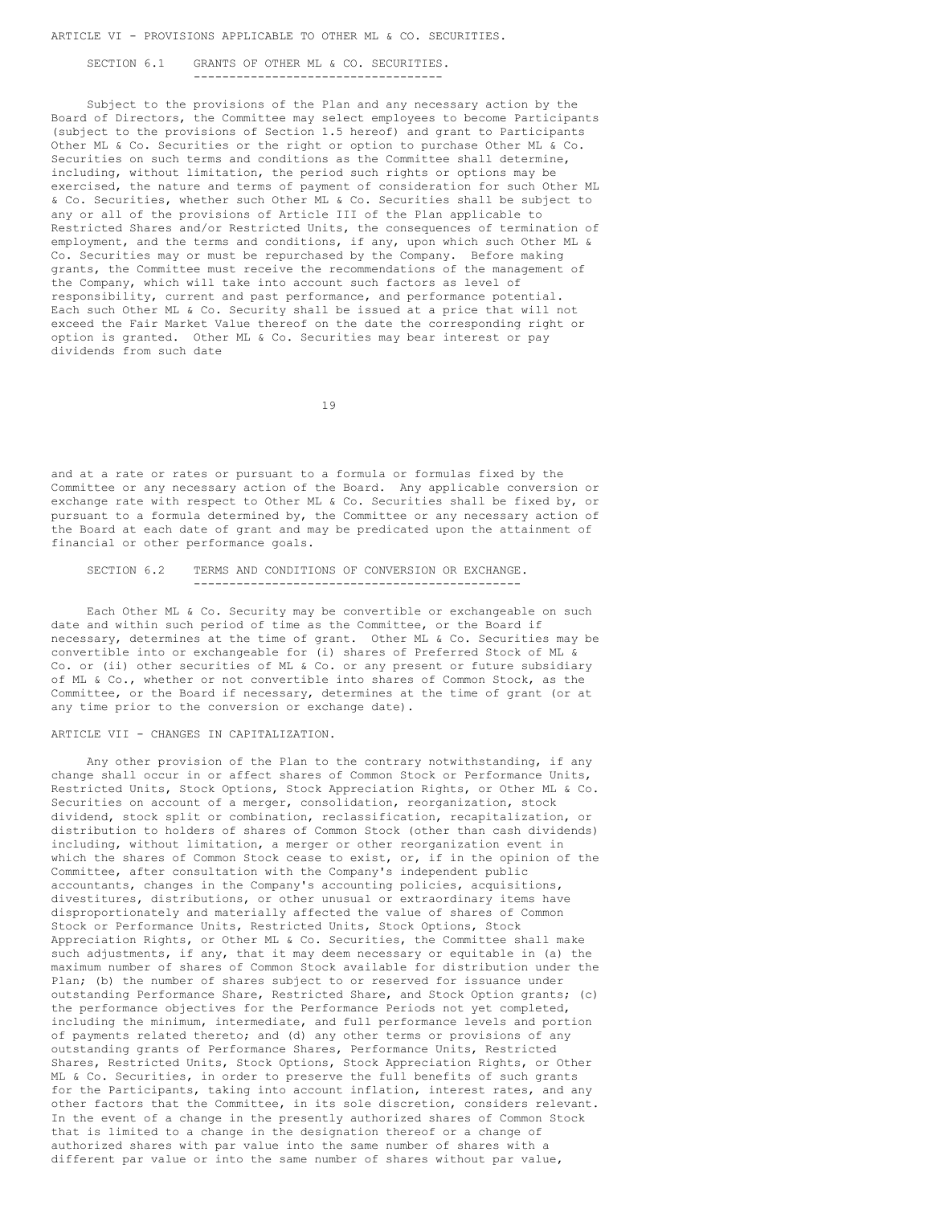ARTICLE VI - PROVISIONS APPLICABLE TO OTHER ML & CO. SECURITIES.

SECTION 6.1 GRANTS OF OTHER ML & CO. SECURITIES. -----------------------------------

Subject to the provisions of the Plan and any necessary action by the Board of Directors, the Committee may select employees to become Participants (subject to the provisions of Section 1.5 hereof) and grant to Participants Other ML & Co. Securities or the right or option to purchase Other ML & Co. Securities on such terms and conditions as the Committee shall determine, including, without limitation, the period such rights or options may be exercised, the nature and terms of payment of consideration for such Other ML & Co. Securities, whether such Other ML & Co. Securities shall be subject to any or all of the provisions of Article III of the Plan applicable to Restricted Shares and/or Restricted Units, the consequences of termination of employment, and the terms and conditions, if any, upon which such Other ML & Co. Securities may or must be repurchased by the Company. Before making grants, the Committee must receive the recommendations of the management of the Company, which will take into account such factors as level of responsibility, current and past performance, and performance potential. Each such Other ML & Co. Security shall be issued at a price that will not exceed the Fair Market Value thereof on the date the corresponding right or option is granted. Other ML & Co. Securities may bear interest or pay dividends from such date

19

and at a rate or rates or pursuant to a formula or formulas fixed by the Committee or any necessary action of the Board. Any applicable conversion or exchange rate with respect to Other ML & Co. Securities shall be fixed by, or pursuant to a formula determined by, the Committee or any necessary action of the Board at each date of grant and may be predicated upon the attainment of financial or other performance goals.

#### SECTION 6.2 TERMS AND CONDITIONS OF CONVERSION OR EXCHANGE. ----------------------------------------------

Each Other ML & Co. Security may be convertible or exchangeable on such date and within such period of time as the Committee, or the Board if necessary, determines at the time of grant. Other ML & Co. Securities may be convertible into or exchangeable for (i) shares of Preferred Stock of ML & Co. or (ii) other securities of ML & Co. or any present or future subsidiary of ML & Co., whether or not convertible into shares of Common Stock, as the Committee, or the Board if necessary, determines at the time of grant (or at any time prior to the conversion or exchange date).

## ARTICLE VII - CHANGES IN CAPITALIZATION.

Any other provision of the Plan to the contrary notwithstanding, if any change shall occur in or affect shares of Common Stock or Performance Units, Restricted Units, Stock Options, Stock Appreciation Rights, or Other ML & Co. Securities on account of a merger, consolidation, reorganization, stock dividend, stock split or combination, reclassification, recapitalization, or distribution to holders of shares of Common Stock (other than cash dividends) including, without limitation, a merger or other reorganization event in which the shares of Common Stock cease to exist, or, if in the opinion of the Committee, after consultation with the Company's independent public accountants, changes in the Company's accounting policies, acquisitions, divestitures, distributions, or other unusual or extraordinary items have disproportionately and materially affected the value of shares of Common Stock or Performance Units, Restricted Units, Stock Options, Stock Appreciation Rights, or Other ML & Co. Securities, the Committee shall make such adjustments, if any, that it may deem necessary or equitable in (a) the maximum number of shares of Common Stock available for distribution under the Plan; (b) the number of shares subject to or reserved for issuance under outstanding Performance Share, Restricted Share, and Stock Option grants; (c) the performance objectives for the Performance Periods not yet completed, including the minimum, intermediate, and full performance levels and portion of payments related thereto; and (d) any other terms or provisions of any outstanding grants of Performance Shares, Performance Units, Restricted Shares, Restricted Units, Stock Options, Stock Appreciation Rights, or Other ML & Co. Securities, in order to preserve the full benefits of such grants for the Participants, taking into account inflation, interest rates, and any other factors that the Committee, in its sole discretion, considers relevant. In the event of a change in the presently authorized shares of Common Stock that is limited to a change in the designation thereof or a change of authorized shares with par value into the same number of shares with a different par value or into the same number of shares without par value,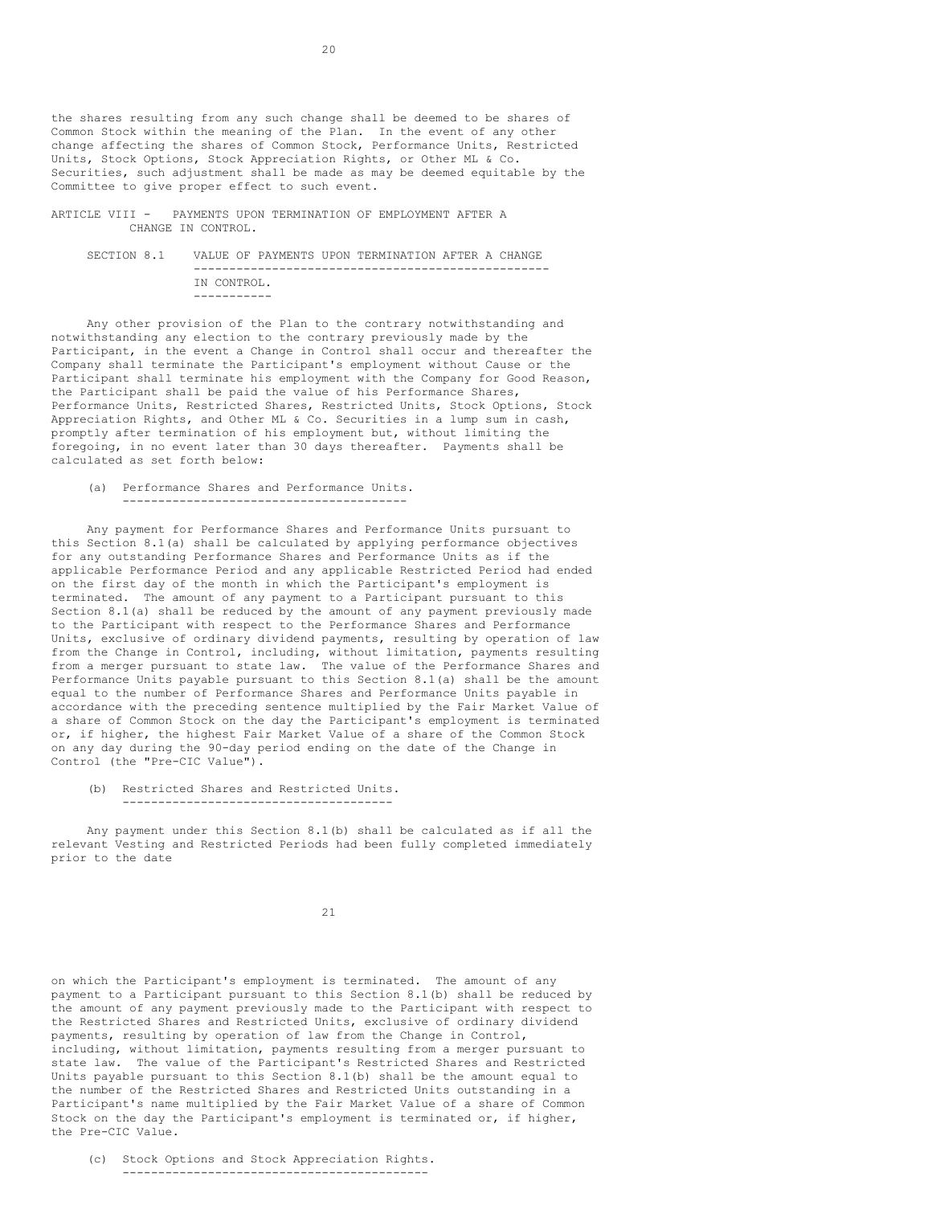the shares resulting from any such change shall be deemed to be shares of Common Stock within the meaning of the Plan. In the event of any other change affecting the shares of Common Stock, Performance Units, Restricted Units, Stock Options, Stock Appreciation Rights, or Other ML & Co. Securities, such adjustment shall be made as may be deemed equitable by the Committee to give proper effect to such event.

ARTICLE VIII - PAYMENTS UPON TERMINATION OF EMPLOYMENT AFTER A CHANGE IN CONTROL.

SECTION 8.1 VALUE OF PAYMENTS UPON TERMINATION AFTER A CHANGE -------------------------------------------------- IN CONTROL. -----------

Any other provision of the Plan to the contrary notwithstanding and notwithstanding any election to the contrary previously made by the Participant, in the event a Change in Control shall occur and thereafter the Company shall terminate the Participant's employment without Cause or the Participant shall terminate his employment with the Company for Good Reason, the Participant shall be paid the value of his Performance Shares, Performance Units, Restricted Shares, Restricted Units, Stock Options, Stock Appreciation Rights, and Other ML & Co. Securities in a lump sum in cash, promptly after termination of his employment but, without limiting the foregoing, in no event later than 30 days thereafter. Payments shall be calculated as set forth below:

(a) Performance Shares and Performance Units. ----------------------------------------

Any payment for Performance Shares and Performance Units pursuant to this Section 8.1(a) shall be calculated by applying performance objectives for any outstanding Performance Shares and Performance Units as if the applicable Performance Period and any applicable Restricted Period had ended on the first day of the month in which the Participant's employment is terminated. The amount of any payment to a Participant pursuant to this Section 8.1(a) shall be reduced by the amount of any payment previously made to the Participant with respect to the Performance Shares and Performance Units, exclusive of ordinary dividend payments, resulting by operation of law from the Change in Control, including, without limitation, payments resulting from a merger pursuant to state law. The value of the Performance Shares and Performance Units payable pursuant to this Section 8.1(a) shall be the amount equal to the number of Performance Shares and Performance Units payable in accordance with the preceding sentence multiplied by the Fair Market Value of a share of Common Stock on the day the Participant's employment is terminated or, if higher, the highest Fair Market Value of a share of the Common Stock on any day during the 90-day period ending on the date of the Change in Control (the "Pre-CIC Value").

(b) Restricted Shares and Restricted Units. --------------------------------------

Any payment under this Section 8.1(b) shall be calculated as if all the relevant Vesting and Restricted Periods had been fully completed immediately prior to the date

21

on which the Participant's employment is terminated. The amount of any payment to a Participant pursuant to this Section 8.1(b) shall be reduced by the amount of any payment previously made to the Participant with respect to the Restricted Shares and Restricted Units, exclusive of ordinary dividend payments, resulting by operation of law from the Change in Control, including, without limitation, payments resulting from a merger pursuant to state law. The value of the Participant's Restricted Shares and Restricted Units payable pursuant to this Section 8.1(b) shall be the amount equal to the number of the Restricted Shares and Restricted Units outstanding in a Participant's name multiplied by the Fair Market Value of a share of Common Stock on the day the Participant's employment is terminated or, if higher, the Pre-CIC Value.

(c) Stock Options and Stock Appreciation Rights. -------------------------------------------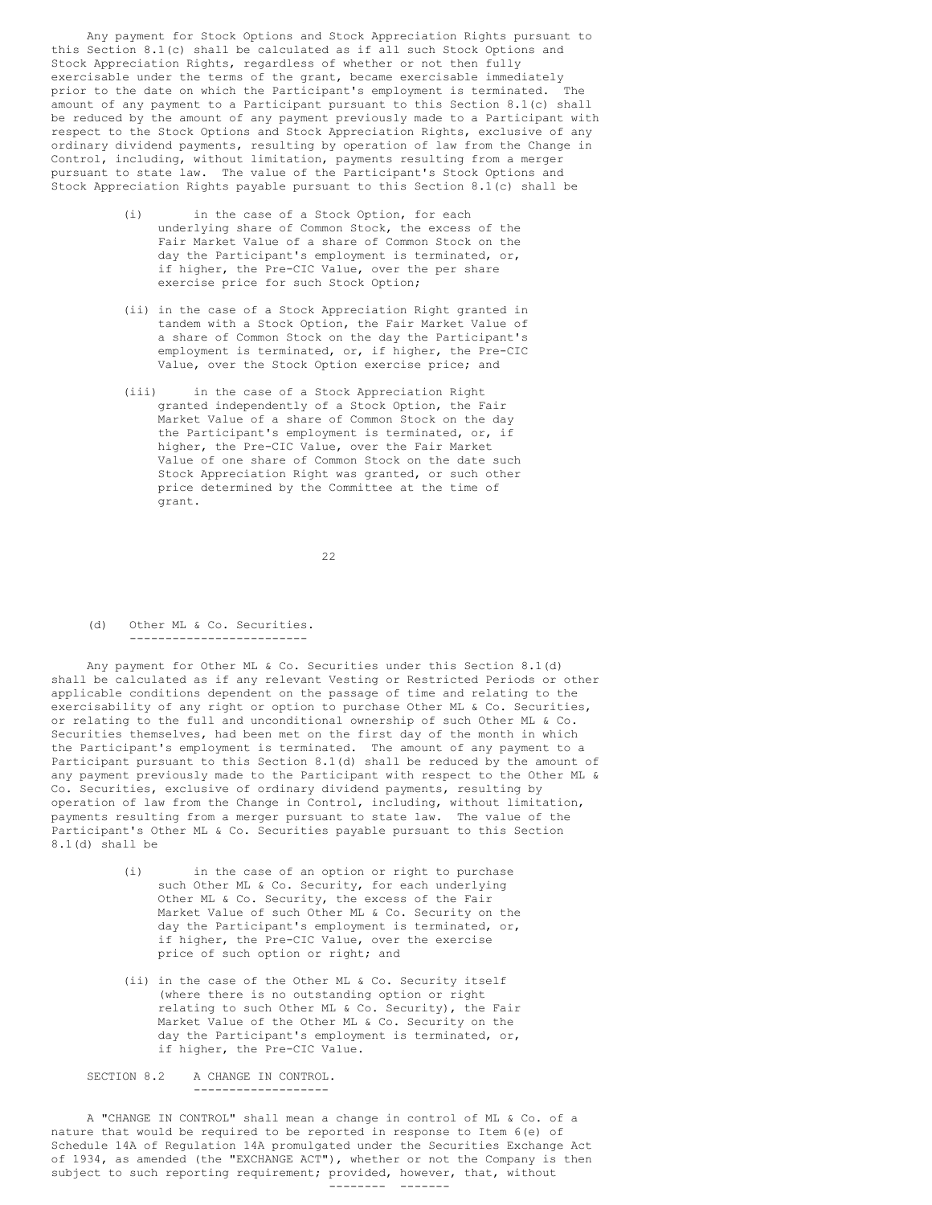Any payment for Stock Options and Stock Appreciation Rights pursuant to this Section 8.1(c) shall be calculated as if all such Stock Options and Stock Appreciation Rights, regardless of whether or not then fully exercisable under the terms of the grant, became exercisable immediately prior to the date on which the Participant's employment is terminated. The amount of any payment to a Participant pursuant to this Section 8.1(c) shall be reduced by the amount of any payment previously made to a Participant with respect to the Stock Options and Stock Appreciation Rights, exclusive of any ordinary dividend payments, resulting by operation of law from the Change in Control, including, without limitation, payments resulting from a merger pursuant to state law. The value of the Participant's Stock Options and Stock Appreciation Rights payable pursuant to this Section 8.1(c) shall be

- (i) in the case of a Stock Option, for each underlying share of Common Stock, the excess of the Fair Market Value of a share of Common Stock on the day the Participant's employment is terminated, or, if higher, the Pre-CIC Value, over the per share exercise price for such Stock Option;
- (ii) in the case of a Stock Appreciation Right granted in tandem with a Stock Option, the Fair Market Value of a share of Common Stock on the day the Participant's employment is terminated, or, if higher, the Pre-CIC Value, over the Stock Option exercise price; and
- (iii) in the case of a Stock Appreciation Right granted independently of a Stock Option, the Fair Market Value of a share of Common Stock on the day the Participant's employment is terminated, or, if higher, the Pre-CIC Value, over the Fair Market Value of one share of Common Stock on the date such Stock Appreciation Right was granted, or such other price determined by the Committee at the time of grant.

22

(d) Other ML & Co. Securities. -------------------------

Any payment for Other ML & Co. Securities under this Section 8.1(d) shall be calculated as if any relevant Vesting or Restricted Periods or other applicable conditions dependent on the passage of time and relating to the exercisability of any right or option to purchase Other ML & Co. Securities, or relating to the full and unconditional ownership of such Other ML & Co. Securities themselves, had been met on the first day of the month in which the Participant's employment is terminated. The amount of any payment to a Participant pursuant to this Section 8.1(d) shall be reduced by the amount of any payment previously made to the Participant with respect to the Other ML & Co. Securities, exclusive of ordinary dividend payments, resulting by operation of law from the Change in Control, including, without limitation, payments resulting from a merger pursuant to state law. The value of the Participant's Other ML & Co. Securities payable pursuant to this Section 8.1(d) shall be

- (i) in the case of an option or right to purchase such Other ML & Co. Security, for each underlying Other ML & Co. Security, the excess of the Fair Market Value of such Other ML & Co. Security on the day the Participant's employment is terminated, or, if higher, the Pre-CIC Value, over the exercise price of such option or right; and
- (ii) in the case of the Other ML & Co. Security itself (where there is no outstanding option or right relating to such Other ML & Co. Security), the Fair Market Value of the Other ML & Co. Security on the day the Participant's employment is terminated, or, if higher, the Pre-CIC Value.

SECTION 8.2 A CHANGE IN CONTROL. -------------------

A "CHANGE IN CONTROL" shall mean a change in control of ML & Co. of a nature that would be required to be reported in response to Item 6(e) of Schedule 14A of Regulation 14A promulgated under the Securities Exchange Act of 1934, as amended (the "EXCHANGE ACT"), whether or not the Company is then subject to such reporting requirement; provided, however, that, without -------- -------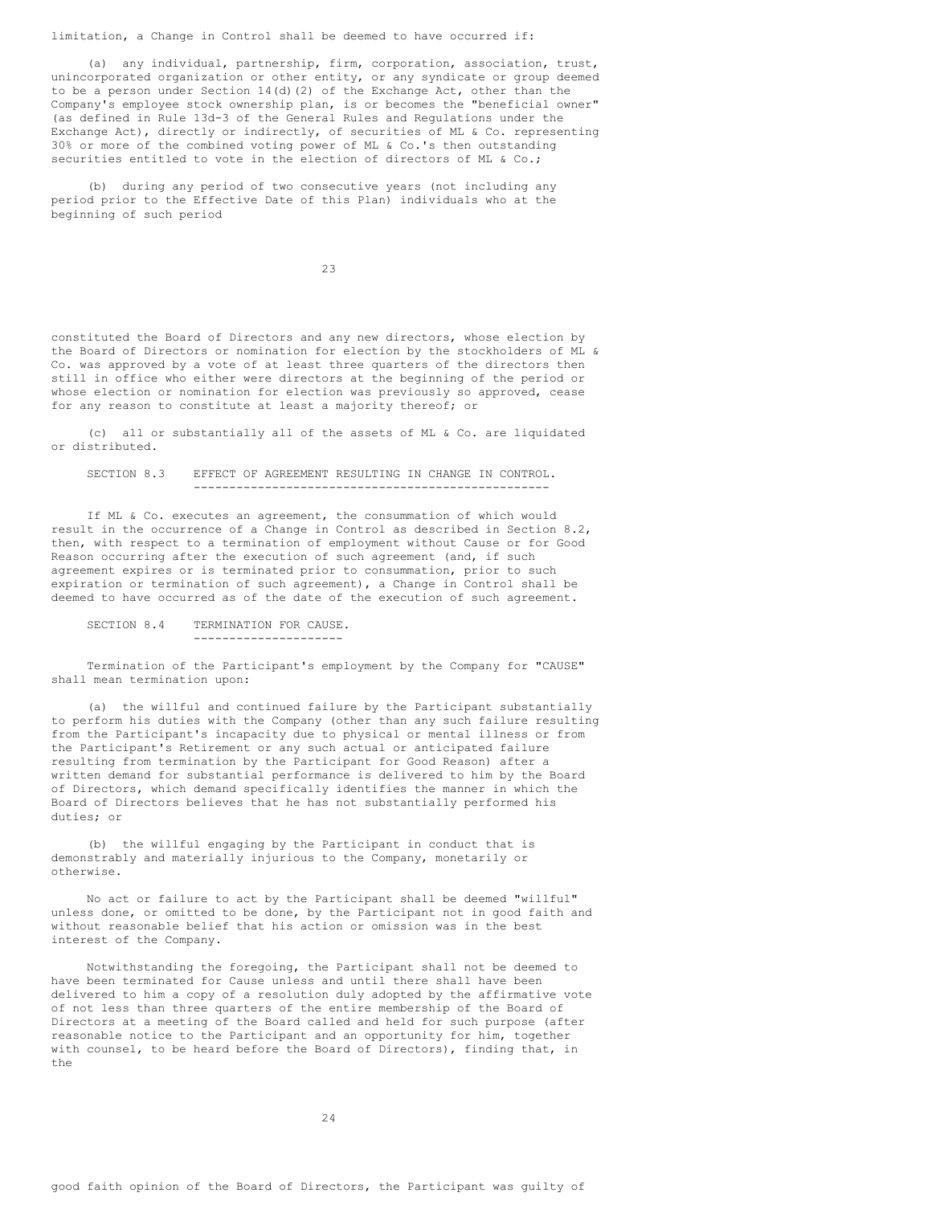limitation, a Change in Control shall be deemed to have occurred if:

(a) any individual, partnership, firm, corporation, association, trust, unincorporated organization or other entity, or any syndicate or group deemed to be a person under Section 14(d)(2) of the Exchange Act, other than the Company's employee stock ownership plan, is or becomes the "beneficial owner" (as defined in Rule 13d-3 of the General Rules and Regulations under the Exchange Act), directly or indirectly, of securities of ML & Co. representing 30% or more of the combined voting power of ML & Co.'s then outstanding securities entitled to vote in the election of directors of ML & Co.;

(b) during any period of two consecutive years (not including any period prior to the Effective Date of this Plan) individuals who at the beginning of such period

23

constituted the Board of Directors and any new directors, whose election by the Board of Directors or nomination for election by the stockholders of ML & Co. was approved by a vote of at least three quarters of the directors then still in office who either were directors at the beginning of the period or whose election or nomination for election was previously so approved, cease for any reason to constitute at least a majority thereof; or

(c) all or substantially all of the assets of ML & Co. are liquidated or distributed.

SECTION 8.3 EFFECT OF AGREEMENT RESULTING IN CHANGE IN CONTROL. --------------------------------------------------

If ML & Co. executes an agreement, the consummation of which would result in the occurrence of a Change in Control as described in Section 8.2, then, with respect to a termination of employment without Cause or for Good Reason occurring after the execution of such agreement (and, if such agreement expires or is terminated prior to consummation, prior to such expiration or termination of such agreement), a Change in Control shall be deemed to have occurred as of the date of the execution of such agreement.

## SECTION 8.4 TERMINATION FOR CAUSE.

Termination of the Participant's employment by the Company for "CAUSE" shall mean termination upon:

---------------------

(a) the willful and continued failure by the Participant substantially to perform his duties with the Company (other than any such failure resulting from the Participant's incapacity due to physical or mental illness or from the Participant's Retirement or any such actual or anticipated failure resulting from termination by the Participant for Good Reason) after a written demand for substantial performance is delivered to him by the Board of Directors, which demand specifically identifies the manner in which the Board of Directors believes that he has not substantially performed his duties; or

(b) the willful engaging by the Participant in conduct that is demonstrably and materially injurious to the Company, monetarily or otherwise.

No act or failure to act by the Participant shall be deemed "willful" unless done, or omitted to be done, by the Participant not in good faith and without reasonable belief that his action or omission was in the best interest of the Company.

Notwithstanding the foregoing, the Participant shall not be deemed to have been terminated for Cause unless and until there shall have been delivered to him a copy of a resolution duly adopted by the affirmative vote of not less than three quarters of the entire membership of the Board of Directors at a meeting of the Board called and held for such purpose (after reasonable notice to the Participant and an opportunity for him, together with counsel, to be heard before the Board of Directors), finding that, in the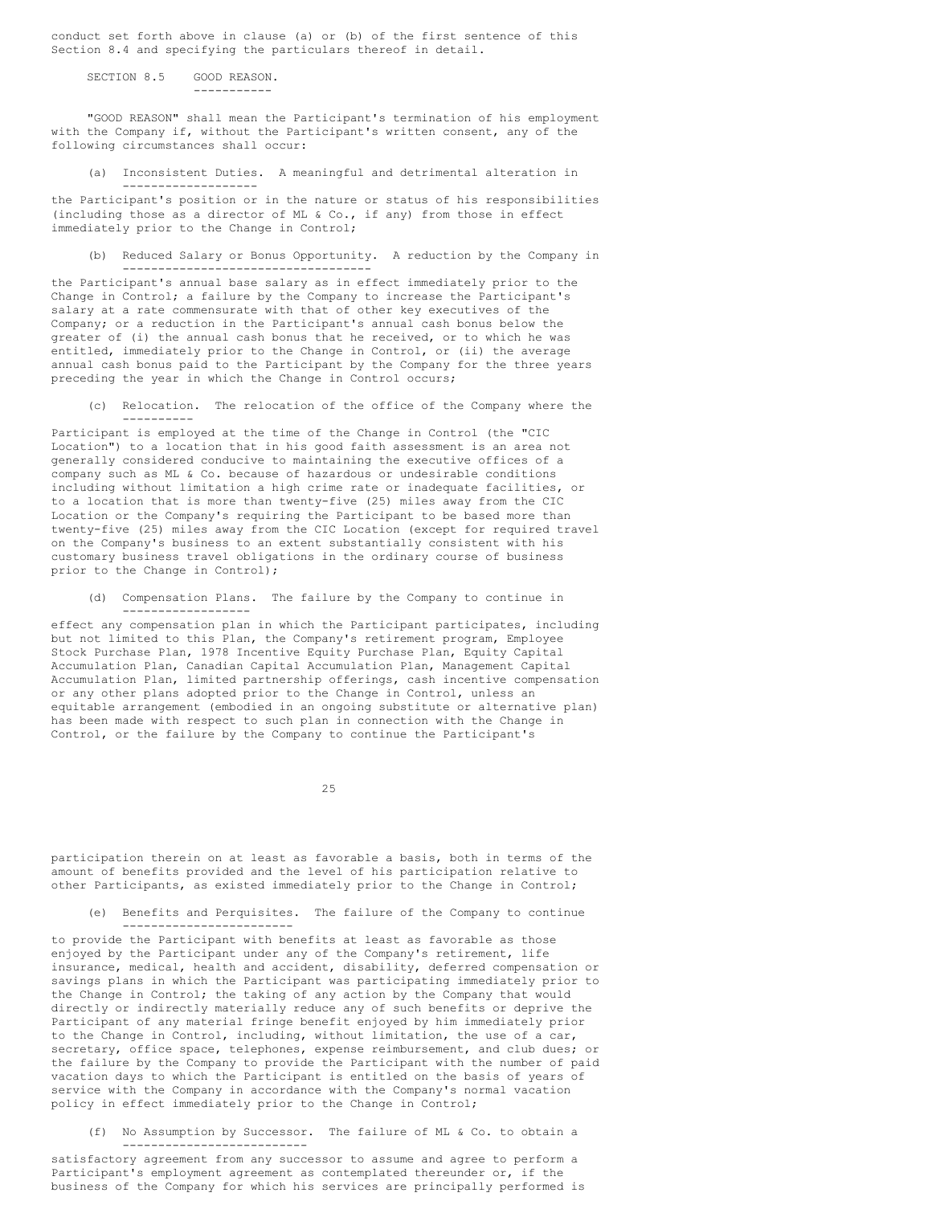conduct set forth above in clause (a) or (b) of the first sentence of this Section 8.4 and specifying the particulars thereof in detail.

SECTION 8.5 GOOD REASON. -----------

-------------------

"GOOD REASON" shall mean the Participant's termination of his employment with the Company if, without the Participant's written consent, any of the following circumstances shall occur:

(a) Inconsistent Duties. A meaningful and detrimental alteration in

the Participant's position or in the nature or status of his responsibilities (including those as a director of ML & Co., if any) from those in effect immediately prior to the Change in Control;

(b) Reduced Salary or Bonus Opportunity. A reduction by the Company in -----------------------------------

the Participant's annual base salary as in effect immediately prior to the Change in Control; a failure by the Company to increase the Participant's salary at a rate commensurate with that of other key executives of the Company; or a reduction in the Participant's annual cash bonus below the greater of (i) the annual cash bonus that he received, or to which he was entitled, immediately prior to the Change in Control, or (ii) the average annual cash bonus paid to the Participant by the Company for the three years preceding the year in which the Change in Control occurs;

(c) Relocation. The relocation of the office of the Company where the ----------

Participant is employed at the time of the Change in Control (the "CIC Location") to a location that in his good faith assessment is an area not generally considered conducive to maintaining the executive offices of a company such as ML & Co. because of hazardous or undesirable conditions including without limitation a high crime rate or inadequate facilities, or to a location that is more than twenty-five (25) miles away from the CIC Location or the Company's requiring the Participant to be based more than twenty-five (25) miles away from the CIC Location (except for required travel on the Company's business to an extent substantially consistent with his customary business travel obligations in the ordinary course of business prior to the Change in Control);

(d) Compensation Plans. The failure by the Company to continue in ------------------

effect any compensation plan in which the Participant participates, including but not limited to this Plan, the Company's retirement program, Employee Stock Purchase Plan, 1978 Incentive Equity Purchase Plan, Equity Capital Accumulation Plan, Canadian Capital Accumulation Plan, Management Capital Accumulation Plan, limited partnership offerings, cash incentive compensation or any other plans adopted prior to the Change in Control, unless an equitable arrangement (embodied in an ongoing substitute or alternative plan) has been made with respect to such plan in connection with the Change in Control, or the failure by the Company to continue the Participant's

25

participation therein on at least as favorable a basis, both in terms of the amount of benefits provided and the level of his participation relative to other Participants, as existed immediately prior to the Change in Control;

(e) Benefits and Perquisites. The failure of the Company to continue ------------------------

to provide the Participant with benefits at least as favorable as those enjoyed by the Participant under any of the Company's retirement, life insurance, medical, health and accident, disability, deferred compensation or savings plans in which the Participant was participating immediately prior to the Change in Control; the taking of any action by the Company that would directly or indirectly materially reduce any of such benefits or deprive the Participant of any material fringe benefit enjoyed by him immediately prior to the Change in Control, including, without limitation, the use of a car, secretary, office space, telephones, expense reimbursement, and club dues; or the failure by the Company to provide the Participant with the number of paid vacation days to which the Participant is entitled on the basis of years of service with the Company in accordance with the Company's normal vacation policy in effect immediately prior to the Change in Control;

(f) No Assumption by Successor. The failure of ML & Co. to obtain a --------------------------

satisfactory agreement from any successor to assume and agree to perform a Participant's employment agreement as contemplated thereunder or, if the business of the Company for which his services are principally performed is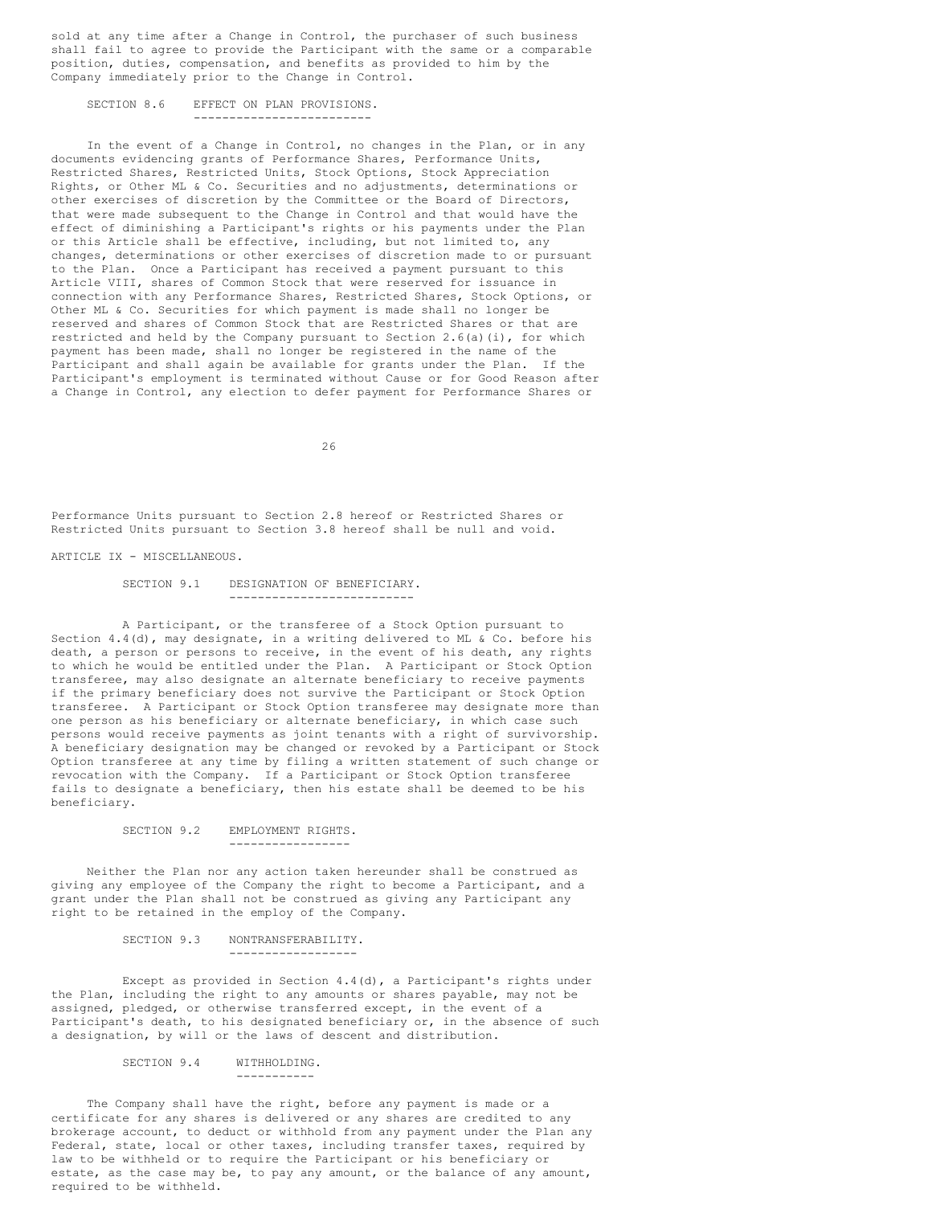sold at any time after a Change in Control, the purchaser of such business shall fail to agree to provide the Participant with the same or a comparable position, duties, compensation, and benefits as provided to him by the Company immediately prior to the Change in Control.

SECTION 8.6 EFFECT ON PLAN PROVISIONS. -------------------------

In the event of a Change in Control, no changes in the Plan, or in any documents evidencing grants of Performance Shares, Performance Units, Restricted Shares, Restricted Units, Stock Options, Stock Appreciation Rights, or Other ML & Co. Securities and no adjustments, determinations or other exercises of discretion by the Committee or the Board of Directors, that were made subsequent to the Change in Control and that would have the effect of diminishing a Participant's rights or his payments under the Plan or this Article shall be effective, including, but not limited to, any changes, determinations or other exercises of discretion made to or pursuant to the Plan. Once a Participant has received a payment pursuant to this Article VIII, shares of Common Stock that were reserved for issuance in connection with any Performance Shares, Restricted Shares, Stock Options, or Other ML & Co. Securities for which payment is made shall no longer be reserved and shares of Common Stock that are Restricted Shares or that are restricted and held by the Company pursuant to Section  $2.6(a)(i)$ , for which payment has been made, shall no longer be registered in the name of the Participant and shall again be available for grants under the Plan. If the Participant's employment is terminated without Cause or for Good Reason after a Change in Control, any election to defer payment for Performance Shares or

26

Performance Units pursuant to Section 2.8 hereof or Restricted Shares or Restricted Units pursuant to Section 3.8 hereof shall be null and void.

ARTICLE IX - MISCELLANEOUS.

#### SECTION 9.1 DESIGNATION OF BENEFICIARY. --------------------------

A Participant, or the transferee of a Stock Option pursuant to Section  $4.4$  (d), may designate, in a writing delivered to ML & Co. before his death, a person or persons to receive, in the event of his death, any rights to which he would be entitled under the Plan. A Participant or Stock Option transferee, may also designate an alternate beneficiary to receive payments if the primary beneficiary does not survive the Participant or Stock Option transferee. A Participant or Stock Option transferee may designate more than one person as his beneficiary or alternate beneficiary, in which case such persons would receive payments as joint tenants with a right of survivorship. A beneficiary designation may be changed or revoked by a Participant or Stock Option transferee at any time by filing a written statement of such change or revocation with the Company. If a Participant or Stock Option transferee fails to designate a beneficiary, then his estate shall be deemed to be his beneficiary.

## SECTION 9.2 EMPLOYMENT RIGHTS. -----------------

Neither the Plan nor any action taken hereunder shall be construed as giving any employee of the Company the right to become a Participant, and a grant under the Plan shall not be construed as giving any Participant any right to be retained in the employ of the Company.

#### SECTION 9.3 NONTRANSFERABILITY. ------------------

Except as provided in Section 4.4(d), a Participant's rights under the Plan, including the right to any amounts or shares payable, may not be assigned, pledged, or otherwise transferred except, in the event of a Participant's death, to his designated beneficiary or, in the absence of such a designation, by will or the laws of descent and distribution.

SECTION 9.4 WITHHOLDING.

The Company shall have the right, before any payment is made or a certificate for any shares is delivered or any shares are credited to any brokerage account, to deduct or withhold from any payment under the Plan any Federal, state, local or other taxes, including transfer taxes, required by law to be withheld or to require the Participant or his beneficiary or estate, as the case may be, to pay any amount, or the balance of any amount, required to be withheld.

-----------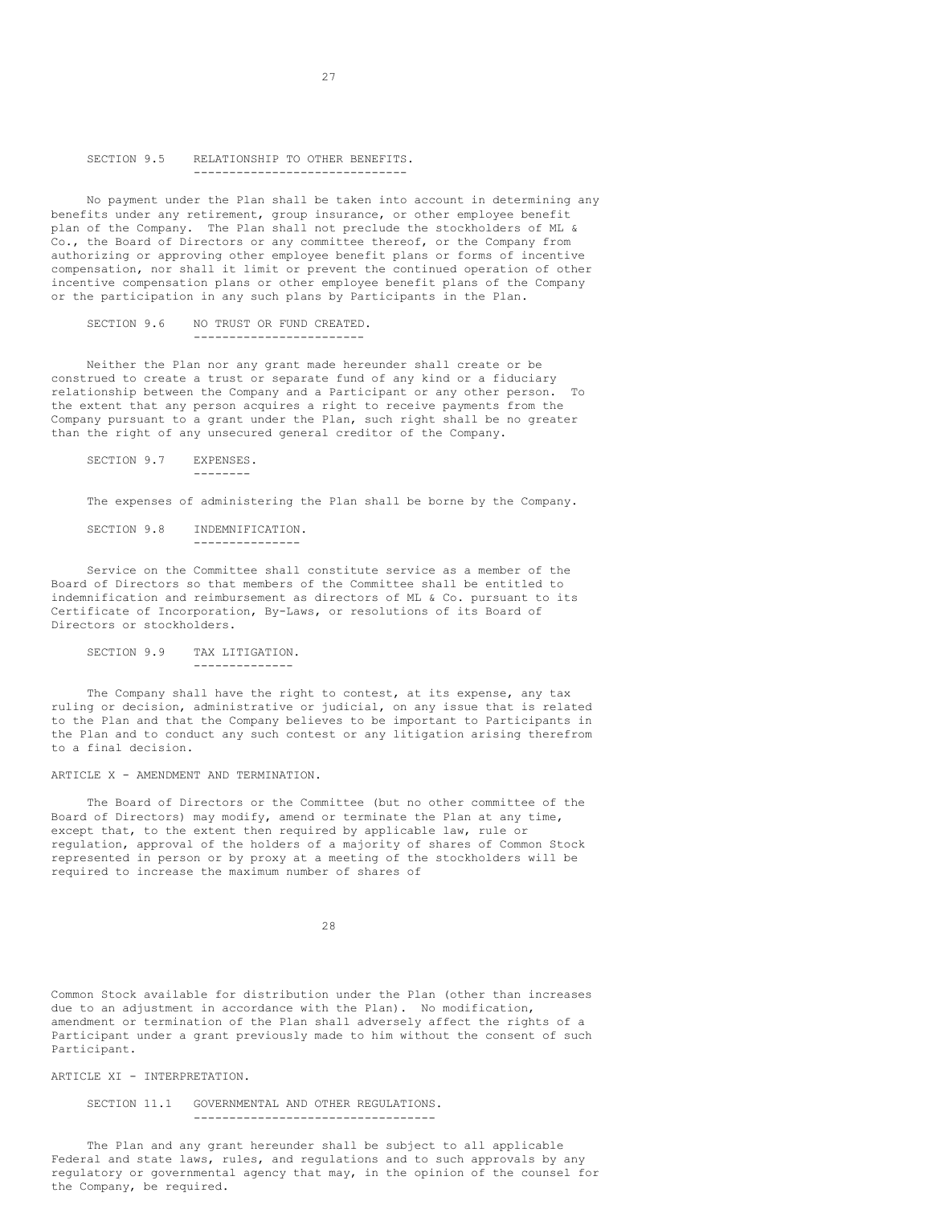## SECTION 9.5 RELATIONSHIP TO OTHER BENEFITS. ------------------------------

No payment under the Plan shall be taken into account in determining any benefits under any retirement, group insurance, or other employee benefit plan of the Company. The Plan shall not preclude the stockholders of ML & Co., the Board of Directors or any committee thereof, or the Company from authorizing or approving other employee benefit plans or forms of incentive compensation, nor shall it limit or prevent the continued operation of other incentive compensation plans or other employee benefit plans of the Company or the participation in any such plans by Participants in the Plan.

# SECTION 9.6 NO TRUST OR FUND CREATED. ------------------------

Neither the Plan nor any grant made hereunder shall create or be construed to create a trust or separate fund of any kind or a fiduciary relationship between the Company and a Participant or any other person. To the extent that any person acquires a right to receive payments from the Company pursuant to a grant under the Plan, such right shall be no greater than the right of any unsecured general creditor of the Company.

SECTION 9.7 EXPENSES. --------

The expenses of administering the Plan shall be borne by the Company.

SECTION 9.8 INDEMNIFICATION. ---------------

Service on the Committee shall constitute service as a member of the Board of Directors so that members of the Committee shall be entitled to indemnification and reimbursement as directors of ML & Co. pursuant to its Certificate of Incorporation, By-Laws, or resolutions of its Board of Directors or stockholders.

SECTION 9.9 TAX LITIGATION. --------------

The Company shall have the right to contest, at its expense, any tax ruling or decision, administrative or judicial, on any issue that is related to the Plan and that the Company believes to be important to Participants in the Plan and to conduct any such contest or any litigation arising therefrom to a final decision.

# ARTICLE X - AMENDMENT AND TERMINATION.

The Board of Directors or the Committee (but no other committee of the Board of Directors) may modify, amend or terminate the Plan at any time, except that, to the extent then required by applicable law, rule or regulation, approval of the holders of a majority of shares of Common Stock represented in person or by proxy at a meeting of the stockholders will be required to increase the maximum number of shares of

28

Common Stock available for distribution under the Plan (other than increases due to an adjustment in accordance with the Plan). No modification, amendment or termination of the Plan shall adversely affect the rights of a Participant under a grant previously made to him without the consent of such Participant.

ARTICLE XI - INTERPRETATION.

#### SECTION 11.1 GOVERNMENTAL AND OTHER REGULATIONS. ----------------------------------

The Plan and any grant hereunder shall be subject to all applicable Federal and state laws, rules, and regulations and to such approvals by any regulatory or governmental agency that may, in the opinion of the counsel for the Company, be required.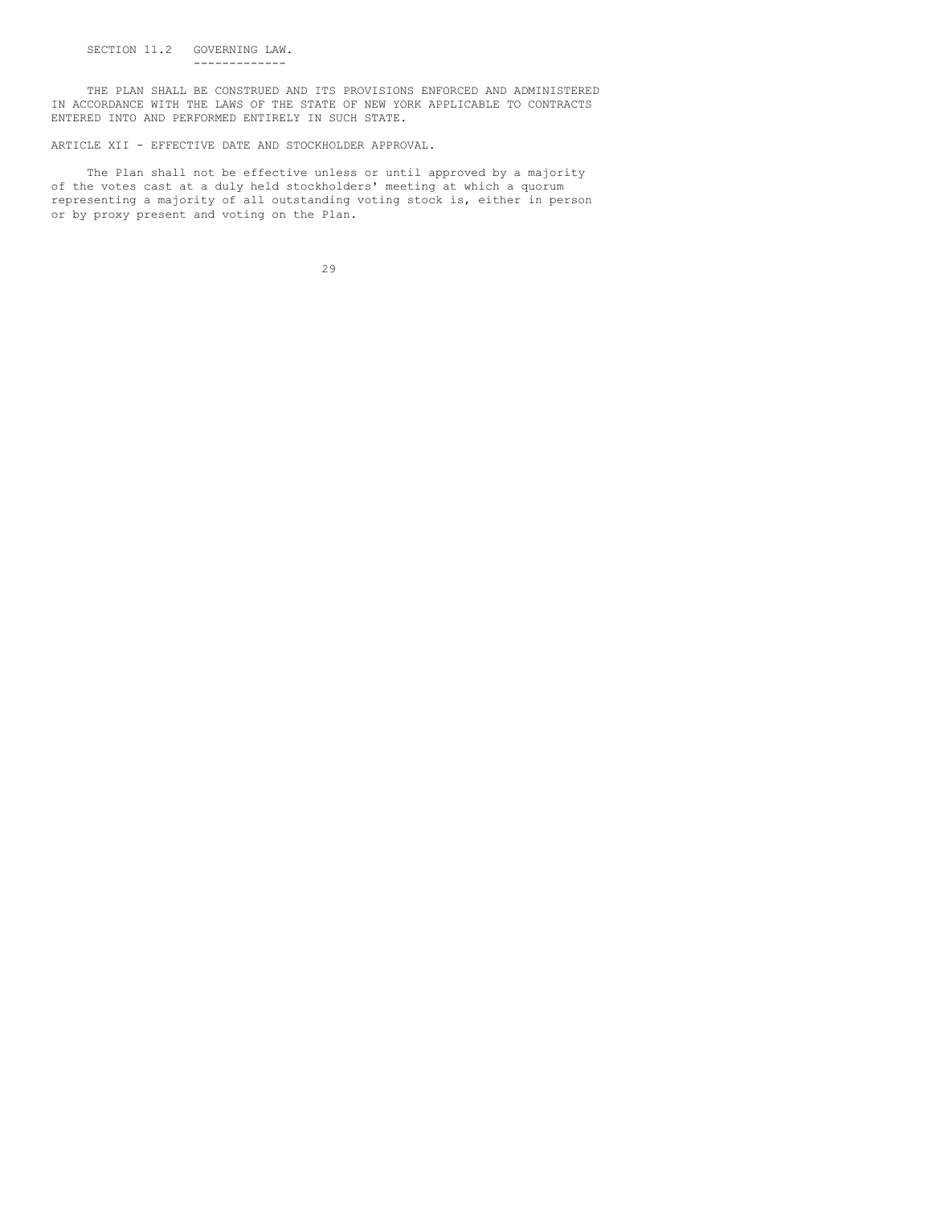THE PLAN SHALL BE CONSTRUED AND ITS PROVISIONS ENFORCED AND ADMINISTERED IN ACCORDANCE WITH THE LAWS OF THE STATE OF NEW YORK APPLICABLE TO CONTRACTS ENTERED INTO AND PERFORMED ENTIRELY IN SUCH STATE.

# ARTICLE XII - EFFECTIVE DATE AND STOCKHOLDER APPROVAL.

The Plan shall not be effective unless or until approved by a majority of the votes cast at a duly held stockholders' meeting at which a quorum representing a majority of all outstanding voting stock is, either in person or by proxy present and voting on the Plan.

29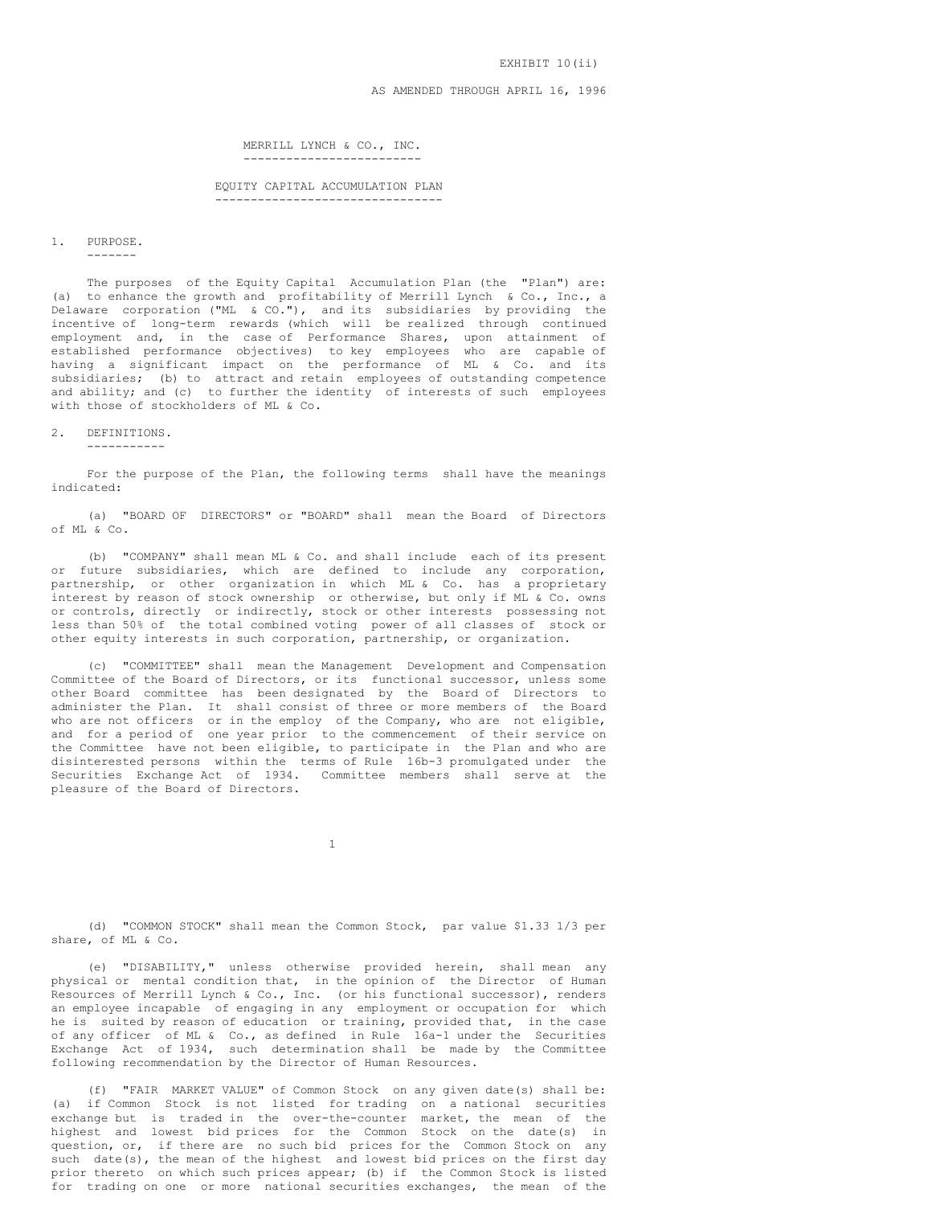EXHIBIT 10(ii)

AS AMENDED THROUGH APRIL 16, 1996

MERRILL LYNCH & CO., INC. -------------------------

EQUITY CAPITAL ACCUMULATION PLAN --------------------------------

## 1. PURPOSE.

-------

The purposes of the Equity Capital Accumulation Plan (the "Plan") are: (a) to enhance the growth and profitability of Merrill Lynch & Co., Inc., a Delaware corporation ("ML & CO."), and its subsidiaries by providing the incentive of long-term rewards (which will be realized through continued employment and, in the case of Performance Shares, upon attainment of established performance objectives) to key employees who are capable of having a significant impact on the performance of ML & Co. and its subsidiaries; (b) to attract and retain employees of outstanding competence and ability; and (c) to further the identity of interests of such employees with those of stockholders of ML & Co.

# 2. DEFINITIONS.

-----------

For the purpose of the Plan, the following terms shall have the meanings indicated:

(a) "BOARD OF DIRECTORS" or "BOARD" shall mean the Board of Directors of ML & Co.

(b) "COMPANY" shall mean ML & Co. and shall include each of its present or future subsidiaries, which are defined to include any corporation, partnership, or other organization in which ML & Co. has a proprietary interest by reason of stock ownership or otherwise, but only if ML & Co. owns or controls, directly or indirectly, stock or other interests possessing not less than 50% of the total combined voting power of all classes of stock or other equity interests in such corporation, partnership, or organization.

(c) "COMMITTEE" shall mean the Management Development and Compensation Committee of the Board of Directors, or its functional successor, unless some other Board committee has been designated by the Board of Directors to administer the Plan. It shall consist of three or more members of the Board who are not officers or in the employ of the Company, who are not eligible, and for a period of one year prior to the commencement of their service on the Committee have not been eligible, to participate in the Plan and who are disinterested persons within the terms of Rule 16b-3 promulgated under the Securities Exchange Act of 1934. Committee members shall serve at the pleasure of the Board of Directors.

1

(d) "COMMON STOCK" shall mean the Common Stock, par value \$1.33 1/3 per share, of ML & Co.

(e) "DISABILITY," unless otherwise provided herein, shall mean any physical or mental condition that, in the opinion of the Director of Human Resources of Merrill Lynch & Co., Inc. (or his functional successor), renders an employee incapable of engaging in any employment or occupation for which he is suited by reason of education or training, provided that, in the case of any officer of ML & Co., as defined in Rule 16a-1 under the Securities Exchange Act of 1934, such determination shall be made by the Committee following recommendation by the Director of Human Resources.

(f) "FAIR MARKET VALUE" of Common Stock on any given date(s) shall be: (a) if Common Stock is not listed for trading on a national securities exchange but is traded in the over-the-counter market, the mean of the highest and lowest bid prices for the Common Stock on the date(s) in question, or, if there are no such bid prices for the Common Stock on any such date(s), the mean of the highest and lowest bid prices on the first day prior thereto on which such prices appear; (b) if the Common Stock is listed for trading on one or more national securities exchanges, the mean of the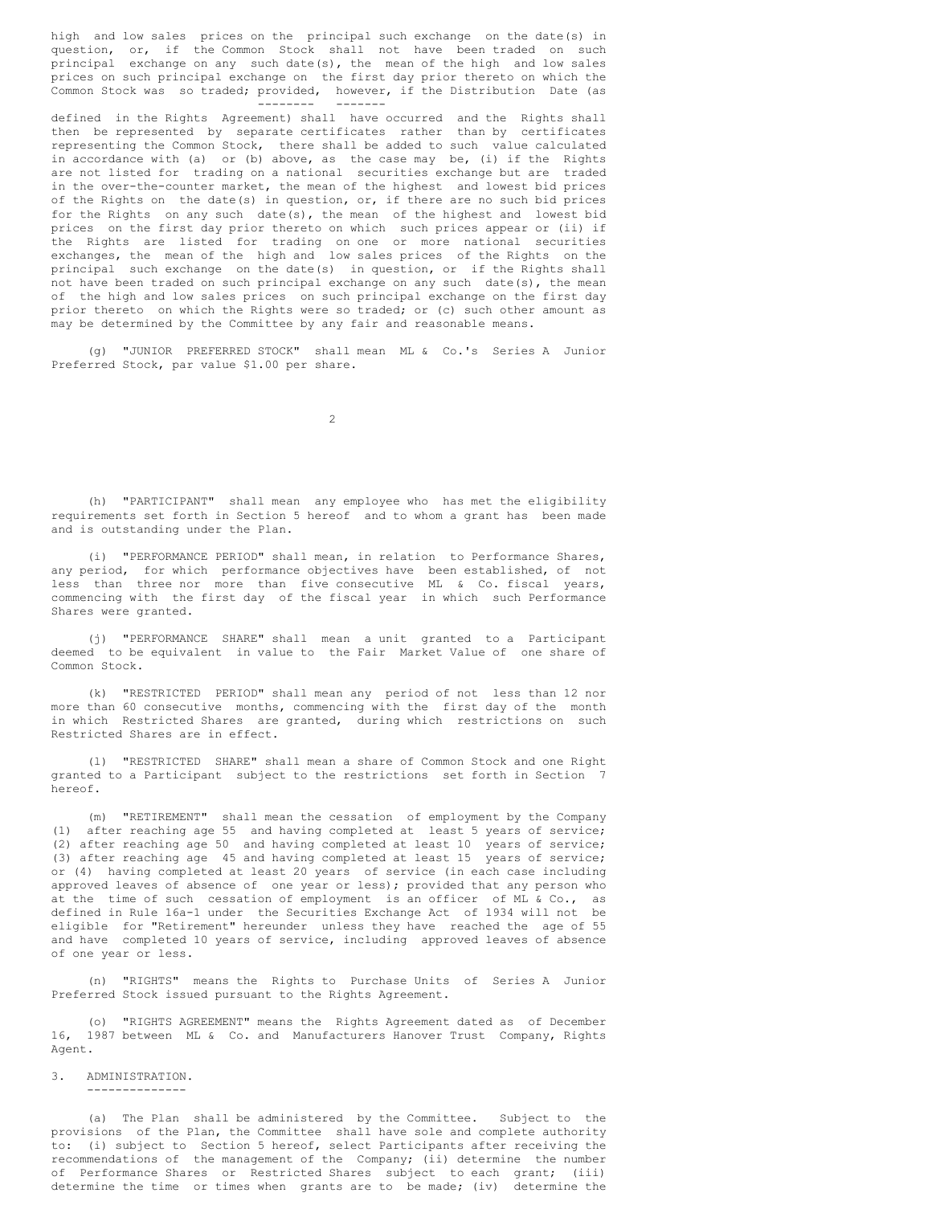high and low sales prices on the principal such exchange on the date(s) in question, or, if the Common Stock shall not have been traded on such principal exchange on any such date(s), the mean of the high and low sales prices on such principal exchange on the first day prior thereto on which the Common Stock was so traded; provided, however, if the Distribution Date (as -------- -------

defined in the Rights Agreement) shall have occurred and the Rights shall then be represented by separate certificates rather than by certificates representing the Common Stock, there shall be added to such value calculated in accordance with (a) or (b) above, as the case may be, (i) if the Rights are not listed for trading on a national securities exchange but are traded in the over-the-counter market, the mean of the highest and lowest bid prices of the Rights on the date(s) in question, or, if there are no such bid prices for the Rights on any such date(s), the mean of the highest and lowest bid prices on the first day prior thereto on which such prices appear or (ii) if the Rights are listed for trading on one or more national securities exchanges, the mean of the high and low sales prices of the Rights on the principal such exchange on the date(s) in question, or if the Rights shall not have been traded on such principal exchange on any such date(s), the mean of the high and low sales prices on such principal exchange on the first day prior thereto on which the Rights were so traded; or (c) such other amount as may be determined by the Committee by any fair and reasonable means.

(g) "JUNIOR PREFERRED STOCK" shall mean ML & Co.'s Series A Junior Preferred Stock, par value \$1.00 per share.

 $\overline{2}$ 

(h) "PARTICIPANT" shall mean any employee who has met the eligibility requirements set forth in Section 5 hereof and to whom a grant has been made and is outstanding under the Plan.

(i) "PERFORMANCE PERIOD" shall mean, in relation to Performance Shares, any period, for which performance objectives have been established, of not less than three nor more than five consecutive ML & Co. fiscal years, commencing with the first day of the fiscal year in which such Performance Shares were granted.

(j) "PERFORMANCE SHARE" shall mean a unit granted to a Participant deemed to be equivalent in value to the Fair Market Value of one share of Common Stock.

(k) "RESTRICTED PERIOD" shall mean any period of not less than 12 nor more than 60 consecutive months, commencing with the first day of the month in which Restricted Shares are granted, during which restrictions on such Restricted Shares are in effect.

(l) "RESTRICTED SHARE" shall mean a share of Common Stock and one Right granted to a Participant subject to the restrictions set forth in Section 7 hereof.

(m) "RETIREMENT" shall mean the cessation of employment by the Company (1) after reaching age 55 and having completed at least 5 years of service; (2) after reaching age 50 and having completed at least 10 years of service; (3) after reaching age 45 and having completed at least 15 years of service; or (4) having completed at least 20 years of service (in each case including approved leaves of absence of one year or less); provided that any person who at the time of such cessation of employment is an officer of ML & Co., as defined in Rule 16a-1 under the Securities Exchange Act of 1934 will not be eligible for "Retirement" hereunder unless they have reached the age of 55 and have completed 10 years of service, including approved leaves of absence of one year or less.

(n) "RIGHTS" means the Rights to Purchase Units of Series A Junior Preferred Stock issued pursuant to the Rights Agreement.

(o) "RIGHTS AGREEMENT" means the Rights Agreement dated as of December 16, 1987 between ML & Co. and Manufacturers Hanover Trust Company, Rights Agent.

#### 3. ADMINISTRATION. --------------

(a) The Plan shall be administered by the Committee. Subject to the provisions of the Plan, the Committee shall have sole and complete authority to: (i) subject to Section 5 hereof, select Participants after receiving the recommendations of the management of the Company; (ii) determine the number of Performance Shares or Restricted Shares subject to each grant; (iii) determine the time or times when grants are to be made; (iv) determine the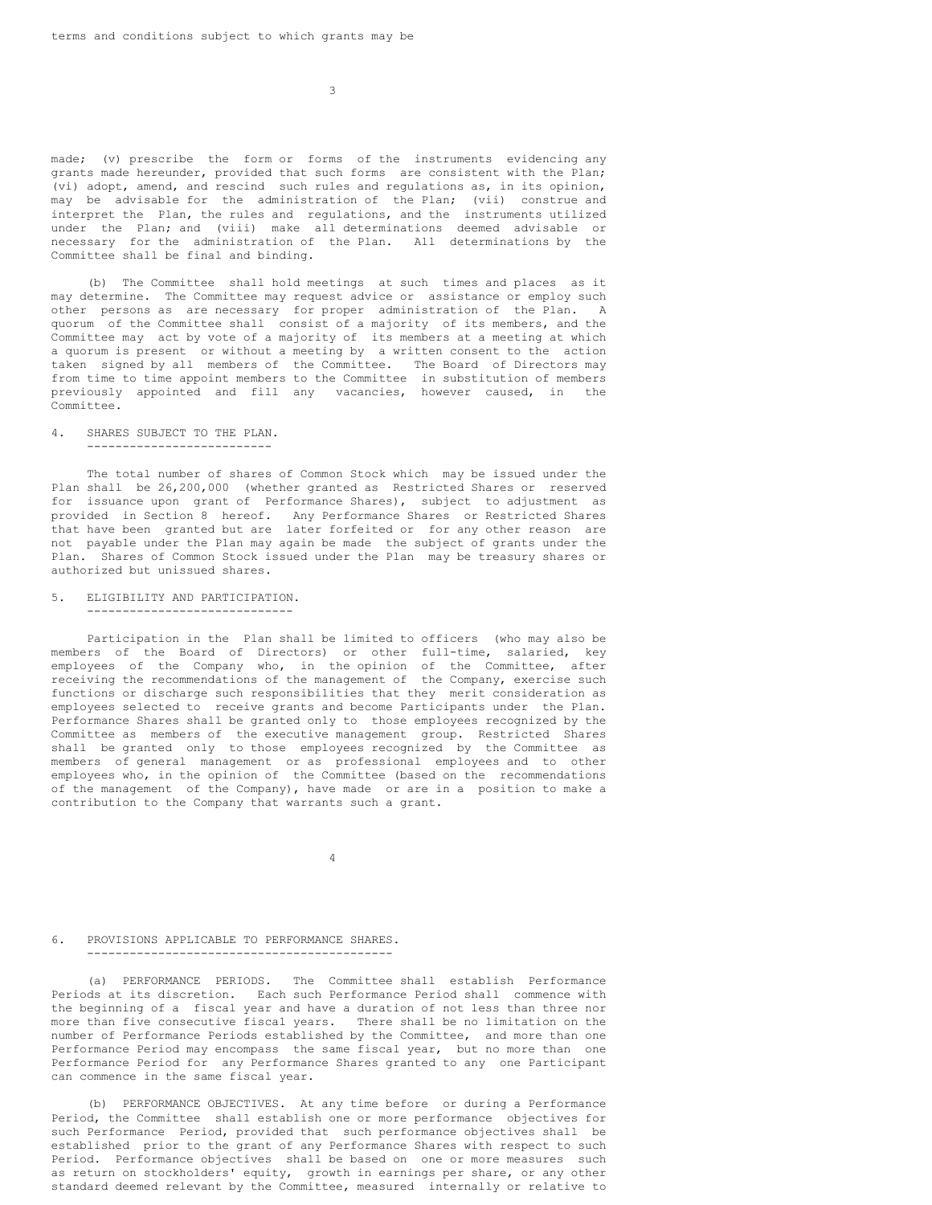$\overline{3}$ 

made; (v) prescribe the form or forms of the instruments evidencing any grants made hereunder, provided that such forms are consistent with the Plan; (vi) adopt, amend, and rescind such rules and regulations as, in its opinion, may be advisable for the administration of the Plan; (vii) construe and interpret the Plan, the rules and regulations, and the instruments utilized under the Plan; and (viii) make all determinations deemed advisable or necessary for the administration of the Plan. All determinations by the Committee shall be final and binding.

(b) The Committee shall hold meetings at such times and places as it may determine. The Committee may request advice or assistance or employ such other persons as are necessary for proper administration of the Plan. A quorum of the Committee shall consist of a majority of its members, and the Committee may act by vote of a majority of its members at a meeting at which a quorum is present or without a meeting by a written consent to the action taken signed by all members of the Committee. The Board of Directors may from time to time appoint members to the Committee in substitution of members previously appointed and fill any vacancies, however caused, in the Committee.

#### 4. SHARES SUBJECT TO THE PLAN. --------------------------

The total number of shares of Common Stock which may be issued under the Plan shall be 26,200,000 (whether granted as Restricted Shares or reserved for issuance upon grant of Performance Shares), subject to adjustment as provided in Section 8 hereof. Any Performance Shares or Restricted Shares that have been granted but are later forfeited or for any other reason are not payable under the Plan may again be made the subject of grants under the Plan. Shares of Common Stock issued under the Plan may be treasury shares or authorized but unissued shares.

## 5. ELIGIBILITY AND PARTICIPATION.

-----------------------------

Participation in the Plan shall be limited to officers (who may also be members of the Board of Directors) or other full-time, salaried, key employees of the Company who, in the opinion of the Committee, after receiving the recommendations of the management of the Company, exercise such functions or discharge such responsibilities that they merit consideration as employees selected to receive grants and become Participants under the Plan. Performance Shares shall be granted only to those employees recognized by the Committee as members of the executive management group. Restricted Shares shall be granted only to those employees recognized by the Committee as members of general management or as professional employees and to other employees who, in the opinion of the Committee (based on the recommendations of the management of the Company), have made or are in a position to make a contribution to the Company that warrants such a grant.

4

#### 6. PROVISIONS APPLICABLE TO PERFORMANCE SHARES. -------------------------------------------

(a) PERFORMANCE PERIODS. The Committee shall establish Performance Periods at its discretion. Each such Performance Period shall commence with the beginning of a fiscal year and have a duration of not less than three nor more than five consecutive fiscal years. There shall be no limitation on the number of Performance Periods established by the Committee, and more than one Performance Period may encompass the same fiscal year, but no more than one Performance Period for any Performance Shares granted to any one Participant can commence in the same fiscal year.

(b) PERFORMANCE OBJECTIVES. At any time before or during a Performance Period, the Committee shall establish one or more performance objectives for such Performance Period, provided that such performance objectives shall be established prior to the grant of any Performance Shares with respect to such Period. Performance objectives shall be based on one or more measures such as return on stockholders' equity, growth in earnings per share, or any other standard deemed relevant by the Committee, measured internally or relative to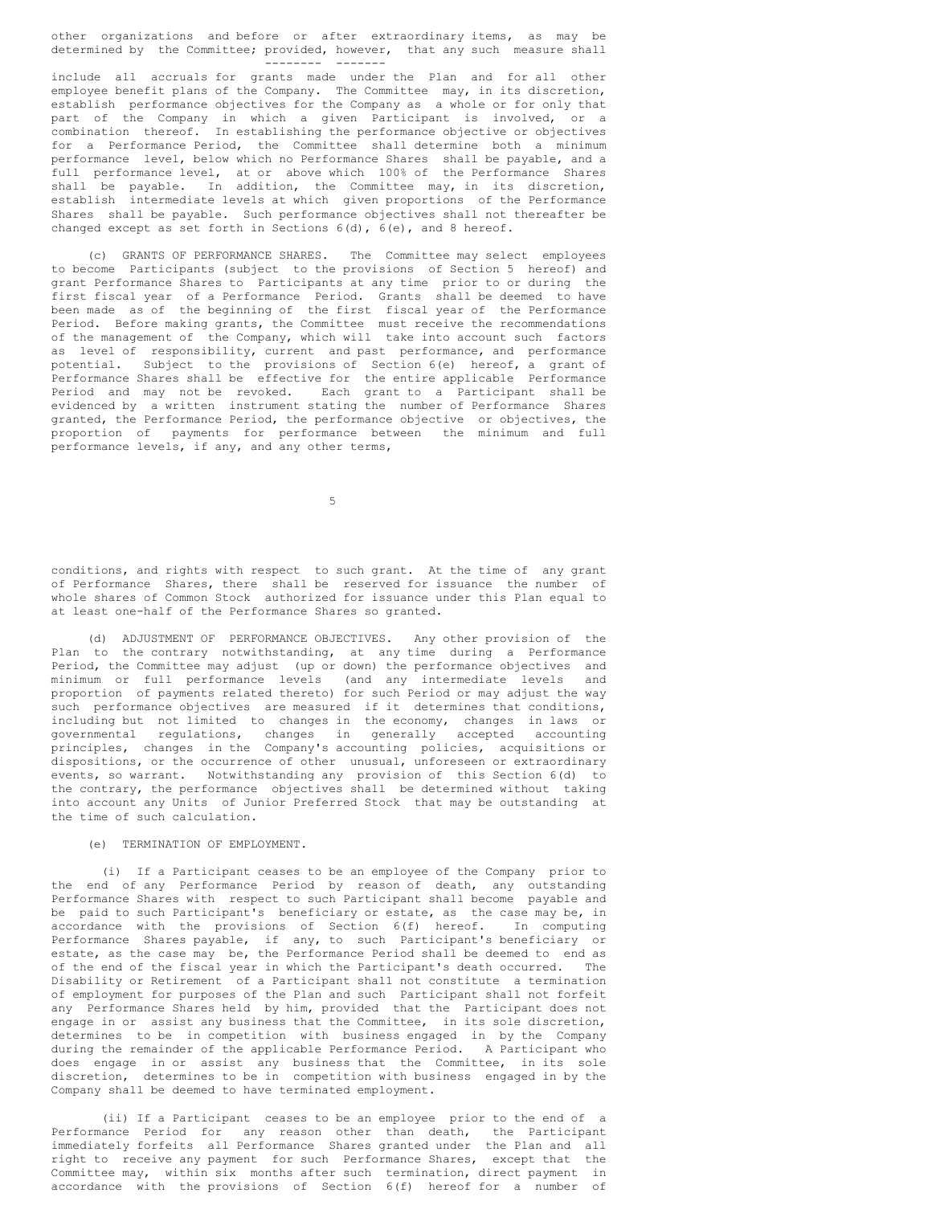other organizations and before or after extraordinary items, as may be determined by the Committee; provided, however, that any such measure shall -------- -------

include all accruals for grants made under the Plan and for all other employee benefit plans of the Company. The Committee may, in its discretion, establish performance objectives for the Company as a whole or for only that part of the Company in which a given Participant is involved, or a combination thereof. In establishing the performance objective or objectives for a Performance Period, the Committee shall determine both a minimum performance level, below which no Performance Shares shall be payable, and a full performance level, at or above which 100% of the Performance Shares shall be payable. In addition, the Committee may, in its discretion, establish intermediate levels at which given proportions of the Performance Shares shall be payable. Such performance objectives shall not thereafter be changed except as set forth in Sections 6(d), 6(e), and 8 hereof.

(c) GRANTS OF PERFORMANCE SHARES. The Committee may select employees to become Participants (subject to the provisions of Section 5 hereof) and grant Performance Shares to Participants at any time prior to or during the first fiscal year of a Performance Period. Grants shall be deemed to have been made as of the beginning of the first fiscal year of the Performance Period. Before making grants, the Committee must receive the recommendations of the management of the Company, which will take into account such factors as level of responsibility, current and past performance, and performance potential. Subject to the provisions of Section 6(e) hereof, a grant of Performance Shares shall be effective for the entire applicable Performance Period and may not be revoked. Each grant to a Participant shall be evidenced by a written instrument stating the number of Performance Shares granted, the Performance Period, the performance objective or objectives, the proportion of payments for performance between the minimum and full performance levels, if any, and any other terms,

5

conditions, and rights with respect to such grant. At the time of any grant of Performance Shares, there shall be reserved for issuance the number of whole shares of Common Stock authorized for issuance under this Plan equal to at least one-half of the Performance Shares so granted.

(d) ADJUSTMENT OF PERFORMANCE OBJECTIVES. Any other provision of the Plan to the contrary notwithstanding, at any time during a Performance Period, the Committee may adjust (up or down) the performance objectives and minimum or full performance levels (and any intermediate levels and proportion of payments related thereto) for such Period or may adjust the way such performance objectives are measured if it determines that conditions, including but not limited to changes in the economy, changes in laws or governmental regulations, changes in generally accepted accounting principles, changes in the Company's accounting policies, acquisitions or dispositions, or the occurrence of other unusual, unforeseen or extraordinary events, so warrant. Notwithstanding any provision of this Section 6(d) to the contrary, the performance objectives shall be determined without taking into account any Units of Junior Preferred Stock that may be outstanding at the time of such calculation.

# (e) TERMINATION OF EMPLOYMENT.

(i) If a Participant ceases to be an employee of the Company prior to the end of any Performance Period by reason of death, any outstanding Performance Shares with respect to such Participant shall become payable and be paid to such Participant's beneficiary or estate, as the case may be, in accordance with the provisions of Section 6(f) hereof. In computing Performance Shares payable, if any, to such Participant's beneficiary or estate, as the case may be, the Performance Period shall be deemed to end as of the end of the fiscal year in which the Participant's death occurred. The Disability or Retirement of a Participant shall not constitute a termination of employment for purposes of the Plan and such Participant shall not forfeit any Performance Shares held by him, provided that the Participant does not engage in or assist any business that the Committee, in its sole discretion, determines to be in competition with business engaged in by the Company during the remainder of the applicable Performance Period. A Participant who does engage in or assist any business that the Committee, in its sole discretion, determines to be in competition with business engaged in by the Company shall be deemed to have terminated employment.

(ii) If a Participant ceases to be an employee prior to the end of a Performance Period for any reason other than death, the Participant immediately forfeits all Performance Shares granted under the Plan and all right to receive any payment for such Performance Shares, except that the Committee may, within six months after such termination, direct payment in accordance with the provisions of Section 6(f) hereof for a number of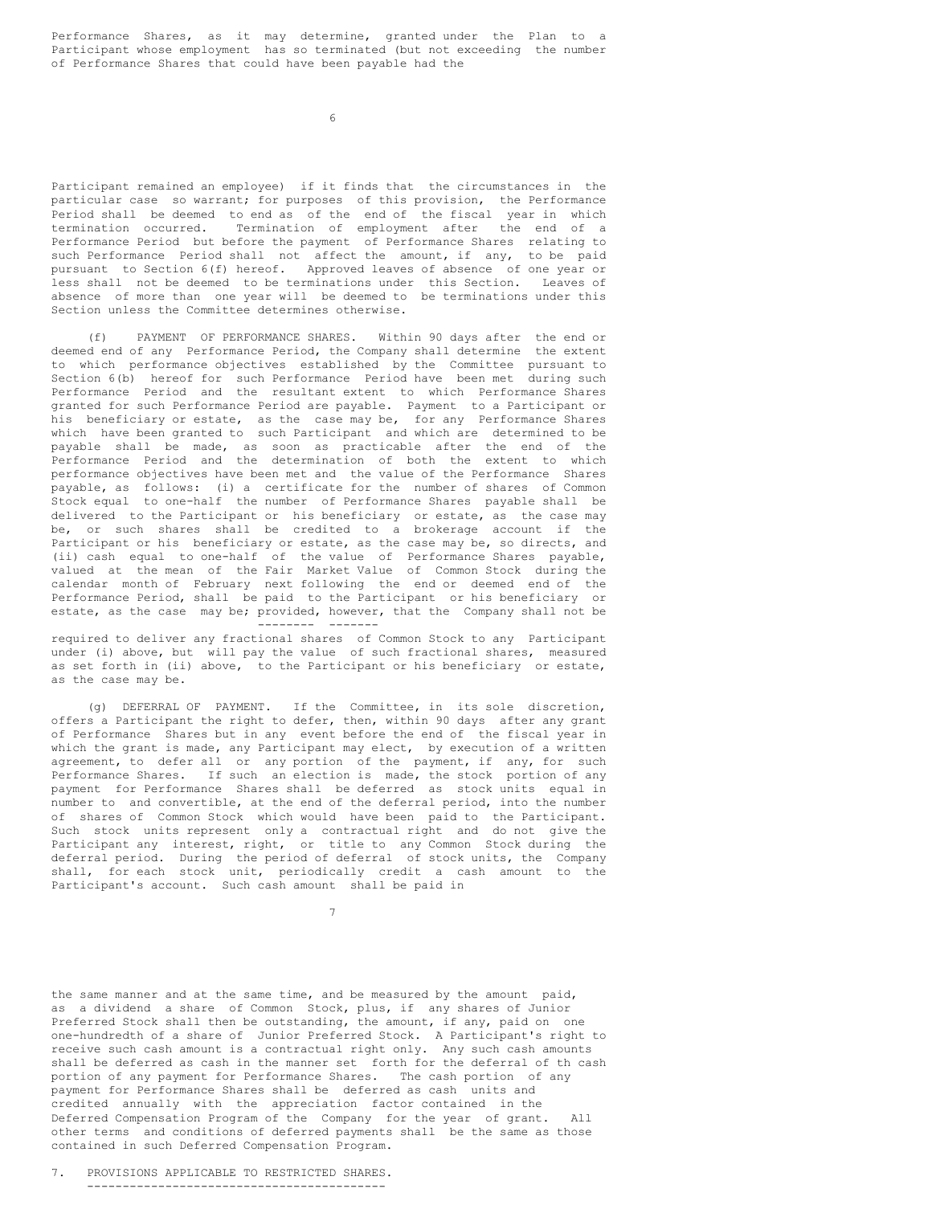Performance Shares, as it may determine, granted under the Plan to a Participant whose employment has so terminated (but not exceeding the number of Performance Shares that could have been payable had the

6

Participant remained an employee) if it finds that the circumstances in the particular case so warrant; for purposes of this provision, the Performance Period shall be deemed to end as of the end of the fiscal year in which termination occurred. Termination of employment after the end of a Performance Period but before the payment of Performance Shares relating to such Performance Period shall not affect the amount, if any, to be paid pursuant to Section 6(f) hereof. Approved leaves of absence of one year or less shall not be deemed to be terminations under this Section. Leaves of absence of more than one year will be deemed to be terminations under this Section unless the Committee determines otherwise.

(f) PAYMENT OF PERFORMANCE SHARES. Within 90 days after the end or deemed end of any Performance Period, the Company shall determine the extent to which performance objectives established by the Committee pursuant to Section 6(b) hereof for such Performance Period have been met during such Performance Period and the resultant extent to which Performance Shares granted for such Performance Period are payable. Payment to a Participant or his beneficiary or estate, as the case may be, for any Performance Shares which have been granted to such Participant and which are determined to be payable shall be made, as soon as practicable after the end of the Performance Period and the determination of both the extent to which performance objectives have been met and the value of the Performance Shares payable, as follows: (i) a certificate for the number of shares of Common Stock equal to one-half the number of Performance Shares payable shall be delivered to the Participant or his beneficiary or estate, as the case may be, or such shares shall be credited to a brokerage account if the Participant or his beneficiary or estate, as the case may be, so directs, and (ii) cash equal to one-half of the value of Performance Shares payable, valued at the mean of the Fair Market Value of Common Stock during the calendar month of February next following the end or deemed end of the Performance Period, shall be paid to the Participant or his beneficiary or estate, as the case may be; provided, however, that the Company shall not be -------- -------

required to deliver any fractional shares of Common Stock to any Participant under (i) above, but will pay the value of such fractional shares, measured as set forth in (ii) above, to the Participant or his beneficiary or estate, as the case may be.

(g) DEFERRAL OF PAYMENT. If the Committee, in its sole discretion, offers a Participant the right to defer, then, within 90 days after any grant of Performance Shares but in any event before the end of the fiscal year in which the grant is made, any Participant may elect, by execution of a written agreement, to defer all or any portion of the payment, if any, for such Performance Shares. If such an election is made, the stock portion of any payment for Performance Shares shall be deferred as stock units equal in number to and convertible, at the end of the deferral period, into the number of shares of Common Stock which would have been paid to the Participant. Such stock units represent only a contractual right and do not give the Participant any interest, right, or title to any Common Stock during the deferral period. During the period of deferral of stock units, the Company shall, for each stock unit, periodically credit a cash amount to the Participant's account. Such cash amount shall be paid in

7

the same manner and at the same time, and be measured by the amount paid, as a dividend a share of Common Stock, plus, if any shares of Junior Preferred Stock shall then be outstanding, the amount, if any, paid on one one-hundredth of a share of Junior Preferred Stock. A Participant's right to receive such cash amount is a contractual right only. Any such cash amounts shall be deferred as cash in the manner set forth for the deferral of th cash portion of any payment for Performance Shares. The cash portion of any payment for Performance Shares shall be deferred as cash units and credited annually with the appreciation factor contained in the Deferred Compensation Program of the Company for the year of grant. All other terms and conditions of deferred payments shall be the same as those contained in such Deferred Compensation Program.

7. PROVISIONS APPLICABLE TO RESTRICTED SHARES. ------------------------------------------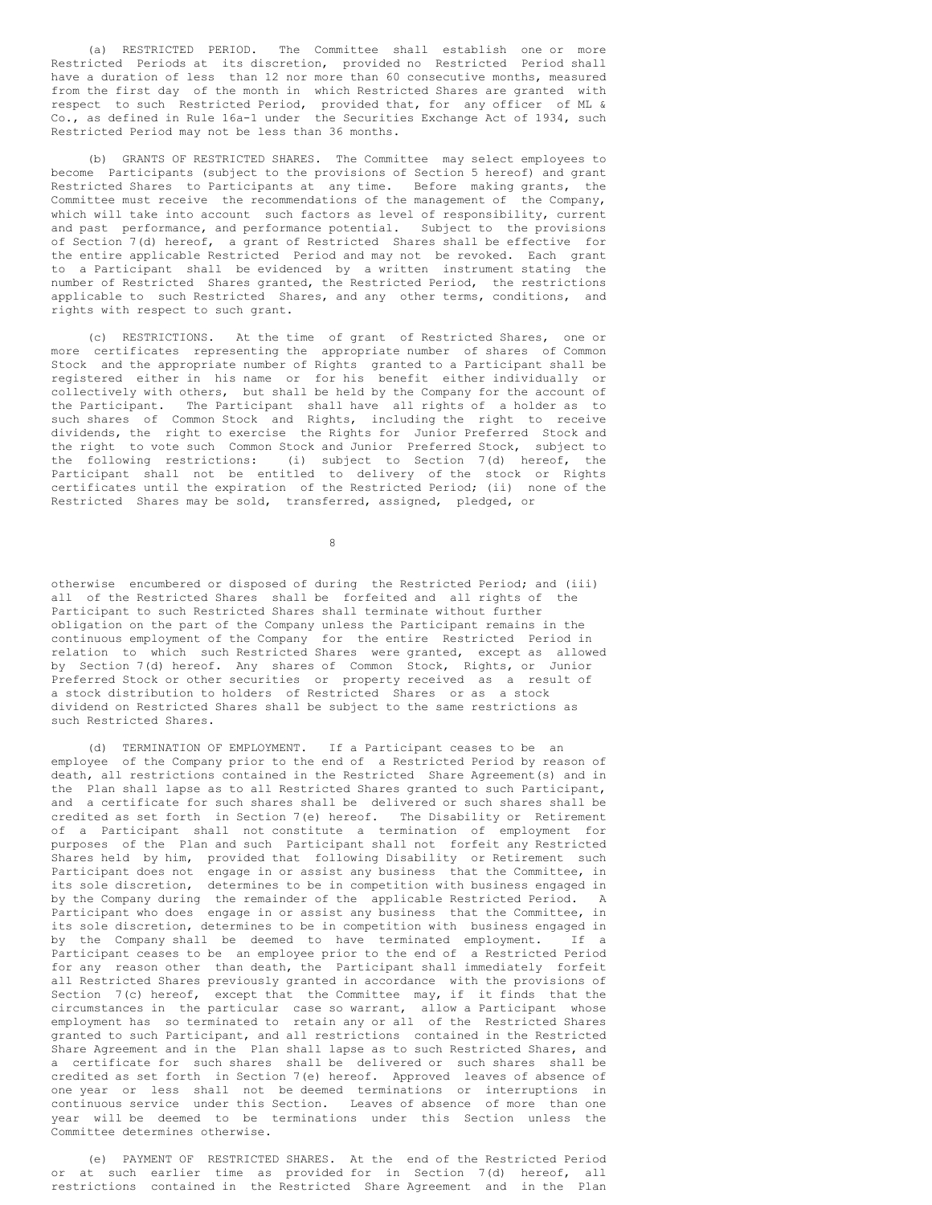(a) RESTRICTED PERIOD. The Committee shall establish one or more Restricted Periods at its discretion, provided no Restricted Period shall have a duration of less than 12 nor more than 60 consecutive months, measured from the first day of the month in which Restricted Shares are granted with respect to such Restricted Period, provided that, for any officer of ML & Co., as defined in Rule 16a-1 under the Securities Exchange Act of 1934, such Restricted Period may not be less than 36 months.

(b) GRANTS OF RESTRICTED SHARES. The Committee may select employees to become Participants (subject to the provisions of Section 5 hereof) and grant Restricted Shares to Participants at any time. Before making grants, the Committee must receive the recommendations of the management of the Company, which will take into account such factors as level of responsibility, current and past performance, and performance potential. Subject to the provisions of Section 7(d) hereof, a grant of Restricted Shares shall be effective for the entire applicable Restricted Period and may not be revoked. Each grant to a Participant shall be evidenced by a written instrument stating the number of Restricted Shares granted, the Restricted Period, the restrictions applicable to such Restricted Shares, and any other terms, conditions, and rights with respect to such grant.

(c) RESTRICTIONS. At the time of grant of Restricted Shares, one or more certificates representing the appropriate number of shares of Common Stock and the appropriate number of Rights granted to a Participant shall be registered either in his name or for his benefit either individually or collectively with others, but shall be held by the Company for the account of the Participant. The Participant shall have all rights of a holder as to such shares of Common Stock and Rights, including the right to receive dividends, the right to exercise the Rights for Junior Preferred Stock and the right to vote such Common Stock and Junior Preferred Stock, subject to the following restrictions: (i) subject to Section 7(d) hereof, the Participant shall not be entitled to delivery of the stock or Rights certificates until the expiration of the Restricted Period; (ii) none of the Restricted Shares may be sold, transferred, assigned, pledged, or

8

otherwise encumbered or disposed of during the Restricted Period; and (iii) all of the Restricted Shares shall be forfeited and all rights of the Participant to such Restricted Shares shall terminate without further obligation on the part of the Company unless the Participant remains in the continuous employment of the Company for the entire Restricted Period in relation to which such Restricted Shares were granted, except as allowed by Section 7(d) hereof. Any shares of Common Stock, Rights, or Junior Preferred Stock or other securities or property received as a result of a stock distribution to holders of Restricted Shares or as a stock dividend on Restricted Shares shall be subject to the same restrictions as such Restricted Shares.

(d) TERMINATION OF EMPLOYMENT. If a Participant ceases to be an employee of the Company prior to the end of a Restricted Period by reason of death, all restrictions contained in the Restricted Share Agreement(s) and in the Plan shall lapse as to all Restricted Shares granted to such Participant, a certificate for such shares shall be delivered or such shares shall be credited as set forth in Section 7(e) hereof. The Disability or Retirement of a Participant shall not constitute a termination of employment for purposes of the Plan and such Participant shall not forfeit any Restricted Shares held by him, provided that following Disability or Retirement such Participant does not engage in or assist any business that the Committee, in its sole discretion, determines to be in competition with business engaged in by the Company during the remainder of the applicable Restricted Period. A Participant who does engage in or assist any business that the Committee, in its sole discretion, determines to be in competition with business engaged in by the Company shall be deemed to have terminated employment. If a Participant ceases to be an employee prior to the end of a Restricted Period for any reason other than death, the Participant shall immediately forfeit all Restricted Shares previously granted in accordance with the provisions of Section 7(c) hereof, except that the Committee may, if it finds that the circumstances in the particular case so warrant, allow a Participant whose employment has so terminated to retain any or all of the Restricted Shares granted to such Participant, and all restrictions contained in the Restricted Share Agreement and in the Plan shall lapse as to such Restricted Shares, and a certificate for such shares shall be delivered or such shares shall be credited as set forth in Section 7(e) hereof. Approved leaves of absence of one year or less shall not be deemed terminations or interruptions in continuous service under this Section. Leaves of absence of more than one year will be deemed to be terminations under this Section unless the Committee determines otherwise.

(e) PAYMENT OF RESTRICTED SHARES. At the end of the Restricted Period or at such earlier time as provided for in Section 7(d) hereof, all restrictions contained in the Restricted Share Agreement and in the Plan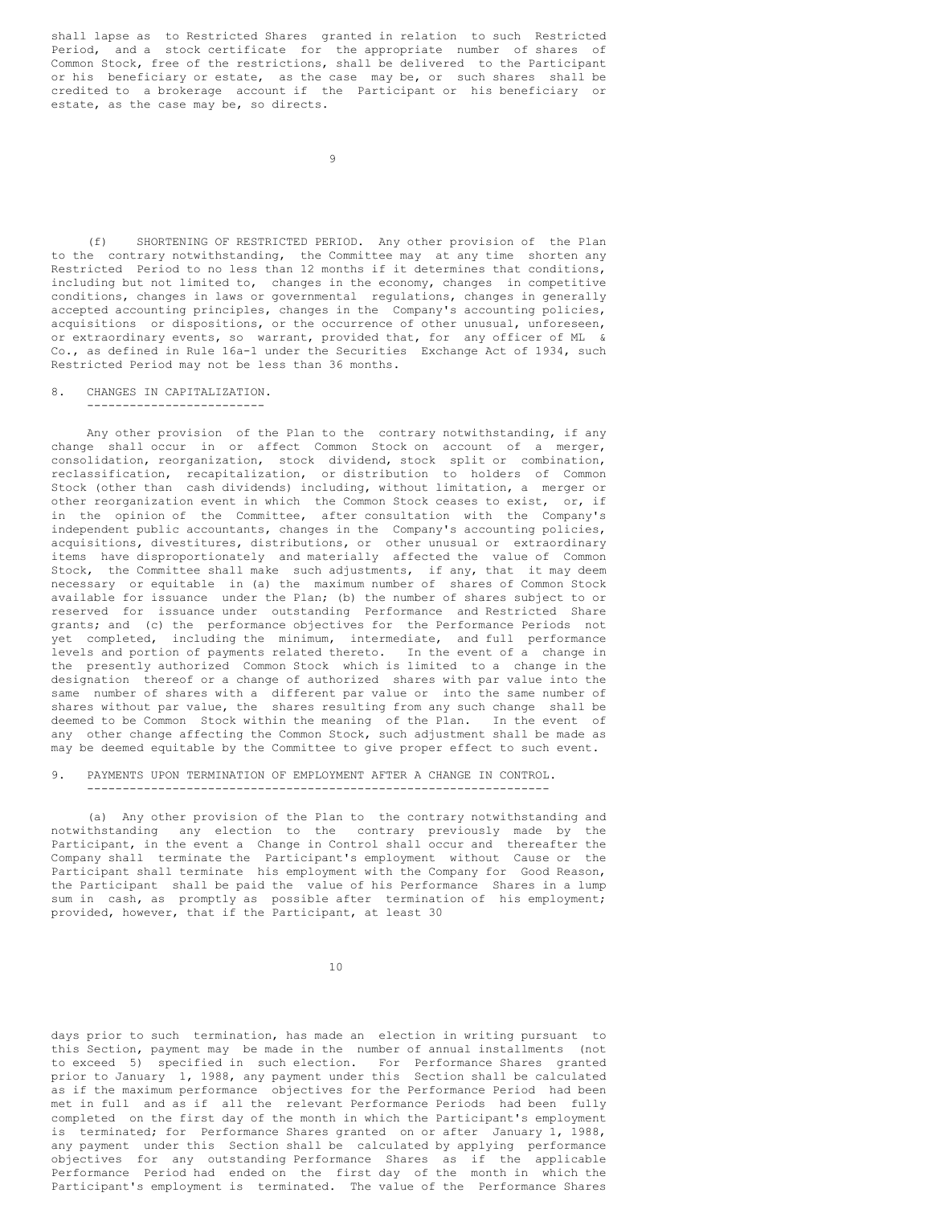shall lapse as to Restricted Shares granted in relation to such Restricted Period, and a stock certificate for the appropriate number of shares of Common Stock, free of the restrictions, shall be delivered to the Participant or his beneficiary or estate, as the case may be, or such shares shall be credited to a brokerage account if the Participant or his beneficiary or estate, as the case may be, so directs.

(f) SHORTENING OF RESTRICTED PERIOD. Any other provision of the Plan to the contrary notwithstanding, the Committee may at any time shorten any Restricted Period to no less than 12 months if it determines that conditions, including but not limited to, changes in the economy, changes in competitive conditions, changes in laws or governmental regulations, changes in generally accepted accounting principles, changes in the Company's accounting policies, acquisitions or dispositions, or the occurrence of other unusual, unforeseen, or extraordinary events, so warrant, provided that, for any officer of ML & Co., as defined in Rule 16a-1 under the Securities Exchange Act of 1934, such Restricted Period may not be less than 36 months.

8. CHANGES IN CAPITALIZATION.

-------------------------

Any other provision of the Plan to the contrary notwithstanding, if any change shall occur in or affect Common Stock on account of a merger, consolidation, reorganization, stock dividend, stock split or combination, reclassification, recapitalization, or distribution to holders of Common Stock (other than cash dividends) including, without limitation, a merger or other reorganization event in which the Common Stock ceases to exist, or, if in the opinion of the Committee, after consultation with the Company's independent public accountants, changes in the Company's accounting policies, acquisitions, divestitures, distributions, or other unusual or extraordinary items have disproportionately and materially affected the value of Common Stock, the Committee shall make such adjustments, if any, that it may deem necessary or equitable in (a) the maximum number of shares of Common Stock available for issuance under the Plan; (b) the number of shares subject to or reserved for issuance under outstanding Performance and Restricted Share grants; and (c) the performance objectives for the Performance Periods not yet completed, including the minimum, intermediate, and full performance levels and portion of payments related thereto. In the event of a change in the presently authorized Common Stock which is limited to a change in the designation thereof or a change of authorized shares with par value into the same number of shares with a different par value or into the same number of shares without par value, the shares resulting from any such change shall be deemed to be Common Stock within the meaning of the Plan. In the event of any other change affecting the Common Stock, such adjustment shall be made as may be deemed equitable by the Committee to give proper effect to such event.

9. PAYMENTS UPON TERMINATION OF EMPLOYMENT AFTER A CHANGE IN CONTROL. -----------------------------------------------------------------

(a) Any other provision of the Plan to the contrary notwithstanding and notwithstanding any election to the contrary previously made by the Participant, in the event a Change in Control shall occur and thereafter the Company shall terminate the Participant's employment without Cause or the Participant shall terminate his employment with the Company for Good Reason, the Participant shall be paid the value of his Performance Shares in a lump sum in cash, as promptly as possible after termination of his employment; provided, however, that if the Participant, at least 30

10

days prior to such termination, has made an election in writing pursuant to this Section, payment may be made in the number of annual installments (not to exceed 5) specified in such election. For Performance Shares granted prior to January 1, 1988, any payment under this Section shall be calculated as if the maximum performance objectives for the Performance Period had been met in full and as if all the relevant Performance Periods had been fully completed on the first day of the month in which the Participant's employment is terminated; for Performance Shares granted on or after January 1, 1988, any payment under this Section shall be calculated by applying performance objectives for any outstanding Performance Shares as if the applicable Performance Period had ended on the first day of the month in which the Participant's employment is terminated. The value of the Performance Shares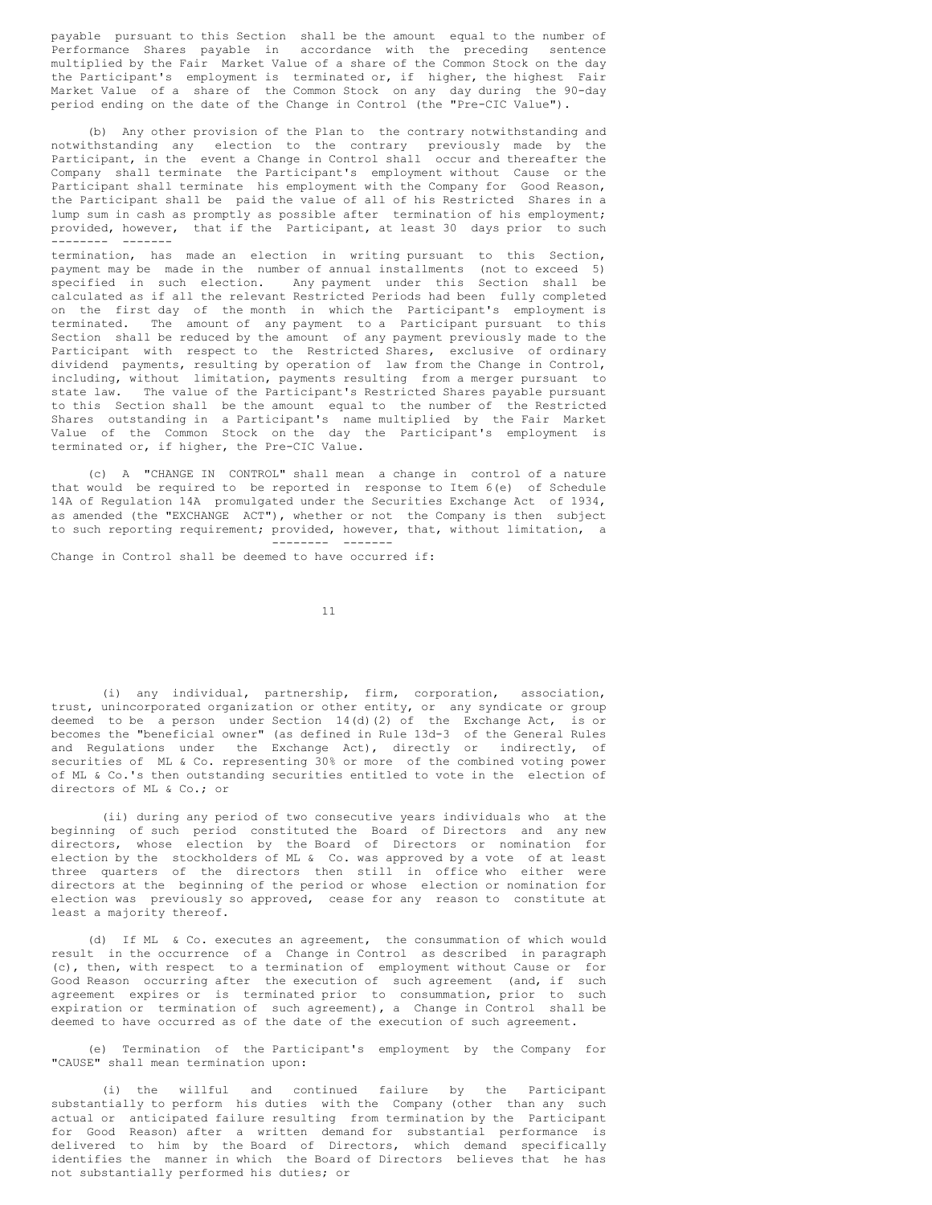payable pursuant to this Section shall be the amount equal to the number of Performance Shares payable in accordance with the preceding sentence multiplied by the Fair Market Value of a share of the Common Stock on the day the Participant's employment is terminated or, if higher, the highest Fair Market Value of a share of the Common Stock on any day during the 90-day period ending on the date of the Change in Control (the "Pre-CIC Value").

(b) Any other provision of the Plan to the contrary notwithstanding and notwithstanding any election to the contrary previously made by the Participant, in the event a Change in Control shall occur and thereafter the Company shall terminate the Participant's employment without Cause or the Participant shall terminate his employment with the Company for Good Reason, the Participant shall be paid the value of all of his Restricted Shares in a lump sum in cash as promptly as possible after termination of his employment; provided, however, that if the Participant, at least 30 days prior to such -------- -------

termination, has made an election in writing pursuant to this Section, payment may be made in the number of annual installments (not to exceed 5) specified in such election. Any payment under this Section shall be calculated as if all the relevant Restricted Periods had been fully completed on the first day of the month in which the Participant's employment is terminated. The amount of any payment to a Participant pursuant to this Section shall be reduced by the amount of any payment previously made to the Participant with respect to the Restricted Shares, exclusive of ordinary dividend payments, resulting by operation of law from the Change in Control, including, without limitation, payments resulting from a merger pursuant to state law. The value of the Participant's Restricted Shares payable pursuant to this Section shall be the amount equal to the number of the Restricted Shares outstanding in a Participant's name multiplied by the Fair Market Value of the Common Stock on the day the Participant's employment is terminated or, if higher, the Pre-CIC Value.

(c) A "CHANGE IN CONTROL" shall mean a change in control of a nature that would be required to be reported in response to Item 6(e) of Schedule 14A of Regulation 14A promulgated under the Securities Exchange Act of 1934, as amended (the "EXCHANGE ACT"), whether or not the Company is then subject to such reporting requirement; provided, however, that, without limitation, a -------- -------

Change in Control shall be deemed to have occurred if:

11

(i) any individual, partnership, firm, corporation, association, trust, unincorporated organization or other entity, or any syndicate or group deemed to be a person under Section 14(d)(2) of the Exchange Act, is or becomes the "beneficial owner" (as defined in Rule 13d-3 of the General Rules and Regulations under the Exchange Act), directly or indirectly, of securities of ML & Co. representing 30% or more of the combined voting power of ML & Co.'s then outstanding securities entitled to vote in the election of directors of ML & Co.; or

(ii) during any period of two consecutive years individuals who at the beginning of such period constituted the Board of Directors and any new directors, whose election by the Board of Directors or nomination for election by the stockholders of ML & Co. was approved by a vote of at least three quarters of the directors then still in office who either were directors at the beginning of the period or whose election or nomination for election was previously so approved, cease for any reason to constitute at least a majority thereof.

(d) If ML & Co. executes an agreement, the consummation of which would result in the occurrence of a Change in Control as described in paragraph (c), then, with respect to a termination of employment without Cause or for Good Reason occurring after the execution of such agreement (and, if such agreement expires or is terminated prior to consummation, prior to such expiration or termination of such agreement), a Change in Control shall be deemed to have occurred as of the date of the execution of such agreement.

(e) Termination of the Participant's employment by the Company for "CAUSE" shall mean termination upon:

(i) the willful and continued failure by the Participant substantially to perform his duties with the Company (other than any such actual or anticipated failure resulting from termination by the Participant for Good Reason) after a written demand for substantial performance is delivered to him by the Board of Directors, which demand specifically identifies the manner in which the Board of Directors believes that he has not substantially performed his duties; or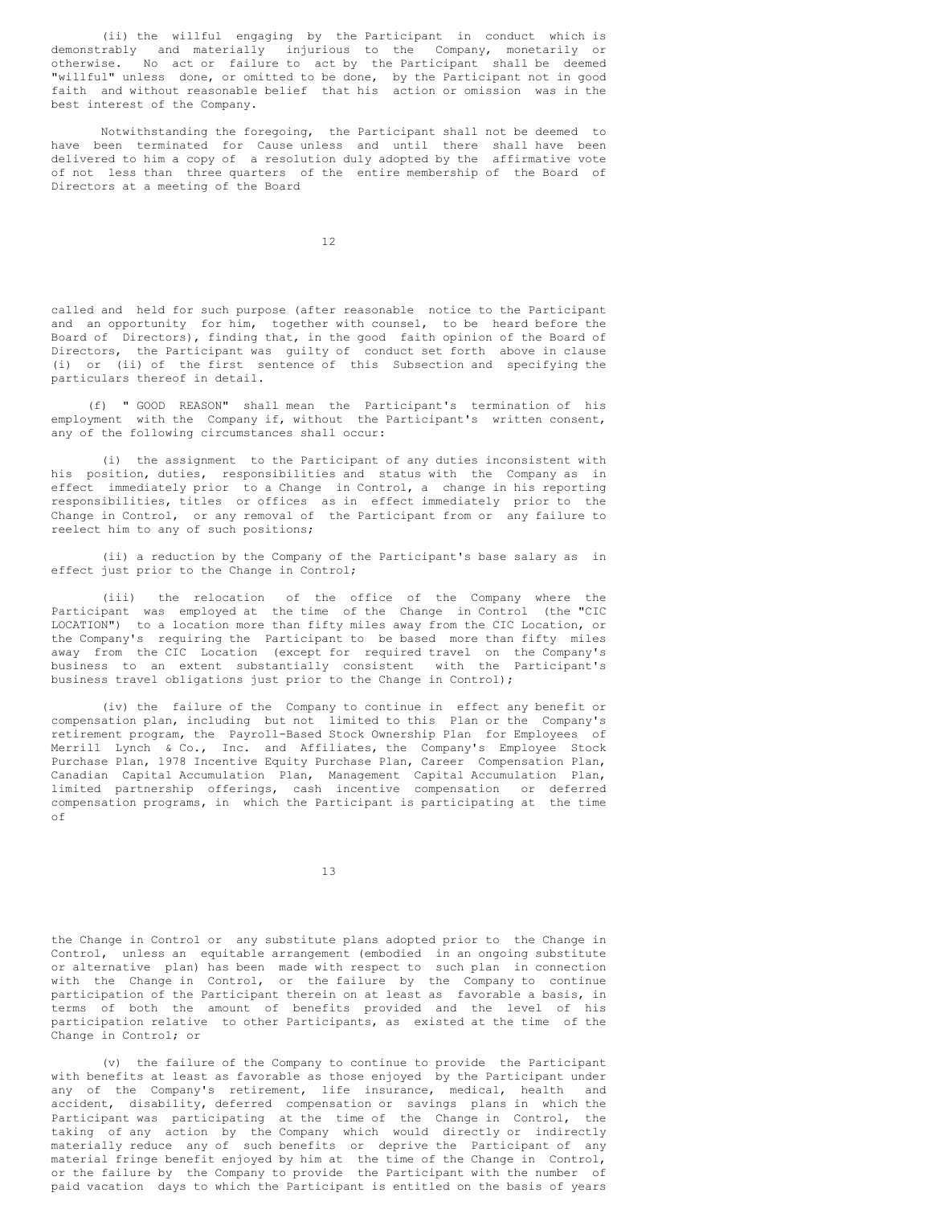(ii) the willful engaging by the Participant in conduct which is demonstrably and materially injurious to the Company, monetarily or otherwise. No act or failure to act by the Participant shall be deemed "willful" unless done, or omitted to be done, by the Participant not in good faith and without reasonable belief that his action or omission was in the best interest of the Company.

Notwithstanding the foregoing, the Participant shall not be deemed to have been terminated for Cause unless and until there shall have been delivered to him a copy of a resolution duly adopted by the affirmative vote of not less than three quarters of the entire membership of the Board of Directors at a meeting of the Board

12

called and held for such purpose (after reasonable notice to the Participant and an opportunity for him, together with counsel, to be heard before the Board of Directors), finding that, in the good faith opinion of the Board of Directors, the Participant was guilty of conduct set forth above in clause (i) or (ii) of the first sentence of this Subsection and specifying the particulars thereof in detail.

(f) " GOOD REASON" shall mean the Participant's termination of his employment with the Company if, without the Participant's written consent, any of the following circumstances shall occur:

(i) the assignment to the Participant of any duties inconsistent with his position, duties, responsibilities and status with the Company as in effect immediately prior to a Change in Control, a change in his reporting responsibilities, titles or offices as in effect immediately prior to the Change in Control, or any removal of the Participant from or any failure to reelect him to any of such positions;

(ii) a reduction by the Company of the Participant's base salary as in effect just prior to the Change in Control;

(iii) the relocation of the office of the Company where the Participant was employed at the time of the Change in Control (the "CIC LOCATION") to a location more than fifty miles away from the CIC Location, or the Company's requiring the Participant to be based more than fifty miles away from the CIC Location (except for required travel on the Company's business to an extent substantially consistent with the Participant's business travel obligations just prior to the Change in Control);

(iv) the failure of the Company to continue in effect any benefit or compensation plan, including but not limited to this Plan or the Company's retirement program, the Payroll-Based Stock Ownership Plan for Employees of Merrill Lynch & Co., Inc. and Affiliates, the Company's Employee Stock Purchase Plan, 1978 Incentive Equity Purchase Plan, Career Compensation Plan, Canadian Capital Accumulation Plan, Management Capital Accumulation Plan, limited partnership offerings, cash incentive compensation or deferred compensation programs, in which the Participant is participating at the time of

13

the Change in Control or any substitute plans adopted prior to the Change in Control, unless an equitable arrangement (embodied in an ongoing substitute or alternative plan) has been made with respect to such plan in connection with the Change in Control, or the failure by the Company to continue participation of the Participant therein on at least as favorable a basis, in terms of both the amount of benefits provided and the level of his participation relative to other Participants, as existed at the time of the Change in Control; or

(v) the failure of the Company to continue to provide the Participant with benefits at least as favorable as those enjoyed by the Participant under any of the Company's retirement, life insurance, medical, health and accident, disability, deferred compensation or savings plans in which the Participant was participating at the time of the Change in Control, the taking of any action by the Company which would directly or indirectly materially reduce any of such benefits or deprive the Participant of any material fringe benefit enjoyed by him at the time of the Change in Control, or the failure by the Company to provide the Participant with the number of paid vacation days to which the Participant is entitled on the basis of years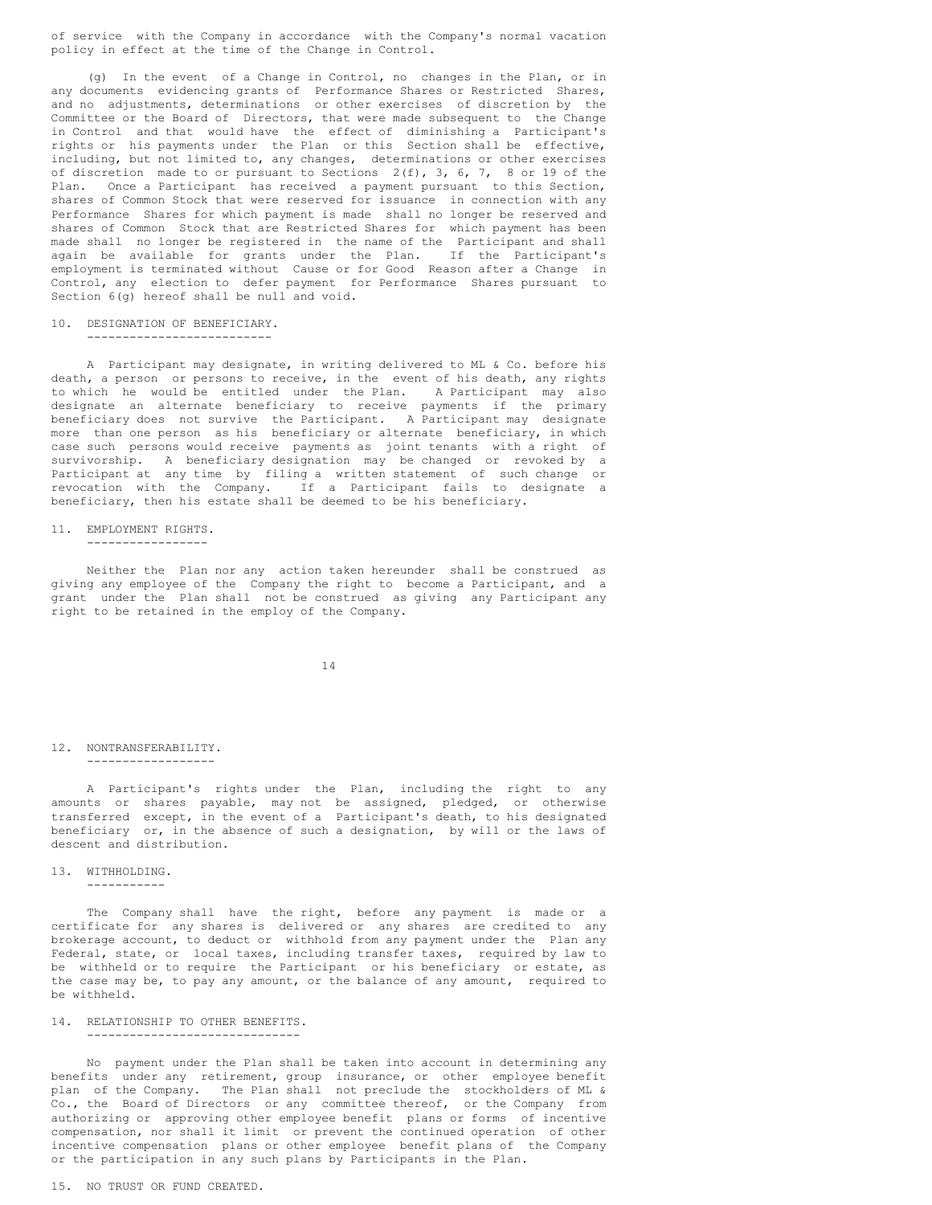of service with the Company in accordance with the Company's normal vacation policy in effect at the time of the Change in Control.

(g) In the event of a Change in Control, no changes in the Plan, or in any documents evidencing grants of Performance Shares or Restricted Shares, and no adjustments, determinations or other exercises of discretion by the Committee or the Board of Directors, that were made subsequent to the Change in Control and that would have the effect of diminishing a Participant's rights or his payments under the Plan or this Section shall be effective, including, but not limited to, any changes, determinations or other exercises of discretion made to or pursuant to Sections  $2(f)$ , 3, 6, 7, 8 or 19 of the Plan. Once a Participant has received a payment pursuant to this Section, shares of Common Stock that were reserved for issuance in connection with any Performance Shares for which payment is made shall no longer be reserved and shares of Common Stock that are Restricted Shares for which payment has been made shall no longer be registered in the name of the Participant and shall again be available for grants under the Plan. If the Participant's employment is terminated without Cause or for Good Reason after a Change in Control, any election to defer payment for Performance Shares pursuant to Section  $6(q)$  hereof shall be null and void.

# 10. DESIGNATION OF BENEFICIARY.

--------------------------

A Participant may designate, in writing delivered to ML & Co. before his death, a person or persons to receive, in the event of his death, any rights to which he would be entitled under the Plan. A Participant may also designate an alternate beneficiary to receive payments if the primary beneficiary does not survive the Participant. A Participant may designate more than one person as his beneficiary or alternate beneficiary, in which case such persons would receive payments as joint tenants with a right of survivorship. A beneficiary designation may be changed or revoked by a Participant at any time by filing a written statement of such change or revocation with the Company. If a Participant fails to designate a beneficiary, then his estate shall be deemed to be his beneficiary.

# 11. EMPLOYMENT RIGHTS.

-----------------

Neither the Plan nor any action taken hereunder shall be construed as giving any employee of the Company the right to become a Participant, and a grant under the Plan shall not be construed as giving any Participant any right to be retained in the employ of the Company.

14

#### 12. NONTRANSFERABILITY. ------------------

A Participant's rights under the Plan, including the right to any amounts or shares payable, may not be assigned, pledged, or otherwise transferred except, in the event of a Participant's death, to his designated beneficiary or, in the absence of such a designation, by will or the laws of descent and distribution.

# 13. WITHHOLDING.

-----------

The Company shall have the right, before any payment is made or a certificate for any shares is delivered or any shares are credited to any brokerage account, to deduct or withhold from any payment under the Plan any Federal, state, or local taxes, including transfer taxes, required by law to be withheld or to require the Participant or his beneficiary or estate, as the case may be, to pay any amount, or the balance of any amount, required to be withheld.

#### 14. RELATIONSHIP TO OTHER BENEFITS. ------------------------------

No payment under the Plan shall be taken into account in determining any benefits under any retirement, group insurance, or other employee benefit plan of the Company. The Plan shall not preclude the stockholders of ML & Co., the Board of Directors or any committee thereof, or the Company from authorizing or approving other employee benefit plans or forms of incentive compensation, nor shall it limit or prevent the continued operation of other incentive compensation plans or other employee benefit plans of the Company or the participation in any such plans by Participants in the Plan.

## 15. NO TRUST OR FUND CREATED.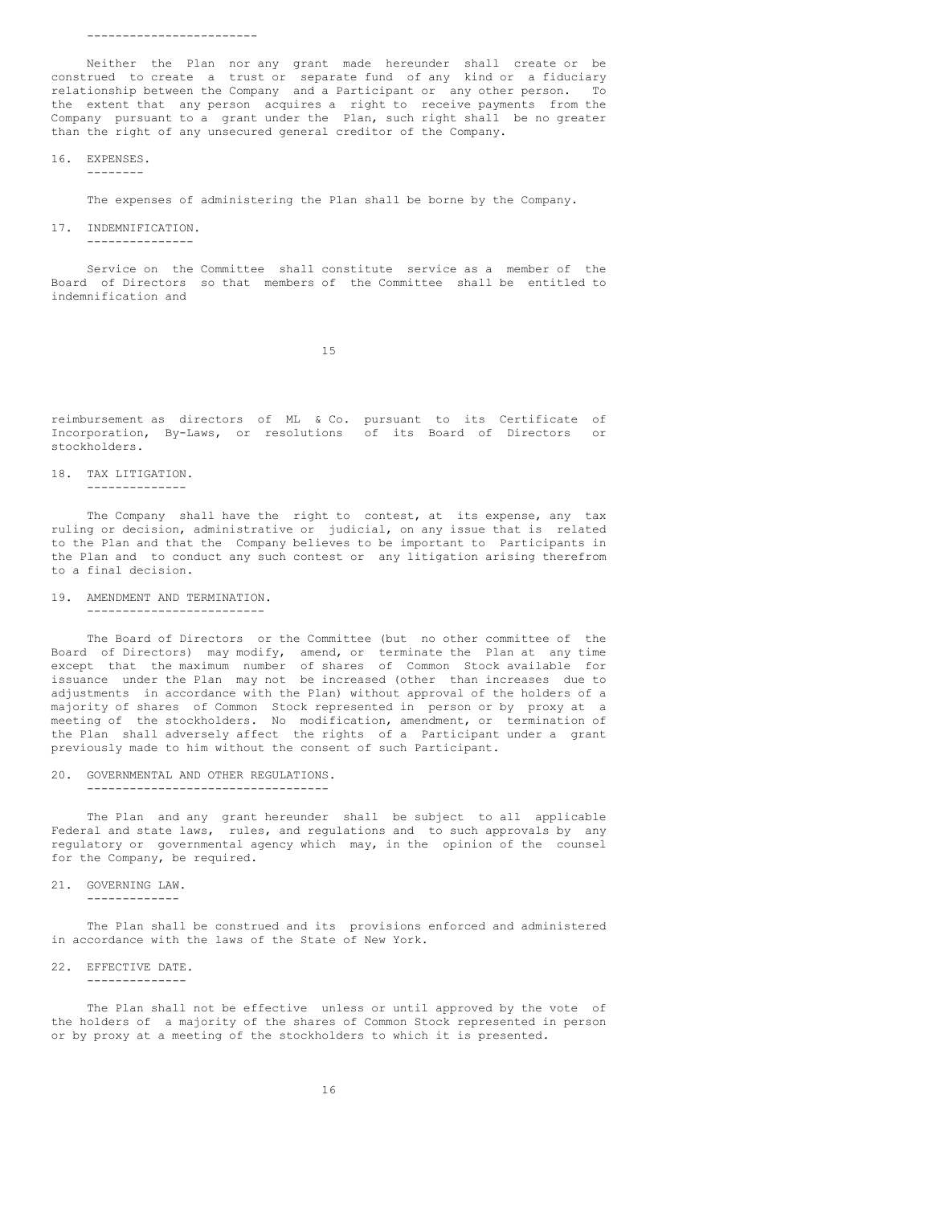Neither the Plan nor any grant made hereunder shall create or be construed to create a trust or separate fund of any kind or a fiduciary relationship between the Company and a Participant or any other person. To the extent that any person acquires a right to receive payments from the Company pursuant to a grant under the Plan, such right shall be no greater than the right of any unsecured general creditor of the Company.

#### 16. EXPENSES. --------

The expenses of administering the Plan shall be borne by the Company.

17. INDEMNIFICATION.

---------------

Service on the Committee shall constitute service as a member of the Board of Directors so that members of the Committee shall be entitled to indemnification and

15

reimbursement as directors of ML & Co. pursuant to its Certificate of Incorporation, By-Laws, or resolutions of its Board of Directors or stockholders.

18. TAX LITIGATION.

--------------

The Company shall have the right to contest, at its expense, any tax ruling or decision, administrative or judicial, on any issue that is related to the Plan and that the Company believes to be important to Participants in the Plan and to conduct any such contest or any litigation arising therefrom to a final decision.

#### 19. AMENDMENT AND TERMINATION.

-------------------------

The Board of Directors or the Committee (but no other committee of the Board of Directors) may modify, amend, or terminate the Plan at any time except that the maximum number of shares of Common Stock available for issuance under the Plan may not be increased (other than increases due to adjustments in accordance with the Plan) without approval of the holders of a majority of shares of Common Stock represented in person or by proxy at a meeting of the stockholders. No modification, amendment, or termination of the Plan shall adversely affect the rights of a Participant under a grant previously made to him without the consent of such Participant.

20. GOVERNMENTAL AND OTHER REGULATIONS. ----------------------------------

The Plan and any grant hereunder shall be subject to all applicable Federal and state laws, rules, and regulations and to such approvals by any regulatory or governmental agency which may, in the opinion of the counsel for the Company, be required.

21. GOVERNING LAW.

-------------

The Plan shall be construed and its provisions enforced and administered in accordance with the laws of the State of New York.

22. EFFECTIVE DATE.

--------------

The Plan shall not be effective unless or until approved by the vote of the holders of a majority of the shares of Common Stock represented in person or by proxy at a meeting of the stockholders to which it is presented.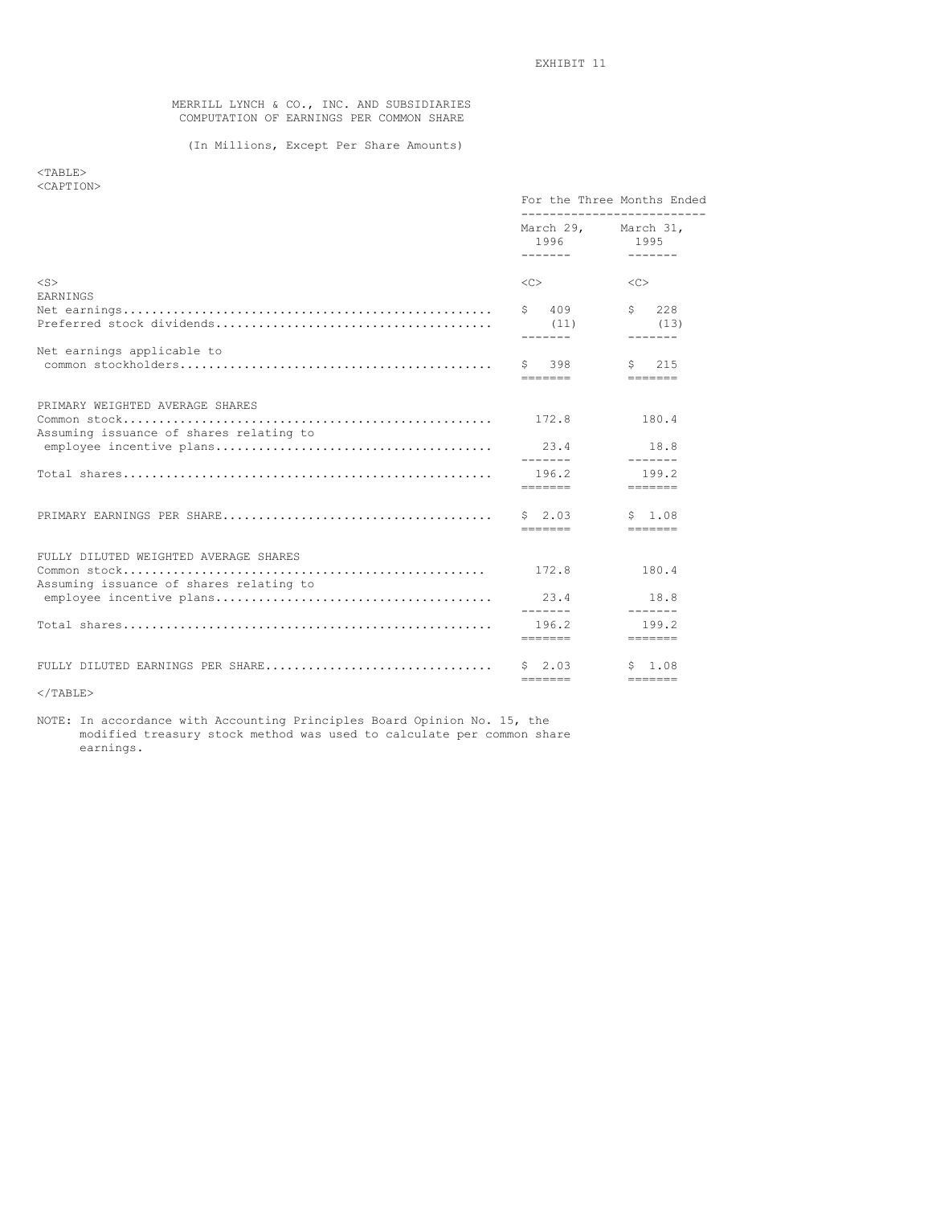MERRILL LYNCH & CO., INC. AND SUBSIDIARIES COMPUTATION OF EARNINGS PER COMMON SHARE

# (In Millions, Except Per Share Amounts)

<TABLE> <CAPTION>

|                                                                                  |                                 | For the Three Months Ended             |
|----------------------------------------------------------------------------------|---------------------------------|----------------------------------------|
|                                                                                  | 1996<br>--------                | March 29, March 31,<br>1995<br>------- |
| $<$ S $>$<br><b>EARNINGS</b>                                                     | $<\infty$                       | $<<$ $<$ $>$                           |
|                                                                                  | \$ 409<br>(11)<br>--------      | \$228<br>(13)<br>--------              |
| Net earnings applicable to                                                       | Ŝ.<br>398<br>-------            | 215<br>Ŝ.                              |
| PRIMARY WEIGHTED AVERAGE SHARES                                                  | 172.8                           | 180.4                                  |
| Assuming issuance of shares relating to                                          | 23.4<br>--------                | 18.8<br>-------                        |
| $Total shares$                                                                   | 196.2<br>--------               | 199.2                                  |
|                                                                                  | $S = 2.03$<br>=======           | \$1.08                                 |
| FULLY DILUTED WEIGHTED AVERAGE SHARES<br>Assuming issuance of shares relating to | 172.8                           | 180.4                                  |
|                                                                                  | 23.4<br>--------                | 18.8<br>$- - - - - - -$                |
|                                                                                  | 196.2<br>--------               | 199.2                                  |
| FULLY DILUTED EARNINGS PER SHARE                                                 | $S = 2.03$<br>$=$ = = = = = = = | \$ 1.08<br>$=$ = = = = = = =           |
|                                                                                  |                                 |                                        |

 $<$ /TABLE>

NOTE: In accordance with Accounting Principles Board Opinion No. 15, the modified treasury stock method was used to calculate per common share earnings.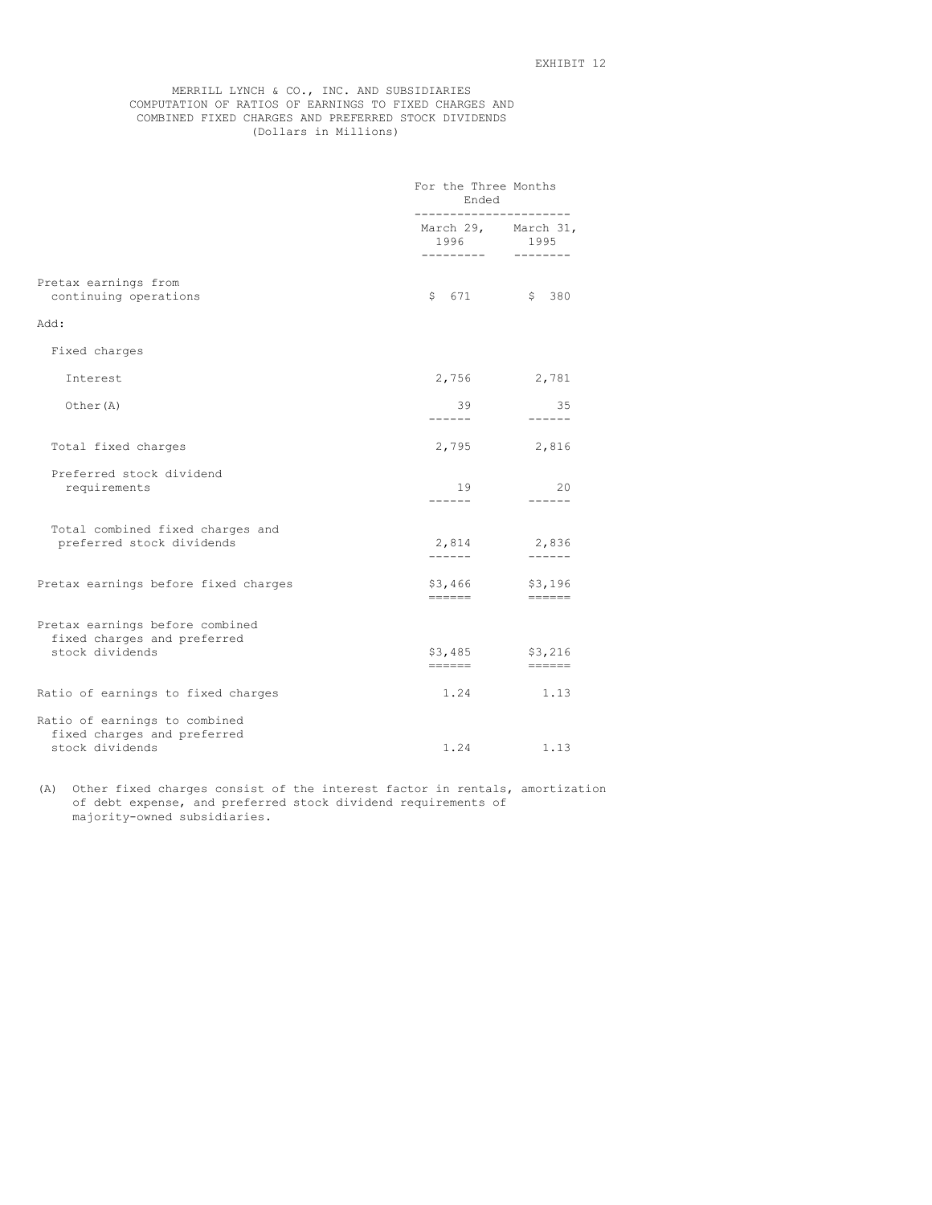# MERRILL LYNCH & CO., INC. AND SUBSIDIARIES COMPUTATION OF RATIOS OF EARNINGS TO FIXED CHARGES AND COMBINED FIXED CHARGES AND PREFERRED STOCK DIVIDENDS (Dollars in Millions)

|                                                                                   | For the Three Months<br>Ended |                                                                       |  |  |  |
|-----------------------------------------------------------------------------------|-------------------------------|-----------------------------------------------------------------------|--|--|--|
|                                                                                   | 1996<br>---------             | March 29, March 31,<br>1995<br>--------                               |  |  |  |
| Pretax earnings from<br>continuing operations                                     | \$671                         | \$380                                                                 |  |  |  |
| Add:                                                                              |                               |                                                                       |  |  |  |
| Fixed charges                                                                     |                               |                                                                       |  |  |  |
| Interest                                                                          | 2,756                         | 2,781                                                                 |  |  |  |
| Other (A)                                                                         | 39<br>-------                 | 35<br>$- - - - - -$                                                   |  |  |  |
| Total fixed charges                                                               | 2,795                         | 2,816                                                                 |  |  |  |
| Preferred stock dividend<br>requirements                                          | 19<br>------                  | 20<br>$- - - - - -$                                                   |  |  |  |
| Total combined fixed charges and<br>preferred stock dividends                     | 2,814<br>------               | 2,836<br>$- - - - - -$                                                |  |  |  |
| Pretax earnings before fixed charges                                              | \$3,466<br>======             | \$3,196<br>$=$ $=$ $=$ $=$ $=$                                        |  |  |  |
| Pretax earnings before combined<br>fixed charges and preferred<br>stock dividends | \$3,485                       | \$3,216<br>$\qquad \qquad \displaystyle =\qquad \qquad \qquad \qquad$ |  |  |  |
| Ratio of earnings to fixed charges                                                | 1.24                          | 1.13                                                                  |  |  |  |
| Ratio of earnings to combined<br>fixed charges and preferred<br>stock dividends   | 1.24                          | 1.13                                                                  |  |  |  |

(A) Other fixed charges consist of the interest factor in rentals, amortization of debt expense, and preferred stock dividend requirements of majority-owned subsidiaries.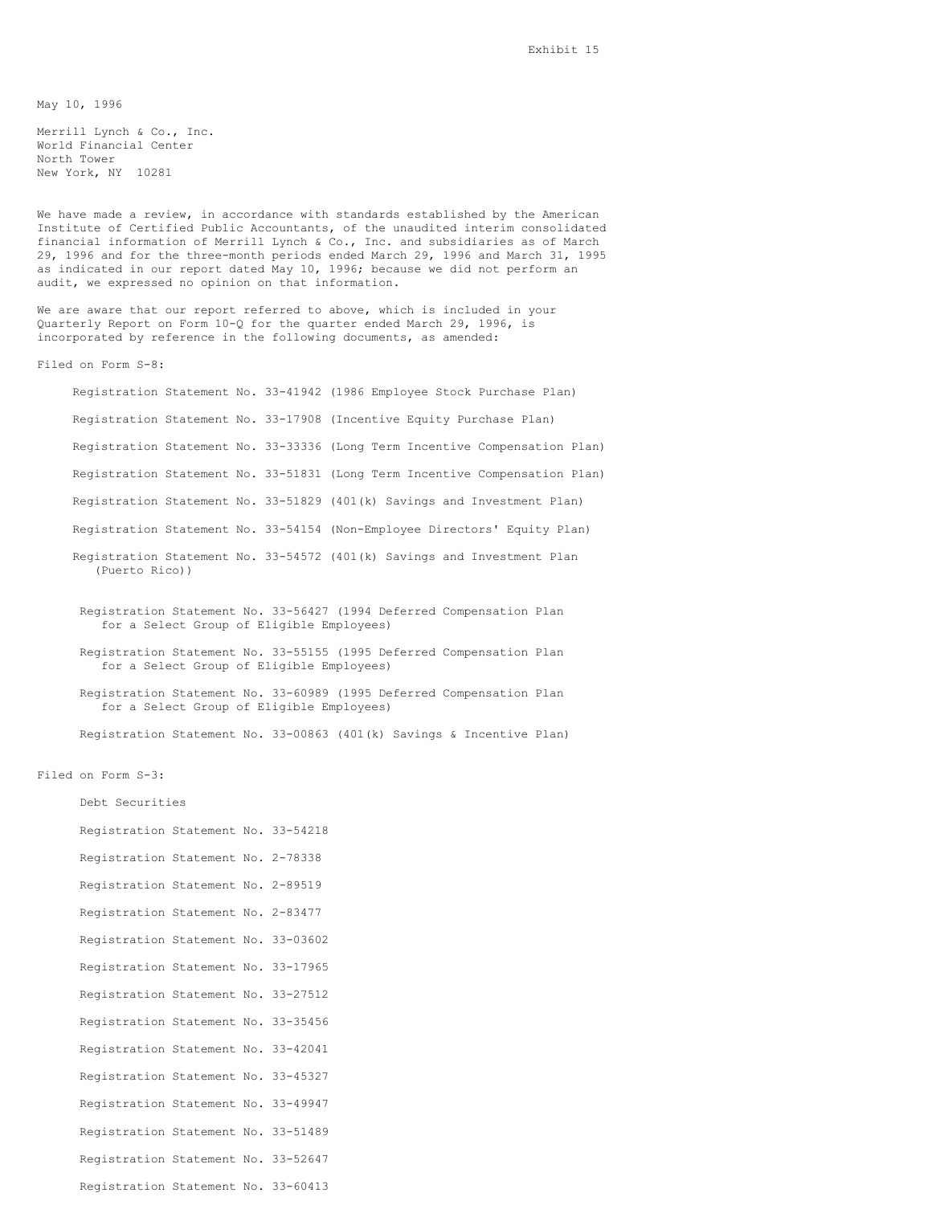May 10, 1996

Merrill Lynch & Co., Inc. World Financial Center North Tower New York, NY 10281

We have made a review, in accordance with standards established by the American Institute of Certified Public Accountants, of the unaudited interim consolidated financial information of Merrill Lynch & Co., Inc. and subsidiaries as of March 29, 1996 and for the three-month periods ended March 29, 1996 and March 31, 1995 as indicated in our report dated May 10, 1996; because we did not perform an audit, we expressed no opinion on that information.

We are aware that our report referred to above, which is included in your Quarterly Report on Form 10-Q for the quarter ended March 29, 1996, is incorporated by reference in the following documents, as amended:

Filed on Form S-8:

Registration Statement No. 33-41942 (1986 Employee Stock Purchase Plan) Registration Statement No. 33-17908 (Incentive Equity Purchase Plan) Registration Statement No. 33-33336 (Long Term Incentive Compensation Plan) Registration Statement No. 33-51831 (Long Term Incentive Compensation Plan) Registration Statement No. 33-51829 (401(k) Savings and Investment Plan) Registration Statement No. 33-54154 (Non-Employee Directors' Equity Plan) Registration Statement No. 33-54572 (401(k) Savings and Investment Plan (Puerto Rico))

Registration Statement No. 33-56427 (1994 Deferred Compensation Plan for a Select Group of Eligible Employees)

Registration Statement No. 33-55155 (1995 Deferred Compensation Plan for a Select Group of Eligible Employees)

Registration Statement No. 33-60989 (1995 Deferred Compensation Plan for a Select Group of Eligible Employees)

Registration Statement No. 33-00863 (401(k) Savings & Incentive Plan)

Filed on Form S-3:

Debt Securities

Registration Statement No. 33-54218 Registration Statement No. 2-78338 Registration Statement No. 2-89519 Registration Statement No. 2-83477 Registration Statement No. 33-03602 Registration Statement No. 33-17965 Registration Statement No. 33-27512 Registration Statement No. 33-35456 Registration Statement No. 33-42041 Registration Statement No. 33-45327 Registration Statement No. 33-49947 Registration Statement No. 33-51489 Registration Statement No. 33-52647 Registration Statement No. 33-60413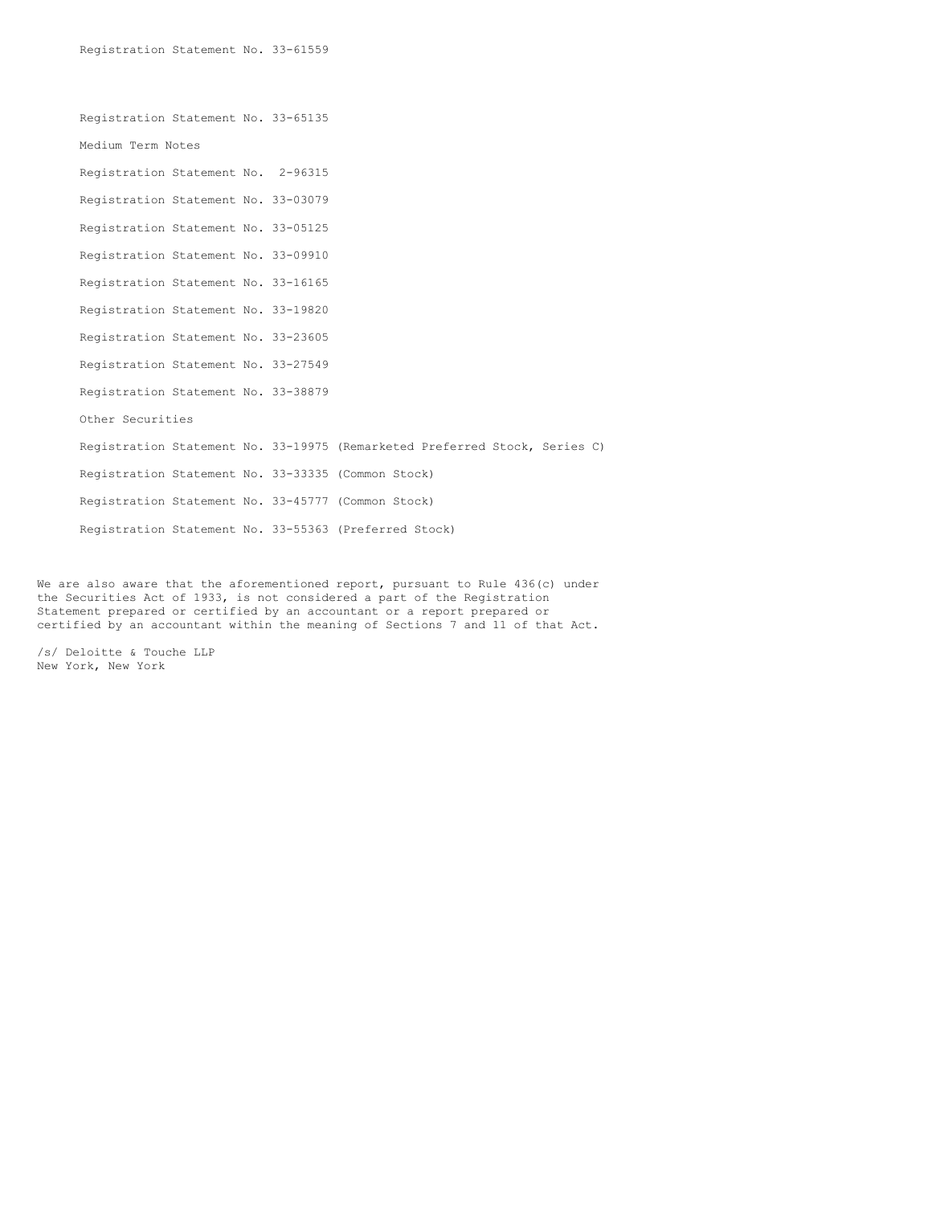Registration Statement No. 33-65135 Medium Term Notes Registration Statement No. 2-96315 Registration Statement No. 33-03079 Registration Statement No. 33-05125 Registration Statement No. 33-09910 Registration Statement No. 33-16165 Registration Statement No. 33-19820 Registration Statement No. 33-23605 Registration Statement No. 33-27549 Registration Statement No. 33-38879 Other Securities Registration Statement No. 33-19975 (Remarketed Preferred Stock, Series C) Registration Statement No. 33-33335 (Common Stock) Registration Statement No. 33-45777 (Common Stock) Registration Statement No. 33-55363 (Preferred Stock)

We are also aware that the aforementioned report, pursuant to Rule 436(c) under the Securities Act of 1933, is not considered a part of the Registration Statement prepared or certified by an accountant or a report prepared or certified by an accountant within the meaning of Sections 7 and 11 of that Act.

/s/ Deloitte & Touche LLP New York, New York